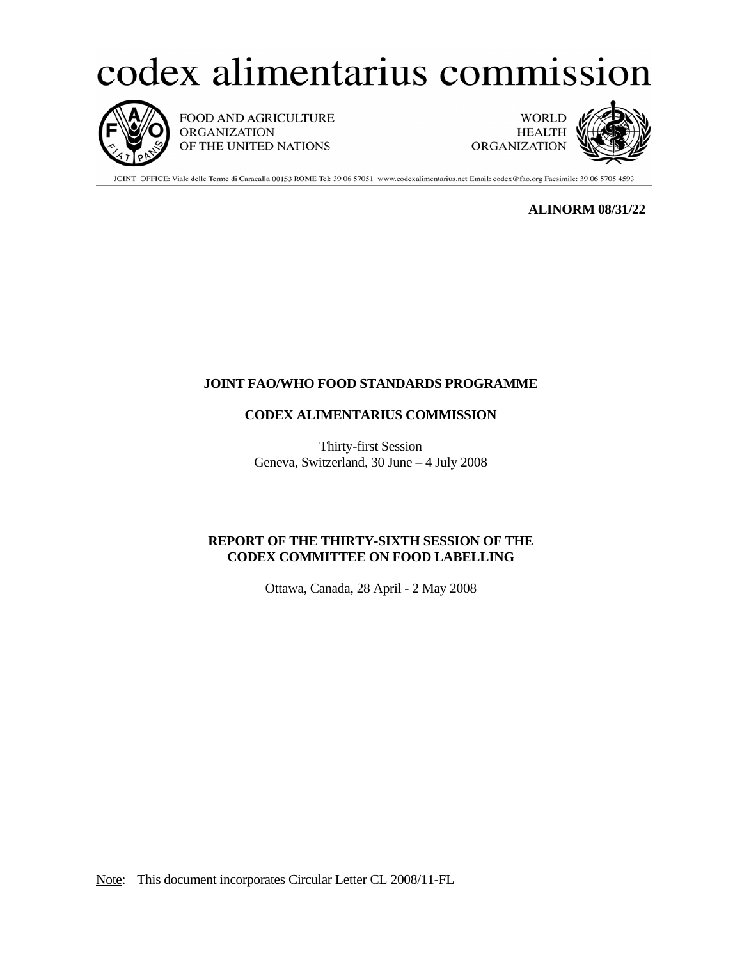# codex alimentarius commission



FOOD AND AGRICULTURE ORGANIZATION OF THE UNITED NATIONS

**WORLD HEALTH** ORGANIZATION



JOINT OFFICE: Viale delle Terme di Caracalla 00153 ROME Tel: 39 06 57051 www.codexalimentarius.net Email: codex@fao.org Facsimile: 39 06 5705 4593

**ALINORM 08/31/22** 

# **JOINT FAO/WHO FOOD STANDARDS PROGRAMME**

# **CODEX ALIMENTARIUS COMMISSION**

Thirty-first Session Geneva, Switzerland, 30 June – 4 July 2008

# **REPORT OF THE THIRTY-SIXTH SESSION OF THE CODEX COMMITTEE ON FOOD LABELLING**

Ottawa, Canada, 28 April - 2 May 2008

Note: This document incorporates Circular Letter CL 2008/11-FL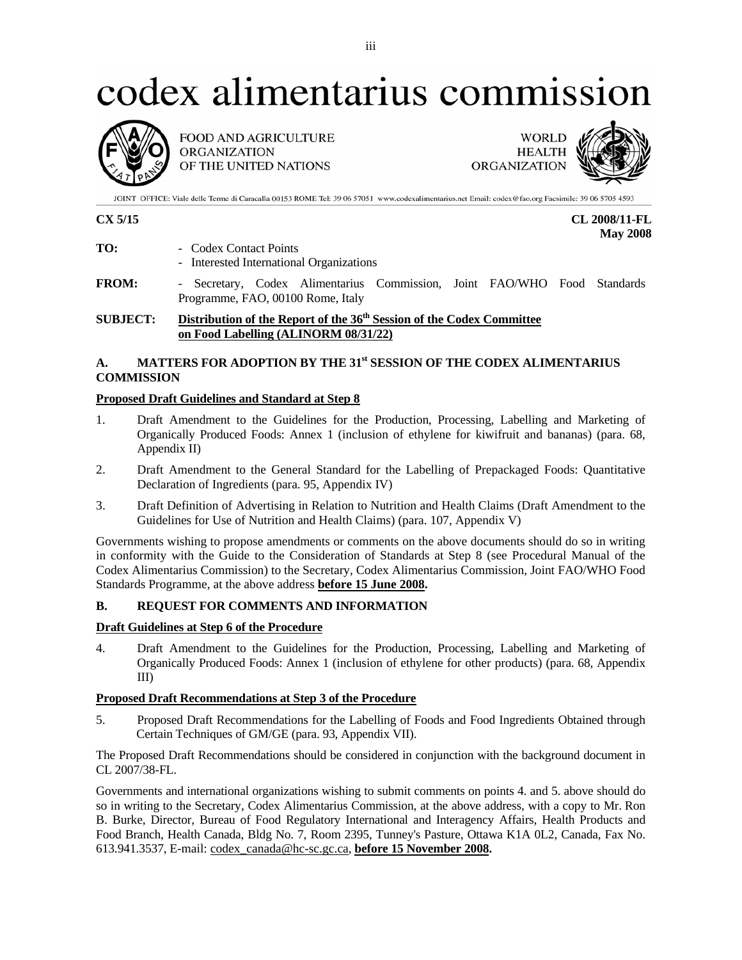# codex alimentarius commission



**FOOD AND AGRICULTURE ORGANIZATION** OF THE UNITED NATIONS

**WORLD HEALTH ORGANIZATION** 

JOINT OFFICE: Viale delle Terme di Caracalla 00153 ROME Tel: 39 06 57051 www.codexalimentarius.net Email: codex@fao.org Facsimile: 39 06 5705 4593

**CX 5/15 CL 2008/11-FL May 2008** 

| TO:<br>Codex Contact Points |
|-----------------------------|
|                             |

- Interested International Organizations
- **FROM:** Secretary, Codex Alimentarius Commission, Joint FAO/WHO Food Standards Programme, FAO, 00100 Rome, Italy

# **SUBJECT:** Distribution of the Report of the 36<sup>th</sup> Session of the Codex Committee  **on Food Labelling (ALINORM 08/31/22)**

# **A. MATTERS FOR ADOPTION BY THE 31st SESSION OF THE CODEX ALIMENTARIUS COMMISSION**

# **Proposed Draft Guidelines and Standard at Step 8**

- 1. Draft Amendment to the Guidelines for the Production, Processing, Labelling and Marketing of Organically Produced Foods: Annex 1 (inclusion of ethylene for kiwifruit and bananas) (para. 68, Appendix II)
- 2. Draft Amendment to the General Standard for the Labelling of Prepackaged Foods: Quantitative Declaration of Ingredients (para. 95, Appendix IV)
- 3. Draft Definition of Advertising in Relation to Nutrition and Health Claims (Draft Amendment to the Guidelines for Use of Nutrition and Health Claims) (para. 107, Appendix V)

Governments wishing to propose amendments or comments on the above documents should do so in writing in conformity with the Guide to the Consideration of Standards at Step 8 (see Procedural Manual of the Codex Alimentarius Commission) to the Secretary, Codex Alimentarius Commission, Joint FAO/WHO Food Standards Programme, at the above address **before 15 June 2008.** 

# **B. REQUEST FOR COMMENTS AND INFORMATION**

# **Draft Guidelines at Step 6 of the Procedure**

4. Draft Amendment to the Guidelines for the Production, Processing, Labelling and Marketing of Organically Produced Foods: Annex 1 (inclusion of ethylene for other products) (para. 68, Appendix III)

# **Proposed Draft Recommendations at Step 3 of the Procedure**

5. Proposed Draft Recommendations for the Labelling of Foods and Food Ingredients Obtained through Certain Techniques of GM/GE (para. 93, Appendix VII).

The Proposed Draft Recommendations should be considered in conjunction with the background document in CL 2007/38-FL.

Governments and international organizations wishing to submit comments on points 4. and 5. above should do so in writing to the Secretary, Codex Alimentarius Commission, at the above address, with a copy to Mr. Ron B. Burke, Director, Bureau of Food Regulatory International and Interagency Affairs, Health Products and Food Branch, Health Canada, Bldg No. 7, Room 2395, Tunney's Pasture, Ottawa K1A 0L2, Canada, Fax No. 613.941.3537, E-mail: codex\_canada@hc-sc.gc.ca, **before 15 November 2008.**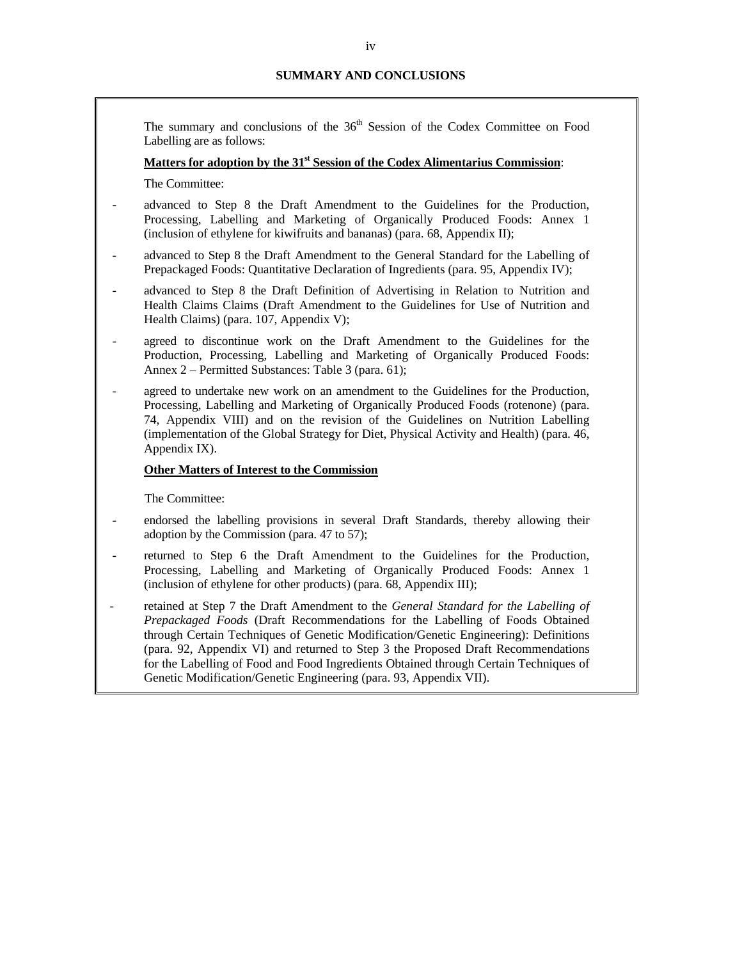# **SUMMARY AND CONCLUSIONS**

The summary and conclusions of the  $36<sup>th</sup>$  Session of the Codex Committee on Food Labelling are as follows:

# **Matters for adoption by the 31st Session of the Codex Alimentarius Commission**:

The Committee:

- advanced to Step 8 the Draft Amendment to the Guidelines for the Production, Processing, Labelling and Marketing of Organically Produced Foods: Annex 1 (inclusion of ethylene for kiwifruits and bananas) (para. 68, Appendix II);
- advanced to Step 8 the Draft Amendment to the General Standard for the Labelling of Prepackaged Foods: Quantitative Declaration of Ingredients (para. 95, Appendix IV);
- advanced to Step 8 the Draft Definition of Advertising in Relation to Nutrition and Health Claims Claims (Draft Amendment to the Guidelines for Use of Nutrition and Health Claims) (para. 107, Appendix V);
- agreed to discontinue work on the Draft Amendment to the Guidelines for the Production, Processing, Labelling and Marketing of Organically Produced Foods: Annex 2 – Permitted Substances: Table 3 (para. 61);
- agreed to undertake new work on an amendment to the Guidelines for the Production, Processing, Labelling and Marketing of Organically Produced Foods (rotenone) (para. 74, Appendix VIII) and on the revision of the Guidelines on Nutrition Labelling (implementation of the Global Strategy for Diet, Physical Activity and Health) (para. 46, Appendix IX).

#### **Other Matters of Interest to the Commission**

The Committee:

- endorsed the labelling provisions in several Draft Standards, thereby allowing their adoption by the Commission (para. 47 to 57);
- returned to Step 6 the Draft Amendment to the Guidelines for the Production, Processing, Labelling and Marketing of Organically Produced Foods: Annex 1 (inclusion of ethylene for other products) (para. 68, Appendix III);
- retained at Step 7 the Draft Amendment to the *General Standard for the Labelling of Prepackaged Foods* (Draft Recommendations for the Labelling of Foods Obtained through Certain Techniques of Genetic Modification/Genetic Engineering): Definitions (para. 92, Appendix VI) and returned to Step 3 the Proposed Draft Recommendations for the Labelling of Food and Food Ingredients Obtained through Certain Techniques of Genetic Modification/Genetic Engineering (para. 93, Appendix VII).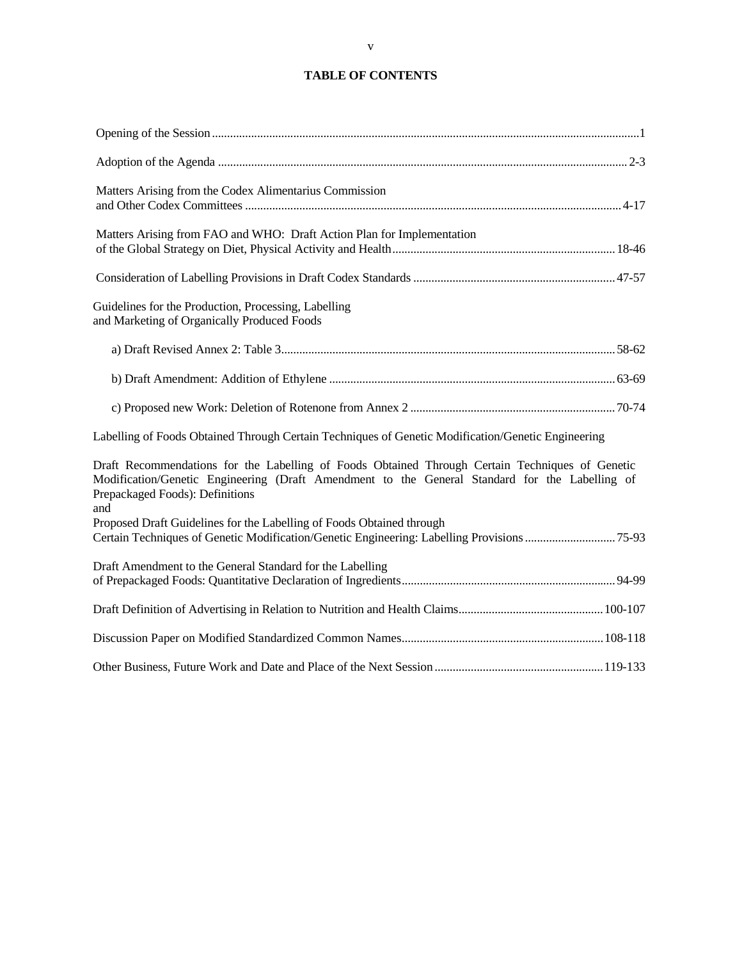# **TABLE OF CONTENTS**

| Matters Arising from the Codex Alimentarius Commission                                                                                                                                                                                      |  |
|---------------------------------------------------------------------------------------------------------------------------------------------------------------------------------------------------------------------------------------------|--|
| Matters Arising from FAO and WHO: Draft Action Plan for Implementation                                                                                                                                                                      |  |
|                                                                                                                                                                                                                                             |  |
| Guidelines for the Production, Processing, Labelling<br>and Marketing of Organically Produced Foods                                                                                                                                         |  |
|                                                                                                                                                                                                                                             |  |
|                                                                                                                                                                                                                                             |  |
|                                                                                                                                                                                                                                             |  |
| Labelling of Foods Obtained Through Certain Techniques of Genetic Modification/Genetic Engineering                                                                                                                                          |  |
| Draft Recommendations for the Labelling of Foods Obtained Through Certain Techniques of Genetic<br>Modification/Genetic Engineering (Draft Amendment to the General Standard for the Labelling of<br>Prepackaged Foods): Definitions<br>and |  |
| Proposed Draft Guidelines for the Labelling of Foods Obtained through<br>Certain Techniques of Genetic Modification/Genetic Engineering: Labelling Provisions75-93                                                                          |  |
| Draft Amendment to the General Standard for the Labelling                                                                                                                                                                                   |  |
|                                                                                                                                                                                                                                             |  |
|                                                                                                                                                                                                                                             |  |
|                                                                                                                                                                                                                                             |  |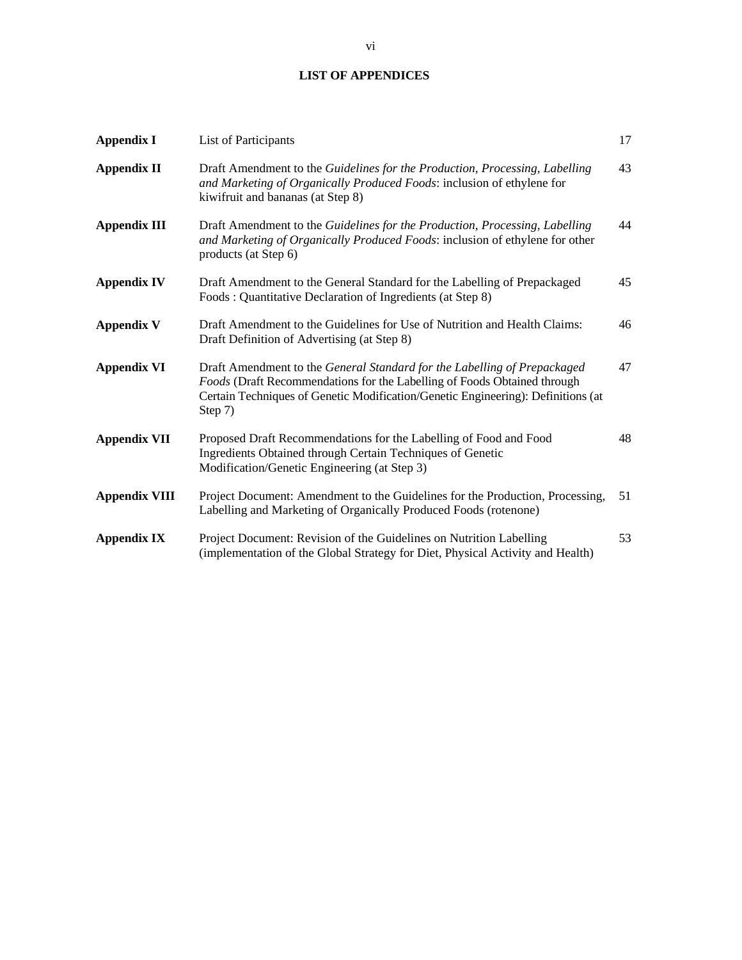# **LIST OF APPENDICES**

| <b>Appendix I</b>    | List of Participants                                                                                                                                                                                                                                | 17 |
|----------------------|-----------------------------------------------------------------------------------------------------------------------------------------------------------------------------------------------------------------------------------------------------|----|
| <b>Appendix II</b>   | Draft Amendment to the Guidelines for the Production, Processing, Labelling<br>and Marketing of Organically Produced Foods: inclusion of ethylene for<br>kiwifruit and bananas (at Step 8)                                                          | 43 |
| <b>Appendix III</b>  | Draft Amendment to the Guidelines for the Production, Processing, Labelling<br>and Marketing of Organically Produced Foods: inclusion of ethylene for other<br>products (at Step 6)                                                                 | 44 |
| <b>Appendix IV</b>   | Draft Amendment to the General Standard for the Labelling of Prepackaged<br>Foods: Quantitative Declaration of Ingredients (at Step 8)                                                                                                              | 45 |
| <b>Appendix V</b>    | Draft Amendment to the Guidelines for Use of Nutrition and Health Claims:<br>Draft Definition of Advertising (at Step 8)                                                                                                                            | 46 |
| <b>Appendix VI</b>   | Draft Amendment to the General Standard for the Labelling of Prepackaged<br>Foods (Draft Recommendations for the Labelling of Foods Obtained through<br>Certain Techniques of Genetic Modification/Genetic Engineering): Definitions (at<br>Step 7) | 47 |
| <b>Appendix VII</b>  | Proposed Draft Recommendations for the Labelling of Food and Food<br>Ingredients Obtained through Certain Techniques of Genetic<br>Modification/Genetic Engineering (at Step 3)                                                                     | 48 |
| <b>Appendix VIII</b> | Project Document: Amendment to the Guidelines for the Production, Processing,<br>Labelling and Marketing of Organically Produced Foods (rotenone)                                                                                                   | 51 |
| <b>Appendix IX</b>   | Project Document: Revision of the Guidelines on Nutrition Labelling<br>(implementation of the Global Strategy for Diet, Physical Activity and Health)                                                                                               | 53 |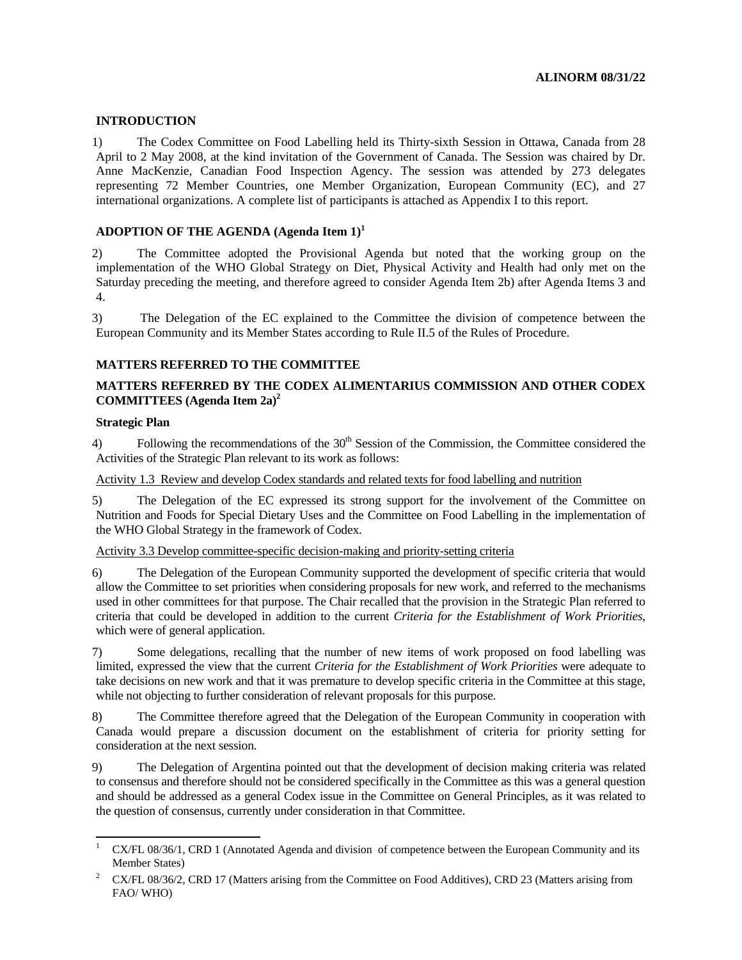# **INTRODUCTION**

1) The Codex Committee on Food Labelling held its Thirty-sixth Session in Ottawa, Canada from 28 April to 2 May 2008, at the kind invitation of the Government of Canada. The Session was chaired by Dr. Anne MacKenzie, Canadian Food Inspection Agency. The session was attended by 273 delegates representing 72 Member Countries, one Member Organization, European Community (EC), and 27 international organizations. A complete list of participants is attached as Appendix I to this report.

# **ADOPTION OF THE AGENDA (Agenda Item 1)<sup>1</sup>**

2) The Committee adopted the Provisional Agenda but noted that the working group on the implementation of the WHO Global Strategy on Diet, Physical Activity and Health had only met on the Saturday preceding the meeting, and therefore agreed to consider Agenda Item 2b) after Agenda Items 3 and 4.

3) The Delegation of the EC explained to the Committee the division of competence between the European Community and its Member States according to Rule II.5 of the Rules of Procedure.

# **MATTERS REFERRED TO THE COMMITTEE**

# **MATTERS REFERRED BY THE CODEX ALIMENTARIUS COMMISSION AND OTHER CODEX COMMITTEES (Agenda Item 2a)2**

## **Strategic Plan**

4) Following the recommendations of the  $30<sup>th</sup>$  Session of the Commission, the Committee considered the Activities of the Strategic Plan relevant to its work as follows:

# Activity 1.3 Review and develop Codex standards and related texts for food labelling and nutrition

5) The Delegation of the EC expressed its strong support for the involvement of the Committee on Nutrition and Foods for Special Dietary Uses and the Committee on Food Labelling in the implementation of the WHO Global Strategy in the framework of Codex.

#### Activity 3.3 Develop committee-specific decision-making and priority-setting criteria

6) The Delegation of the European Community supported the development of specific criteria that would allow the Committee to set priorities when considering proposals for new work, and referred to the mechanisms used in other committees for that purpose. The Chair recalled that the provision in the Strategic Plan referred to criteria that could be developed in addition to the current *Criteria for the Establishment of Work Priorities*, which were of general application.

7) Some delegations, recalling that the number of new items of work proposed on food labelling was limited, expressed the view that the current *Criteria for the Establishment of Work Priorities* were adequate to take decisions on new work and that it was premature to develop specific criteria in the Committee at this stage, while not objecting to further consideration of relevant proposals for this purpose.

8) The Committee therefore agreed that the Delegation of the European Community in cooperation with Canada would prepare a discussion document on the establishment of criteria for priority setting for consideration at the next session.

9) The Delegation of Argentina pointed out that the development of decision making criteria was related to consensus and therefore should not be considered specifically in the Committee as this was a general question and should be addressed as a general Codex issue in the Committee on General Principles, as it was related to the question of consensus, currently under consideration in that Committee.

 $\frac{1}{1}$  CX/FL 08/36/1, CRD 1 (Annotated Agenda and division of competence between the European Community and its Member States)

<sup>2</sup> CX/FL 08/36/2, CRD 17 (Matters arising from the Committee on Food Additives), CRD 23 (Matters arising from FAO/ WHO)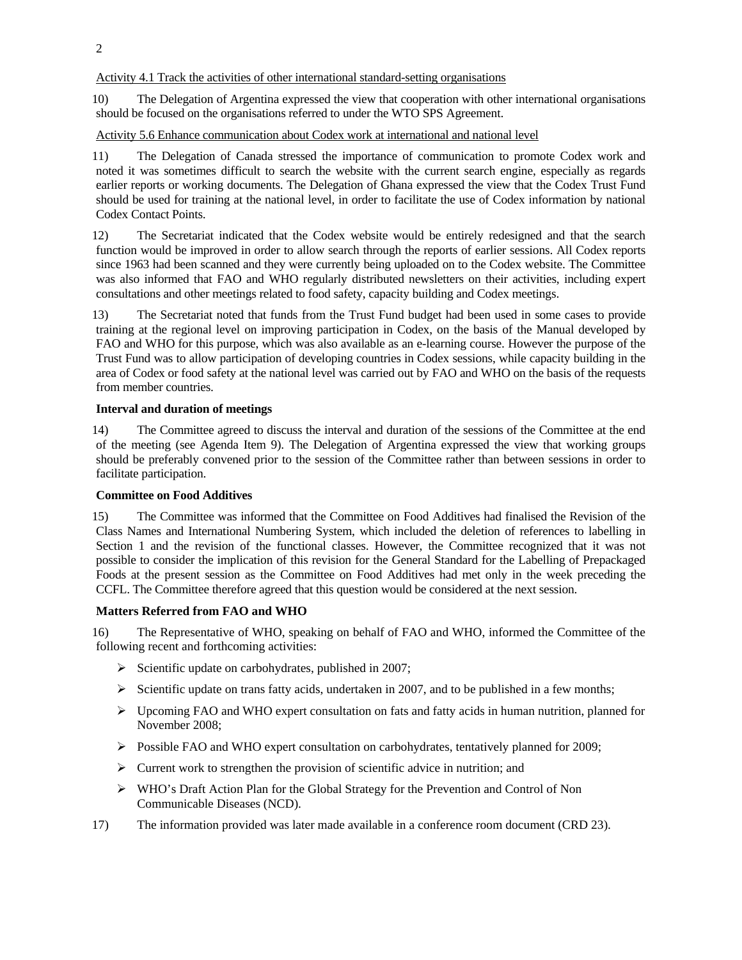Activity 4.1 Track the activities of other international standard-setting organisations

10) The Delegation of Argentina expressed the view that cooperation with other international organisations should be focused on the organisations referred to under the WTO SPS Agreement.

#### Activity 5.6 Enhance communication about Codex work at international and national level

11) The Delegation of Canada stressed the importance of communication to promote Codex work and noted it was sometimes difficult to search the website with the current search engine, especially as regards earlier reports or working documents. The Delegation of Ghana expressed the view that the Codex Trust Fund should be used for training at the national level, in order to facilitate the use of Codex information by national Codex Contact Points.

12) The Secretariat indicated that the Codex website would be entirely redesigned and that the search function would be improved in order to allow search through the reports of earlier sessions. All Codex reports since 1963 had been scanned and they were currently being uploaded on to the Codex website. The Committee was also informed that FAO and WHO regularly distributed newsletters on their activities, including expert consultations and other meetings related to food safety, capacity building and Codex meetings.

13) The Secretariat noted that funds from the Trust Fund budget had been used in some cases to provide training at the regional level on improving participation in Codex, on the basis of the Manual developed by FAO and WHO for this purpose, which was also available as an e-learning course. However the purpose of the Trust Fund was to allow participation of developing countries in Codex sessions, while capacity building in the area of Codex or food safety at the national level was carried out by FAO and WHO on the basis of the requests from member countries.

#### **Interval and duration of meetings**

14) The Committee agreed to discuss the interval and duration of the sessions of the Committee at the end of the meeting (see Agenda Item 9). The Delegation of Argentina expressed the view that working groups should be preferably convened prior to the session of the Committee rather than between sessions in order to facilitate participation.

# **Committee on Food Additives**

15) The Committee was informed that the Committee on Food Additives had finalised the Revision of the Class Names and International Numbering System, which included the deletion of references to labelling in Section 1 and the revision of the functional classes. However, the Committee recognized that it was not possible to consider the implication of this revision for the General Standard for the Labelling of Prepackaged Foods at the present session as the Committee on Food Additives had met only in the week preceding the CCFL. The Committee therefore agreed that this question would be considered at the next session.

# **Matters Referred from FAO and WHO**

16) The Representative of WHO, speaking on behalf of FAO and WHO, informed the Committee of the following recent and forthcoming activities:

- $\triangleright$  Scientific update on carbohydrates, published in 2007;
- $\triangleright$  Scientific update on trans fatty acids, undertaken in 2007, and to be published in a few months;
- $\triangleright$  Upcoming FAO and WHO expert consultation on fats and fatty acids in human nutrition, planned for November 2008;
- ¾ Possible FAO and WHO expert consultation on carbohydrates, tentatively planned for 2009;
- $\triangleright$  Current work to strengthen the provision of scientific advice in nutrition; and
- ¾ WHO's Draft Action Plan for the Global Strategy for the Prevention and Control of Non Communicable Diseases (NCD).
- 17) The information provided was later made available in a conference room document (CRD 23).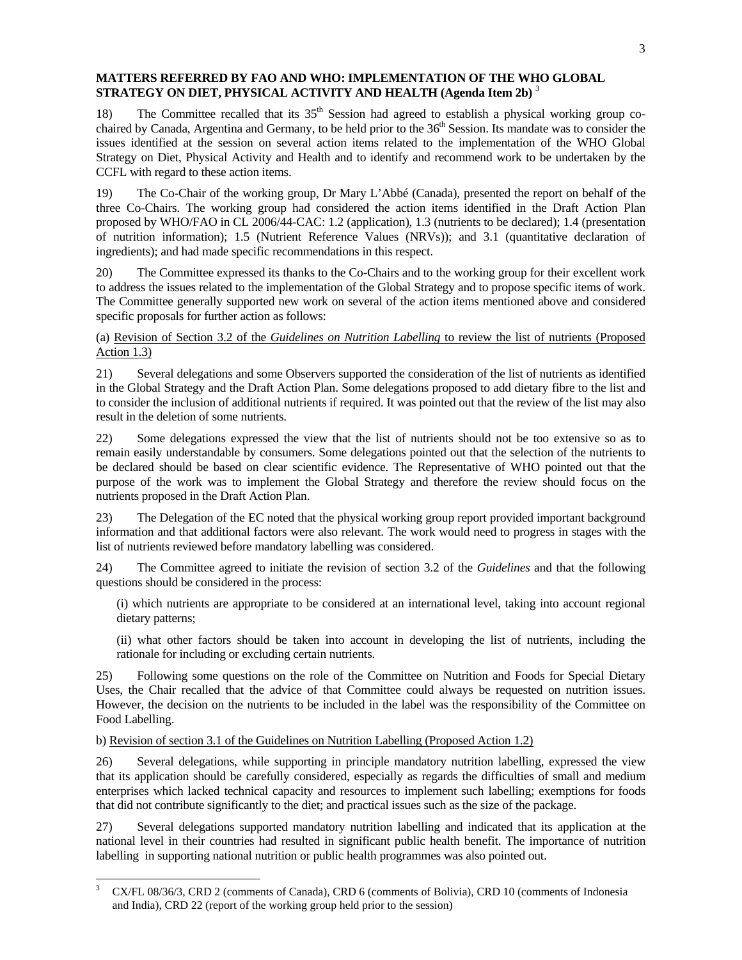# **MATTERS REFERRED BY FAO AND WHO: IMPLEMENTATION OF THE WHO GLOBAL STRATEGY ON DIET, PHYSICAL ACTIVITY AND HEALTH (Agenda Item 2b)** <sup>3</sup>

18) The Committee recalled that its  $35<sup>th</sup>$  Session had agreed to establish a physical working group cochaired by Canada, Argentina and Germany, to be held prior to the 36<sup>th</sup> Session. Its mandate was to consider the issues identified at the session on several action items related to the implementation of the WHO Global Strategy on Diet, Physical Activity and Health and to identify and recommend work to be undertaken by the CCFL with regard to these action items.

19) The Co-Chair of the working group, Dr Mary L'Abbé (Canada), presented the report on behalf of the three Co-Chairs. The working group had considered the action items identified in the Draft Action Plan proposed by WHO/FAO in CL 2006/44-CAC: 1.2 (application), 1.3 (nutrients to be declared); 1.4 (presentation of nutrition information); 1.5 (Nutrient Reference Values (NRVs)); and 3.1 (quantitative declaration of ingredients); and had made specific recommendations in this respect.

20) The Committee expressed its thanks to the Co-Chairs and to the working group for their excellent work to address the issues related to the implementation of the Global Strategy and to propose specific items of work. The Committee generally supported new work on several of the action items mentioned above and considered specific proposals for further action as follows:

# (a) Revision of Section 3.2 of the *Guidelines on Nutrition Labelling* to review the list of nutrients (Proposed Action 1.3)

21) Several delegations and some Observers supported the consideration of the list of nutrients as identified in the Global Strategy and the Draft Action Plan. Some delegations proposed to add dietary fibre to the list and to consider the inclusion of additional nutrients if required. It was pointed out that the review of the list may also result in the deletion of some nutrients.

22) Some delegations expressed the view that the list of nutrients should not be too extensive so as to remain easily understandable by consumers. Some delegations pointed out that the selection of the nutrients to be declared should be based on clear scientific evidence. The Representative of WHO pointed out that the purpose of the work was to implement the Global Strategy and therefore the review should focus on the nutrients proposed in the Draft Action Plan.

23) The Delegation of the EC noted that the physical working group report provided important background information and that additional factors were also relevant. The work would need to progress in stages with the list of nutrients reviewed before mandatory labelling was considered.

24) The Committee agreed to initiate the revision of section 3.2 of the *Guidelines* and that the following questions should be considered in the process:

(i) which nutrients are appropriate to be considered at an international level, taking into account regional dietary patterns;

(ii) what other factors should be taken into account in developing the list of nutrients, including the rationale for including or excluding certain nutrients.

25) Following some questions on the role of the Committee on Nutrition and Foods for Special Dietary Uses, the Chair recalled that the advice of that Committee could always be requested on nutrition issues. However, the decision on the nutrients to be included in the label was the responsibility of the Committee on Food Labelling.

b) Revision of section 3.1 of the Guidelines on Nutrition Labelling (Proposed Action 1.2)

 $\overline{a}$ 

26) Several delegations, while supporting in principle mandatory nutrition labelling, expressed the view that its application should be carefully considered, especially as regards the difficulties of small and medium enterprises which lacked technical capacity and resources to implement such labelling; exemptions for foods that did not contribute significantly to the diet; and practical issues such as the size of the package.

27) Several delegations supported mandatory nutrition labelling and indicated that its application at the national level in their countries had resulted in significant public health benefit. The importance of nutrition labelling in supporting national nutrition or public health programmes was also pointed out.

<sup>3</sup> CX/FL 08/36/3, CRD 2 (comments of Canada), CRD 6 (comments of Bolivia), CRD 10 (comments of Indonesia and India), CRD 22 (report of the working group held prior to the session)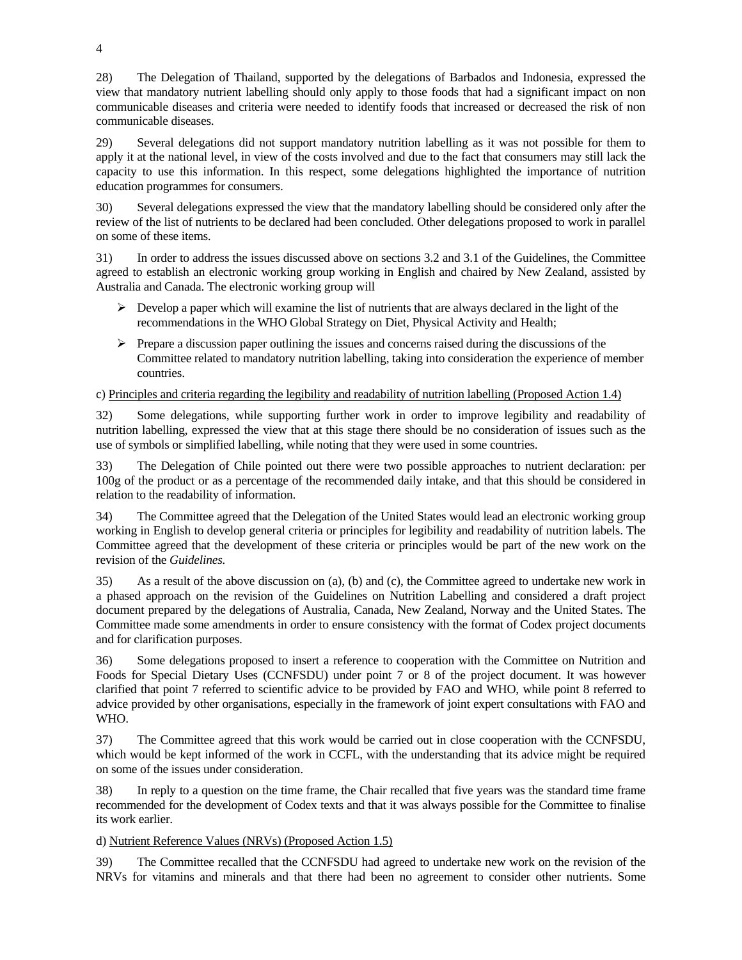28) The Delegation of Thailand, supported by the delegations of Barbados and Indonesia, expressed the view that mandatory nutrient labelling should only apply to those foods that had a significant impact on non communicable diseases and criteria were needed to identify foods that increased or decreased the risk of non communicable diseases.

29) Several delegations did not support mandatory nutrition labelling as it was not possible for them to apply it at the national level, in view of the costs involved and due to the fact that consumers may still lack the capacity to use this information. In this respect, some delegations highlighted the importance of nutrition education programmes for consumers.

30) Several delegations expressed the view that the mandatory labelling should be considered only after the review of the list of nutrients to be declared had been concluded. Other delegations proposed to work in parallel on some of these items.

31) In order to address the issues discussed above on sections 3.2 and 3.1 of the Guidelines, the Committee agreed to establish an electronic working group working in English and chaired by New Zealand, assisted by Australia and Canada. The electronic working group will

- $\triangleright$  Develop a paper which will examine the list of nutrients that are always declared in the light of the recommendations in the WHO Global Strategy on Diet, Physical Activity and Health;
- $\triangleright$  Prepare a discussion paper outlining the issues and concerns raised during the discussions of the Committee related to mandatory nutrition labelling, taking into consideration the experience of member countries.

# c) Principles and criteria regarding the legibility and readability of nutrition labelling (Proposed Action 1.4)

32) Some delegations, while supporting further work in order to improve legibility and readability of nutrition labelling, expressed the view that at this stage there should be no consideration of issues such as the use of symbols or simplified labelling, while noting that they were used in some countries.

33) The Delegation of Chile pointed out there were two possible approaches to nutrient declaration: per 100g of the product or as a percentage of the recommended daily intake, and that this should be considered in relation to the readability of information.

34) The Committee agreed that the Delegation of the United States would lead an electronic working group working in English to develop general criteria or principles for legibility and readability of nutrition labels. The Committee agreed that the development of these criteria or principles would be part of the new work on the revision of the *Guidelines.*

35) As a result of the above discussion on (a), (b) and (c), the Committee agreed to undertake new work in a phased approach on the revision of the Guidelines on Nutrition Labelling and considered a draft project document prepared by the delegations of Australia, Canada, New Zealand, Norway and the United States. The Committee made some amendments in order to ensure consistency with the format of Codex project documents and for clarification purposes.

36) Some delegations proposed to insert a reference to cooperation with the Committee on Nutrition and Foods for Special Dietary Uses (CCNFSDU) under point 7 or 8 of the project document. It was however clarified that point 7 referred to scientific advice to be provided by FAO and WHO, while point 8 referred to advice provided by other organisations, especially in the framework of joint expert consultations with FAO and WHO.

37) The Committee agreed that this work would be carried out in close cooperation with the CCNFSDU, which would be kept informed of the work in CCFL, with the understanding that its advice might be required on some of the issues under consideration.

38) In reply to a question on the time frame, the Chair recalled that five years was the standard time frame recommended for the development of Codex texts and that it was always possible for the Committee to finalise its work earlier.

# d) Nutrient Reference Values (NRVs) (Proposed Action 1.5)

39) The Committee recalled that the CCNFSDU had agreed to undertake new work on the revision of the NRVs for vitamins and minerals and that there had been no agreement to consider other nutrients. Some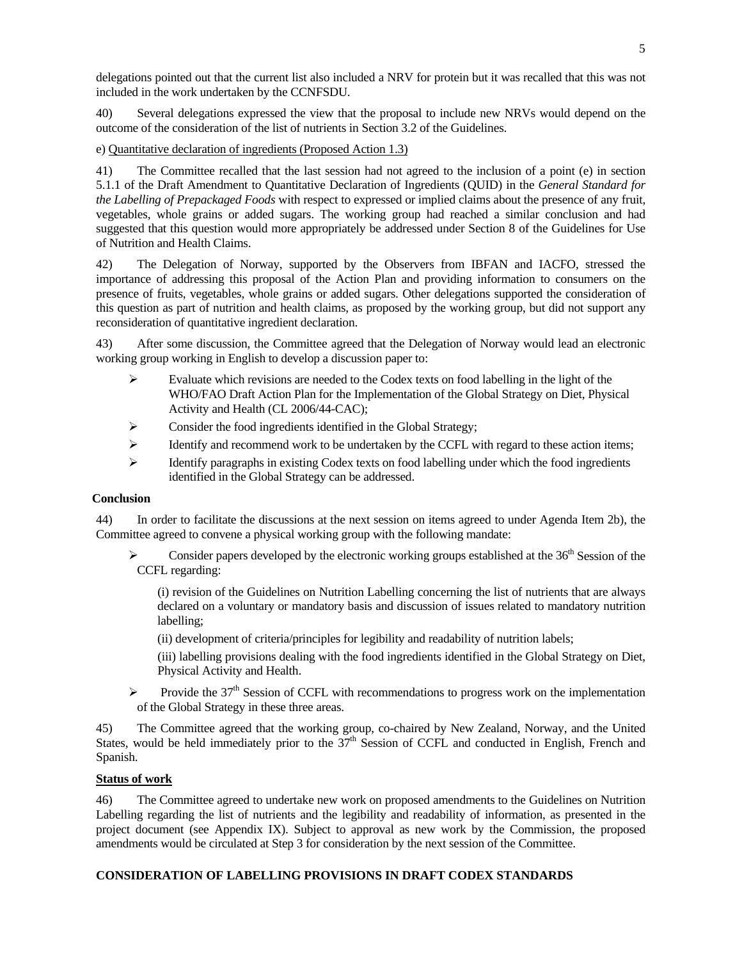delegations pointed out that the current list also included a NRV for protein but it was recalled that this was not included in the work undertaken by the CCNFSDU.

40) Several delegations expressed the view that the proposal to include new NRVs would depend on the outcome of the consideration of the list of nutrients in Section 3.2 of the Guidelines.

e) Quantitative declaration of ingredients (Proposed Action 1.3)

41) The Committee recalled that the last session had not agreed to the inclusion of a point (e) in section 5.1.1 of the Draft Amendment to Quantitative Declaration of Ingredients (QUID) in the *General Standard for the Labelling of Prepackaged Foods* with respect to expressed or implied claims about the presence of any fruit, vegetables, whole grains or added sugars. The working group had reached a similar conclusion and had suggested that this question would more appropriately be addressed under Section 8 of the Guidelines for Use of Nutrition and Health Claims.

42) The Delegation of Norway, supported by the Observers from IBFAN and IACFO, stressed the importance of addressing this proposal of the Action Plan and providing information to consumers on the presence of fruits, vegetables, whole grains or added sugars. Other delegations supported the consideration of this question as part of nutrition and health claims, as proposed by the working group, but did not support any reconsideration of quantitative ingredient declaration.

43) After some discussion, the Committee agreed that the Delegation of Norway would lead an electronic working group working in English to develop a discussion paper to:

- $\triangleright$  Evaluate which revisions are needed to the Codex texts on food labelling in the light of the WHO/FAO Draft Action Plan for the Implementation of the Global Strategy on Diet, Physical Activity and Health (CL 2006/44-CAC);
- ¾ Consider the food ingredients identified in the Global Strategy;
- $\triangleright$  Identify and recommend work to be undertaken by the CCFL with regard to these action items;
- $\triangleright$  Identify paragraphs in existing Codex texts on food labelling under which the food ingredients identified in the Global Strategy can be addressed.

#### **Conclusion**

44) In order to facilitate the discussions at the next session on items agreed to under Agenda Item 2b), the Committee agreed to convene a physical working group with the following mandate:

Consider papers developed by the electronic working groups established at the  $36<sup>th</sup>$  Session of the CCFL regarding:

(i) revision of the Guidelines on Nutrition Labelling concerning the list of nutrients that are always declared on a voluntary or mandatory basis and discussion of issues related to mandatory nutrition labelling;

(ii) development of criteria/principles for legibility and readability of nutrition labels;

(iii) labelling provisions dealing with the food ingredients identified in the Global Strategy on Diet, Physical Activity and Health.

 $\triangleright$  Provide the 37<sup>th</sup> Session of CCFL with recommendations to progress work on the implementation of the Global Strategy in these three areas.

45) The Committee agreed that the working group, co-chaired by New Zealand, Norway, and the United States, would be held immediately prior to the  $37<sup>th</sup>$  Session of CCFL and conducted in English, French and Spanish.

# **Status of work**

46) The Committee agreed to undertake new work on proposed amendments to the Guidelines on Nutrition Labelling regarding the list of nutrients and the legibility and readability of information, as presented in the project document (see Appendix IX). Subject to approval as new work by the Commission, the proposed amendments would be circulated at Step 3 for consideration by the next session of the Committee.

# **CONSIDERATION OF LABELLING PROVISIONS IN DRAFT CODEX STANDARDS**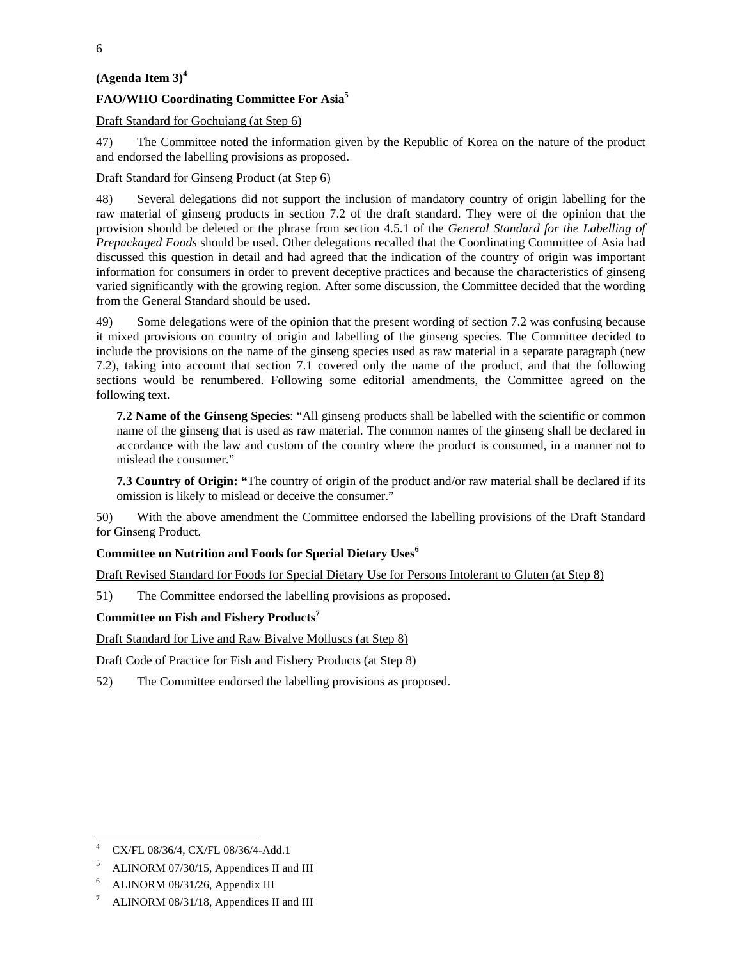# **(Agenda Item 3)<sup>4</sup>**

# **FAO/WHO Coordinating Committee For Asia5**

Draft Standard for Gochujang (at Step 6)

47) The Committee noted the information given by the Republic of Korea on the nature of the product and endorsed the labelling provisions as proposed.

#### Draft Standard for Ginseng Product (at Step 6)

48) Several delegations did not support the inclusion of mandatory country of origin labelling for the raw material of ginseng products in section 7.2 of the draft standard. They were of the opinion that the provision should be deleted or the phrase from section 4.5.1 of the *General Standard for the Labelling of Prepackaged Foods* should be used. Other delegations recalled that the Coordinating Committee of Asia had discussed this question in detail and had agreed that the indication of the country of origin was important information for consumers in order to prevent deceptive practices and because the characteristics of ginseng varied significantly with the growing region. After some discussion, the Committee decided that the wording from the General Standard should be used.

49) Some delegations were of the opinion that the present wording of section 7.2 was confusing because it mixed provisions on country of origin and labelling of the ginseng species. The Committee decided to include the provisions on the name of the ginseng species used as raw material in a separate paragraph (new 7.2), taking into account that section 7.1 covered only the name of the product, and that the following sections would be renumbered. Following some editorial amendments, the Committee agreed on the following text.

**7.2 Name of the Ginseng Species**: "All ginseng products shall be labelled with the scientific or common name of the ginseng that is used as raw material. The common names of the ginseng shall be declared in accordance with the law and custom of the country where the product is consumed, in a manner not to mislead the consumer."

**7.3 Country of Origin: "**The country of origin of the product and/or raw material shall be declared if its omission is likely to mislead or deceive the consumer."

50) With the above amendment the Committee endorsed the labelling provisions of the Draft Standard for Ginseng Product.

# **Committee on Nutrition and Foods for Special Dietary Uses6**

Draft Revised Standard for Foods for Special Dietary Use for Persons Intolerant to Gluten (at Step 8)

51) The Committee endorsed the labelling provisions as proposed.

#### **Committee on Fish and Fishery Products<sup>7</sup>**

Draft Standard for Live and Raw Bivalve Molluscs (at Step 8)

Draft Code of Practice for Fish and Fishery Products (at Step 8)

52) The Committee endorsed the labelling provisions as proposed.

 $\frac{1}{4}$ CX/FL 08/36/4, CX/FL 08/36/4-Add.1

<sup>5</sup> ALINORM 07/30/15, Appendices II and III

<sup>6</sup> ALINORM 08/31/26, Appendix III

<sup>7</sup> ALINORM 08/31/18, Appendices II and III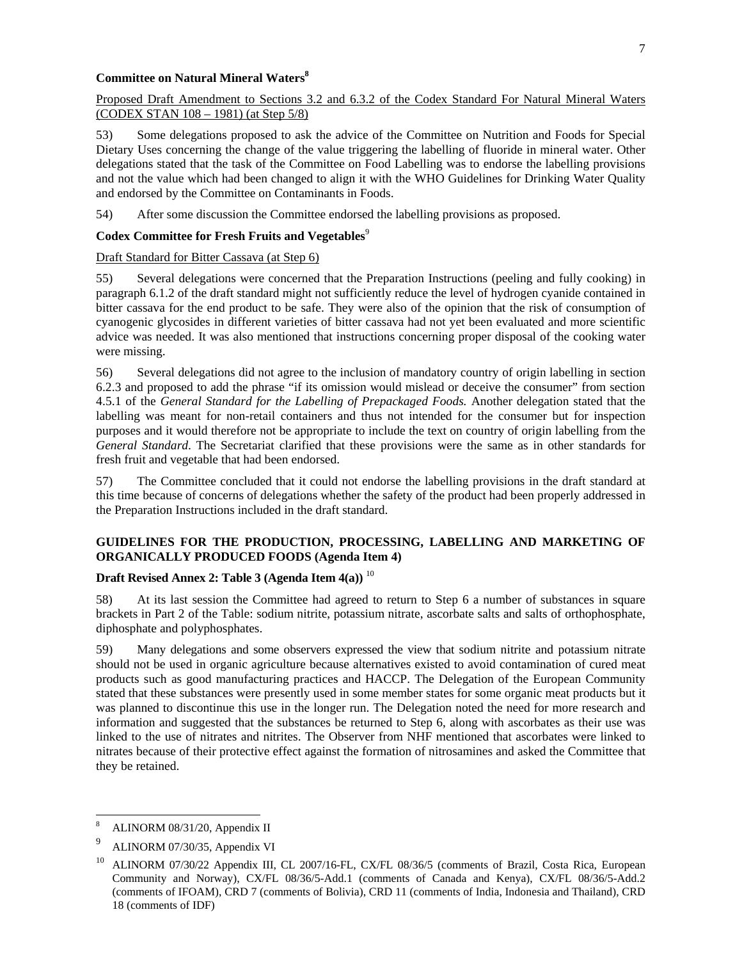#### **Committee on Natural Mineral Waters8**

#### Proposed Draft Amendment to Sections 3.2 and 6.3.2 of the Codex Standard For Natural Mineral Waters (CODEX STAN 108 – 1981) (at Step 5/8)

53) Some delegations proposed to ask the advice of the Committee on Nutrition and Foods for Special Dietary Uses concerning the change of the value triggering the labelling of fluoride in mineral water. Other delegations stated that the task of the Committee on Food Labelling was to endorse the labelling provisions and not the value which had been changed to align it with the WHO Guidelines for Drinking Water Quality and endorsed by the Committee on Contaminants in Foods.

54) After some discussion the Committee endorsed the labelling provisions as proposed.

#### Codex Committee for Fresh Fruits and Vegetables<sup>9</sup>

#### Draft Standard for Bitter Cassava (at Step 6)

55) Several delegations were concerned that the Preparation Instructions (peeling and fully cooking) in paragraph 6.1.2 of the draft standard might not sufficiently reduce the level of hydrogen cyanide contained in bitter cassava for the end product to be safe. They were also of the opinion that the risk of consumption of cyanogenic glycosides in different varieties of bitter cassava had not yet been evaluated and more scientific advice was needed. It was also mentioned that instructions concerning proper disposal of the cooking water were missing.

56) Several delegations did not agree to the inclusion of mandatory country of origin labelling in section 6.2.3 and proposed to add the phrase "if its omission would mislead or deceive the consumer" from section 4.5.1 of the *General Standard for the Labelling of Prepackaged Foods.* Another delegation stated that the labelling was meant for non-retail containers and thus not intended for the consumer but for inspection purposes and it would therefore not be appropriate to include the text on country of origin labelling from the *General Standard*. The Secretariat clarified that these provisions were the same as in other standards for fresh fruit and vegetable that had been endorsed.

57) The Committee concluded that it could not endorse the labelling provisions in the draft standard at this time because of concerns of delegations whether the safety of the product had been properly addressed in the Preparation Instructions included in the draft standard.

# **GUIDELINES FOR THE PRODUCTION, PROCESSING, LABELLING AND MARKETING OF ORGANICALLY PRODUCED FOODS (Agenda Item 4)**

# **Draft Revised Annex 2: Table 3 (Agenda Item 4(a))** <sup>10</sup>

58) At its last session the Committee had agreed to return to Step 6 a number of substances in square brackets in Part 2 of the Table: sodium nitrite, potassium nitrate, ascorbate salts and salts of orthophosphate, diphosphate and polyphosphates.

59) Many delegations and some observers expressed the view that sodium nitrite and potassium nitrate should not be used in organic agriculture because alternatives existed to avoid contamination of cured meat products such as good manufacturing practices and HACCP. The Delegation of the European Community stated that these substances were presently used in some member states for some organic meat products but it was planned to discontinue this use in the longer run. The Delegation noted the need for more research and information and suggested that the substances be returned to Step 6, along with ascorbates as their use was linked to the use of nitrates and nitrites. The Observer from NHF mentioned that ascorbates were linked to nitrates because of their protective effect against the formation of nitrosamines and asked the Committee that they be retained.

 $\overline{a}$ 

<sup>8</sup> ALINORM 08/31/20, Appendix II

<sup>9</sup> ALINORM 07/30/35, Appendix VI

<sup>&</sup>lt;sup>10</sup> ALINORM 07/30/22 Appendix III, CL 2007/16-FL, CX/FL 08/36/5 (comments of Brazil, Costa Rica, European Community and Norway), CX/FL 08/36/5-Add.1 (comments of Canada and Kenya), CX/FL 08/36/5-Add.2 (comments of IFOAM), CRD 7 (comments of Bolivia), CRD 11 (comments of India, Indonesia and Thailand), CRD 18 (comments of IDF)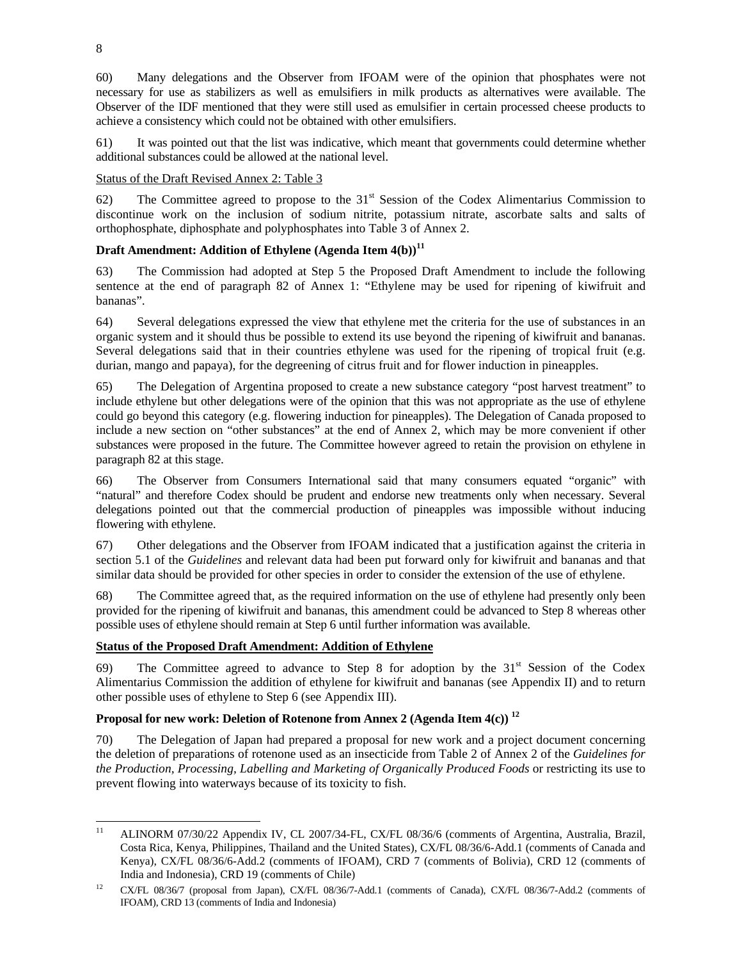60) Many delegations and the Observer from IFOAM were of the opinion that phosphates were not necessary for use as stabilizers as well as emulsifiers in milk products as alternatives were available. The Observer of the IDF mentioned that they were still used as emulsifier in certain processed cheese products to achieve a consistency which could not be obtained with other emulsifiers.

61) It was pointed out that the list was indicative, which meant that governments could determine whether additional substances could be allowed at the national level.

# Status of the Draft Revised Annex 2: Table 3

62) The Committee agreed to propose to the  $31<sup>st</sup>$  Session of the Codex Alimentarius Commission to discontinue work on the inclusion of sodium nitrite, potassium nitrate, ascorbate salts and salts of orthophosphate, diphosphate and polyphosphates into Table 3 of Annex 2.

# **Draft Amendment: Addition of Ethylene (Agenda Item 4(b))<sup>11</sup>**

63) The Commission had adopted at Step 5 the Proposed Draft Amendment to include the following sentence at the end of paragraph 82 of Annex 1: "Ethylene may be used for ripening of kiwifruit and bananas".

64) Several delegations expressed the view that ethylene met the criteria for the use of substances in an organic system and it should thus be possible to extend its use beyond the ripening of kiwifruit and bananas. Several delegations said that in their countries ethylene was used for the ripening of tropical fruit (e.g. durian, mango and papaya), for the degreening of citrus fruit and for flower induction in pineapples.

65) The Delegation of Argentina proposed to create a new substance category "post harvest treatment" to include ethylene but other delegations were of the opinion that this was not appropriate as the use of ethylene could go beyond this category (e.g. flowering induction for pineapples). The Delegation of Canada proposed to include a new section on "other substances" at the end of Annex 2, which may be more convenient if other substances were proposed in the future. The Committee however agreed to retain the provision on ethylene in paragraph 82 at this stage.

66) The Observer from Consumers International said that many consumers equated "organic" with "natural" and therefore Codex should be prudent and endorse new treatments only when necessary. Several delegations pointed out that the commercial production of pineapples was impossible without inducing flowering with ethylene.

67) Other delegations and the Observer from IFOAM indicated that a justification against the criteria in section 5.1 of the *Guidelines* and relevant data had been put forward only for kiwifruit and bananas and that similar data should be provided for other species in order to consider the extension of the use of ethylene.

68) The Committee agreed that, as the required information on the use of ethylene had presently only been provided for the ripening of kiwifruit and bananas, this amendment could be advanced to Step 8 whereas other possible uses of ethylene should remain at Step 6 until further information was available.

# **Status of the Proposed Draft Amendment: Addition of Ethylene**

69) The Committee agreed to advance to Step 8 for adoption by the  $31<sup>st</sup>$  Session of the Codex Alimentarius Commission the addition of ethylene for kiwifruit and bananas (see Appendix II) and to return other possible uses of ethylene to Step 6 (see Appendix III).

# Proposal for new work: Deletion of Rotenone from Annex 2 (Agenda Item 4(c))<sup>12</sup>

70) The Delegation of Japan had prepared a proposal for new work and a project document concerning the deletion of preparations of rotenone used as an insecticide from Table 2 of Annex 2 of the *Guidelines for the Production, Processing, Labelling and Marketing of Organically Produced Foods* or restricting its use to prevent flowing into waterways because of its toxicity to fish.

 $11$ 11 ALINORM 07/30/22 Appendix IV, CL 2007/34-FL, CX/FL 08/36/6 (comments of Argentina, Australia, Brazil, Costa Rica, Kenya, Philippines, Thailand and the United States), CX/FL 08/36/6-Add.1 (comments of Canada and Kenya), CX/FL 08/36/6-Add.2 (comments of IFOAM), CRD 7 (comments of Bolivia), CRD 12 (comments of India and Indonesia), CRD 19 (comments of Chile)

<sup>&</sup>lt;sup>12</sup> CX/FL 08/36/7 (proposal from Japan), CX/FL 08/36/7-Add.1 (comments of Canada), CX/FL 08/36/7-Add.2 (comments of IFOAM), CRD 13 (comments of India and Indonesia)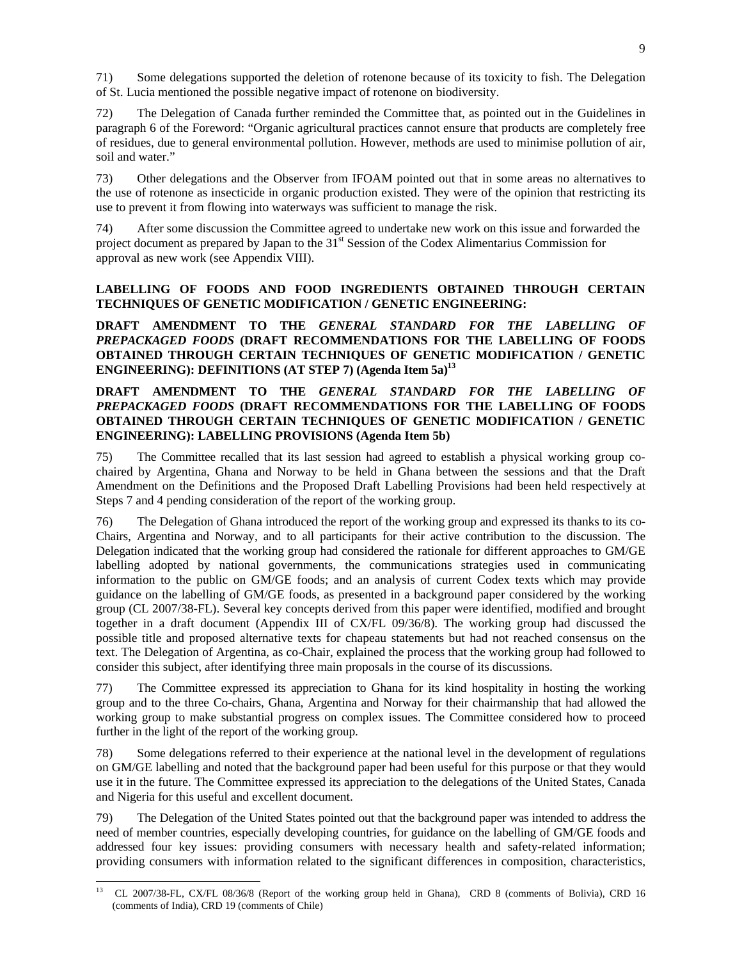71) Some delegations supported the deletion of rotenone because of its toxicity to fish. The Delegation of St. Lucia mentioned the possible negative impact of rotenone on biodiversity.

72) The Delegation of Canada further reminded the Committee that, as pointed out in the Guidelines in paragraph 6 of the Foreword: "Organic agricultural practices cannot ensure that products are completely free of residues, due to general environmental pollution. However, methods are used to minimise pollution of air, soil and water."

73) Other delegations and the Observer from IFOAM pointed out that in some areas no alternatives to the use of rotenone as insecticide in organic production existed. They were of the opinion that restricting its use to prevent it from flowing into waterways was sufficient to manage the risk.

74) After some discussion the Committee agreed to undertake new work on this issue and forwarded the project document as prepared by Japan to the 31<sup>st</sup> Session of the Codex Alimentarius Commission for approval as new work (see Appendix VIII).

# **LABELLING OF FOODS AND FOOD INGREDIENTS OBTAINED THROUGH CERTAIN TECHNIQUES OF GENETIC MODIFICATION / GENETIC ENGINEERING:**

**DRAFT AMENDMENT TO THE** *GENERAL STANDARD FOR THE LABELLING OF PREPACKAGED FOODS* **(DRAFT RECOMMENDATIONS FOR THE LABELLING OF FOODS OBTAINED THROUGH CERTAIN TECHNIQUES OF GENETIC MODIFICATION / GENETIC ENGINEERING): DEFINITIONS (AT STEP 7) (Agenda Item 5a)13** 

# **DRAFT AMENDMENT TO THE** *GENERAL STANDARD FOR THE LABELLING OF PREPACKAGED FOODS* **(DRAFT RECOMMENDATIONS FOR THE LABELLING OF FOODS OBTAINED THROUGH CERTAIN TECHNIQUES OF GENETIC MODIFICATION / GENETIC ENGINEERING): LABELLING PROVISIONS (Agenda Item 5b)**

75) The Committee recalled that its last session had agreed to establish a physical working group cochaired by Argentina, Ghana and Norway to be held in Ghana between the sessions and that the Draft Amendment on the Definitions and the Proposed Draft Labelling Provisions had been held respectively at Steps 7 and 4 pending consideration of the report of the working group.

76) The Delegation of Ghana introduced the report of the working group and expressed its thanks to its co-Chairs, Argentina and Norway, and to all participants for their active contribution to the discussion. The Delegation indicated that the working group had considered the rationale for different approaches to GM/GE labelling adopted by national governments, the communications strategies used in communicating information to the public on GM/GE foods; and an analysis of current Codex texts which may provide guidance on the labelling of GM/GE foods, as presented in a background paper considered by the working group (CL 2007/38-FL). Several key concepts derived from this paper were identified, modified and brought together in a draft document (Appendix III of CX/FL 09/36/8). The working group had discussed the possible title and proposed alternative texts for chapeau statements but had not reached consensus on the text. The Delegation of Argentina, as co-Chair, explained the process that the working group had followed to consider this subject, after identifying three main proposals in the course of its discussions.

77) The Committee expressed its appreciation to Ghana for its kind hospitality in hosting the working group and to the three Co-chairs, Ghana, Argentina and Norway for their chairmanship that had allowed the working group to make substantial progress on complex issues. The Committee considered how to proceed further in the light of the report of the working group.

78) Some delegations referred to their experience at the national level in the development of regulations on GM/GE labelling and noted that the background paper had been useful for this purpose or that they would use it in the future. The Committee expressed its appreciation to the delegations of the United States, Canada and Nigeria for this useful and excellent document.

79) The Delegation of the United States pointed out that the background paper was intended to address the need of member countries, especially developing countries, for guidance on the labelling of GM/GE foods and addressed four key issues: providing consumers with necessary health and safety-related information; providing consumers with information related to the significant differences in composition, characteristics,

 $13$ 13 CL 2007/38-FL, CX/FL 08/36/8 (Report of the working group held in Ghana), CRD 8 (comments of Bolivia), CRD 16 (comments of India), CRD 19 (comments of Chile)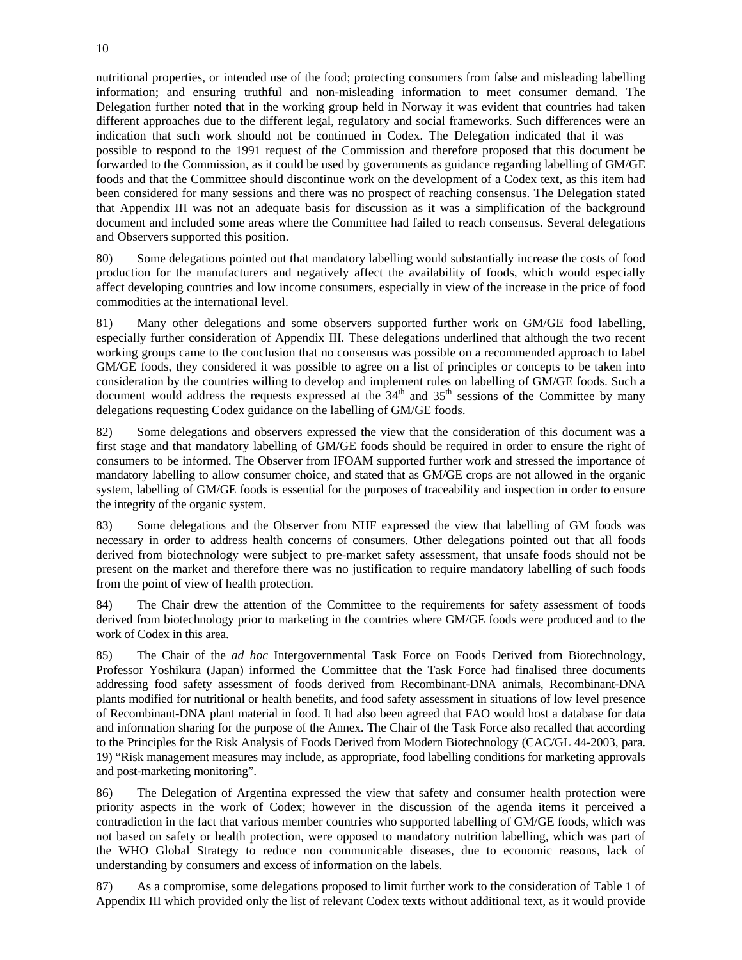nutritional properties, or intended use of the food; protecting consumers from false and misleading labelling information; and ensuring truthful and non-misleading information to meet consumer demand. The Delegation further noted that in the working group held in Norway it was evident that countries had taken different approaches due to the different legal, regulatory and social frameworks. Such differences were an indication that such work should not be continued in Codex. The Delegation indicated that it was possible to respond to the 1991 request of the Commission and therefore proposed that this document be forwarded to the Commission, as it could be used by governments as guidance regarding labelling of GM/GE foods and that the Committee should discontinue work on the development of a Codex text, as this item had been considered for many sessions and there was no prospect of reaching consensus. The Delegation stated that Appendix III was not an adequate basis for discussion as it was a simplification of the background document and included some areas where the Committee had failed to reach consensus. Several delegations and Observers supported this position.

80) Some delegations pointed out that mandatory labelling would substantially increase the costs of food production for the manufacturers and negatively affect the availability of foods, which would especially affect developing countries and low income consumers, especially in view of the increase in the price of food commodities at the international level.

81) Many other delegations and some observers supported further work on GM/GE food labelling, especially further consideration of Appendix III. These delegations underlined that although the two recent working groups came to the conclusion that no consensus was possible on a recommended approach to label GM/GE foods, they considered it was possible to agree on a list of principles or concepts to be taken into consideration by the countries willing to develop and implement rules on labelling of GM/GE foods. Such a document would address the requests expressed at the  $34<sup>th</sup>$  and  $35<sup>th</sup>$  sessions of the Committee by many delegations requesting Codex guidance on the labelling of GM/GE foods.

82) Some delegations and observers expressed the view that the consideration of this document was a first stage and that mandatory labelling of GM/GE foods should be required in order to ensure the right of consumers to be informed. The Observer from IFOAM supported further work and stressed the importance of mandatory labelling to allow consumer choice, and stated that as GM/GE crops are not allowed in the organic system, labelling of GM/GE foods is essential for the purposes of traceability and inspection in order to ensure the integrity of the organic system.

83) Some delegations and the Observer from NHF expressed the view that labelling of GM foods was necessary in order to address health concerns of consumers. Other delegations pointed out that all foods derived from biotechnology were subject to pre-market safety assessment, that unsafe foods should not be present on the market and therefore there was no justification to require mandatory labelling of such foods from the point of view of health protection.

84) The Chair drew the attention of the Committee to the requirements for safety assessment of foods derived from biotechnology prior to marketing in the countries where GM/GE foods were produced and to the work of Codex in this area.

85) The Chair of the *ad hoc* Intergovernmental Task Force on Foods Derived from Biotechnology, Professor Yoshikura (Japan) informed the Committee that the Task Force had finalised three documents addressing food safety assessment of foods derived from Recombinant-DNA animals, Recombinant-DNA plants modified for nutritional or health benefits, and food safety assessment in situations of low level presence of Recombinant-DNA plant material in food. It had also been agreed that FAO would host a database for data and information sharing for the purpose of the Annex. The Chair of the Task Force also recalled that according to the Principles for the Risk Analysis of Foods Derived from Modern Biotechnology (CAC/GL 44-2003, para. 19) "Risk management measures may include, as appropriate, food labelling conditions for marketing approvals and post-marketing monitoring".

86) The Delegation of Argentina expressed the view that safety and consumer health protection were priority aspects in the work of Codex; however in the discussion of the agenda items it perceived a contradiction in the fact that various member countries who supported labelling of GM/GE foods, which was not based on safety or health protection, were opposed to mandatory nutrition labelling, which was part of the WHO Global Strategy to reduce non communicable diseases, due to economic reasons, lack of understanding by consumers and excess of information on the labels.

87) As a compromise, some delegations proposed to limit further work to the consideration of Table 1 of Appendix III which provided only the list of relevant Codex texts without additional text, as it would provide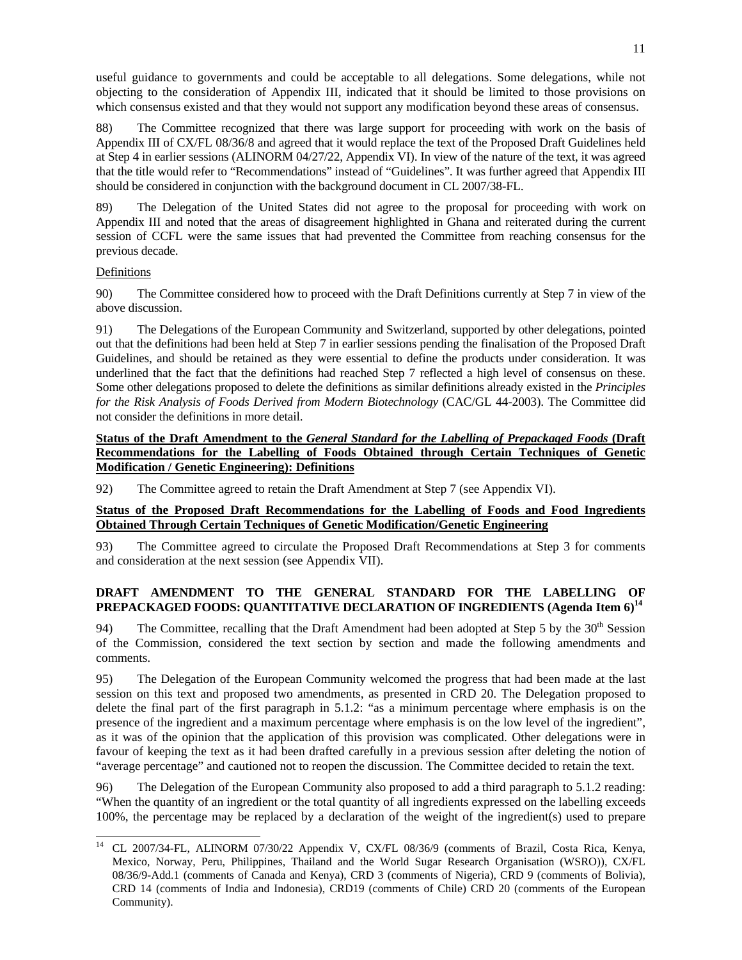useful guidance to governments and could be acceptable to all delegations. Some delegations, while not objecting to the consideration of Appendix III, indicated that it should be limited to those provisions on which consensus existed and that they would not support any modification beyond these areas of consensus.

88) The Committee recognized that there was large support for proceeding with work on the basis of Appendix III of CX/FL 08/36/8 and agreed that it would replace the text of the Proposed Draft Guidelines held at Step 4 in earlier sessions (ALINORM 04/27/22, Appendix VI). In view of the nature of the text, it was agreed that the title would refer to "Recommendations" instead of "Guidelines". It was further agreed that Appendix III should be considered in conjunction with the background document in CL 2007/38-FL.

89) The Delegation of the United States did not agree to the proposal for proceeding with work on Appendix III and noted that the areas of disagreement highlighted in Ghana and reiterated during the current session of CCFL were the same issues that had prevented the Committee from reaching consensus for the previous decade.

# Definitions

l

90) The Committee considered how to proceed with the Draft Definitions currently at Step 7 in view of the above discussion.

91) The Delegations of the European Community and Switzerland, supported by other delegations, pointed out that the definitions had been held at Step 7 in earlier sessions pending the finalisation of the Proposed Draft Guidelines, and should be retained as they were essential to define the products under consideration. It was underlined that the fact that the definitions had reached Step 7 reflected a high level of consensus on these. Some other delegations proposed to delete the definitions as similar definitions already existed in the *Principles for the Risk Analysis of Foods Derived from Modern Biotechnology* (CAC/GL 44-2003). The Committee did not consider the definitions in more detail.

# **Status of the Draft Amendment to the** *General Standard for the Labelling of Prepackaged Foods* **(Draft Recommendations for the Labelling of Foods Obtained through Certain Techniques of Genetic Modification / Genetic Engineering): Definitions**

92) The Committee agreed to retain the Draft Amendment at Step 7 (see Appendix VI).

# **Status of the Proposed Draft Recommendations for the Labelling of Foods and Food Ingredients Obtained Through Certain Techniques of Genetic Modification/Genetic Engineering**

93) The Committee agreed to circulate the Proposed Draft Recommendations at Step 3 for comments and consideration at the next session (see Appendix VII).

# **DRAFT AMENDMENT TO THE GENERAL STANDARD FOR THE LABELLING OF PREPACKAGED FOODS: QUANTITATIVE DECLARATION OF INGREDIENTS (Agenda Item 6)<sup>14</sup>**

94) The Committee, recalling that the Draft Amendment had been adopted at Step 5 by the 30<sup>th</sup> Session of the Commission, considered the text section by section and made the following amendments and comments.

95) The Delegation of the European Community welcomed the progress that had been made at the last session on this text and proposed two amendments, as presented in CRD 20. The Delegation proposed to delete the final part of the first paragraph in 5.1.2: "as a minimum percentage where emphasis is on the presence of the ingredient and a maximum percentage where emphasis is on the low level of the ingredient", as it was of the opinion that the application of this provision was complicated. Other delegations were in favour of keeping the text as it had been drafted carefully in a previous session after deleting the notion of "average percentage" and cautioned not to reopen the discussion. The Committee decided to retain the text.

96) The Delegation of the European Community also proposed to add a third paragraph to 5.1.2 reading: "When the quantity of an ingredient or the total quantity of all ingredients expressed on the labelling exceeds 100%, the percentage may be replaced by a declaration of the weight of the ingredient(s) used to prepare

<sup>14</sup> CL 2007/34-FL, ALINORM 07/30/22 Appendix V, CX/FL 08/36/9 (comments of Brazil, Costa Rica, Kenya, Mexico, Norway, Peru, Philippines, Thailand and the World Sugar Research Organisation (WSRO)), CX/FL 08/36/9-Add.1 (comments of Canada and Kenya), CRD 3 (comments of Nigeria), CRD 9 (comments of Bolivia), CRD 14 (comments of India and Indonesia), CRD19 (comments of Chile) CRD 20 (comments of the European Community).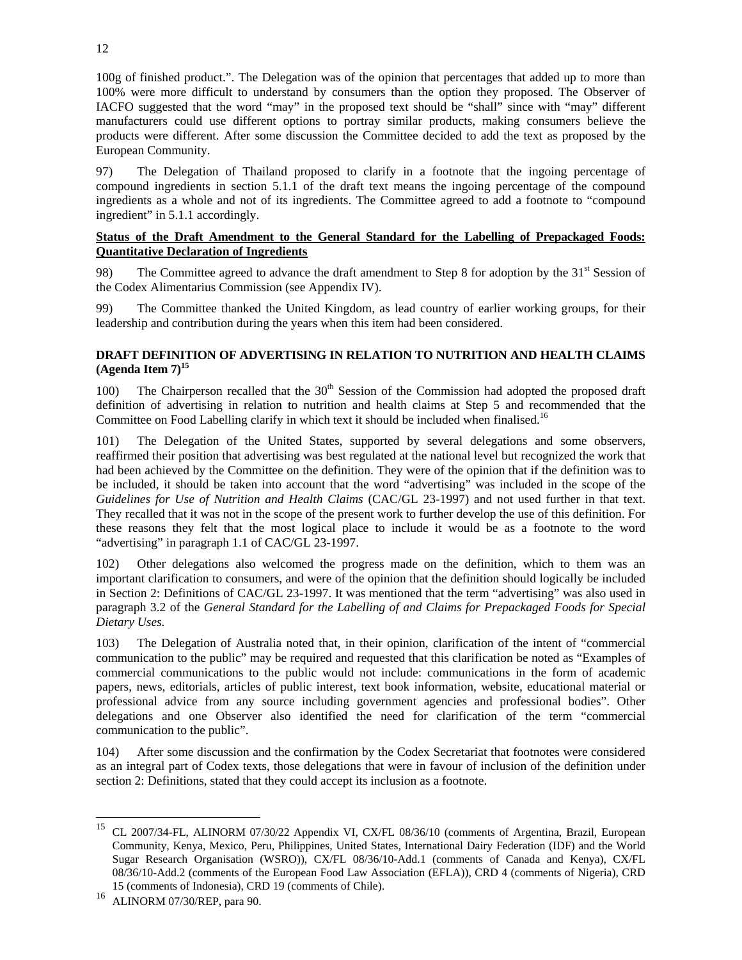100g of finished product.". The Delegation was of the opinion that percentages that added up to more than 100% were more difficult to understand by consumers than the option they proposed. The Observer of IACFO suggested that the word "may" in the proposed text should be "shall" since with "may" different manufacturers could use different options to portray similar products, making consumers believe the products were different. After some discussion the Committee decided to add the text as proposed by the European Community.

97) The Delegation of Thailand proposed to clarify in a footnote that the ingoing percentage of compound ingredients in section 5.1.1 of the draft text means the ingoing percentage of the compound ingredients as a whole and not of its ingredients. The Committee agreed to add a footnote to "compound ingredient" in 5.1.1 accordingly.

# **Status of the Draft Amendment to the General Standard for the Labelling of Prepackaged Foods: Quantitative Declaration of Ingredients**

98) The Committee agreed to advance the draft amendment to Step 8 for adoption by the  $31<sup>st</sup>$  Session of the Codex Alimentarius Commission (see Appendix IV).

99) The Committee thanked the United Kingdom, as lead country of earlier working groups, for their leadership and contribution during the years when this item had been considered.

# **DRAFT DEFINITION OF ADVERTISING IN RELATION TO NUTRITION AND HEALTH CLAIMS**  $(A$ genda Item  $7)^{15}$

100) The Chairperson recalled that the  $30<sup>th</sup>$  Session of the Commission had adopted the proposed draft definition of advertising in relation to nutrition and health claims at Step 5 and recommended that the Committee on Food Labelling clarify in which text it should be included when finalised.<sup>16</sup>

101) The Delegation of the United States, supported by several delegations and some observers, reaffirmed their position that advertising was best regulated at the national level but recognized the work that had been achieved by the Committee on the definition. They were of the opinion that if the definition was to be included, it should be taken into account that the word "advertising" was included in the scope of the *Guidelines for Use of Nutrition and Health Claims* (CAC/GL 23-1997) and not used further in that text. They recalled that it was not in the scope of the present work to further develop the use of this definition. For these reasons they felt that the most logical place to include it would be as a footnote to the word "advertising" in paragraph 1.1 of CAC/GL 23-1997.

102) Other delegations also welcomed the progress made on the definition, which to them was an important clarification to consumers, and were of the opinion that the definition should logically be included in Section 2: Definitions of CAC/GL 23-1997. It was mentioned that the term "advertising" was also used in paragraph 3.2 of the *General Standard for the Labelling of and Claims for Prepackaged Foods for Special Dietary Uses.*

103) The Delegation of Australia noted that, in their opinion, clarification of the intent of "commercial communication to the public" may be required and requested that this clarification be noted as "Examples of commercial communications to the public would not include: communications in the form of academic papers, news, editorials, articles of public interest, text book information, website, educational material or professional advice from any source including government agencies and professional bodies". Other delegations and one Observer also identified the need for clarification of the term "commercial communication to the public".

104) After some discussion and the confirmation by the Codex Secretariat that footnotes were considered as an integral part of Codex texts, those delegations that were in favour of inclusion of the definition under section 2: Definitions, stated that they could accept its inclusion as a footnote.

l

<sup>15</sup> CL 2007/34-FL, ALINORM 07/30/22 Appendix VI, CX/FL 08/36/10 (comments of Argentina, Brazil, European Community, Kenya, Mexico, Peru, Philippines, United States, International Dairy Federation (IDF) and the World Sugar Research Organisation (WSRO)), CX/FL 08/36/10-Add.1 (comments of Canada and Kenya), CX/FL 08/36/10-Add.2 (comments of the European Food Law Association (EFLA)), CRD 4 (comments of Nigeria), CRD 15 (comments of Indonesia), CRD 19 (comments of Chile).

<sup>16</sup> ALINORM 07/30/REP, para 90.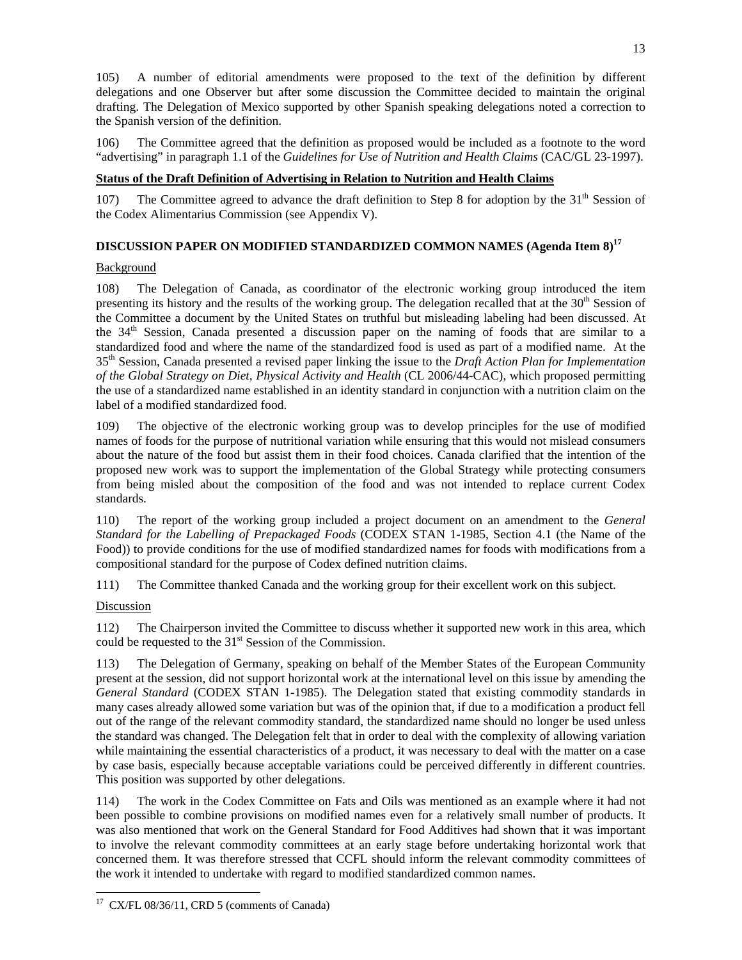105) A number of editorial amendments were proposed to the text of the definition by different delegations and one Observer but after some discussion the Committee decided to maintain the original drafting. The Delegation of Mexico supported by other Spanish speaking delegations noted a correction to the Spanish version of the definition.

106) The Committee agreed that the definition as proposed would be included as a footnote to the word "advertising" in paragraph 1.1 of the *Guidelines for Use of Nutrition and Health Claims* (CAC/GL 23-1997).

# **Status of the Draft Definition of Advertising in Relation to Nutrition and Health Claims**

107) The Committee agreed to advance the draft definition to Step 8 for adoption by the  $31<sup>th</sup>$  Session of the Codex Alimentarius Commission (see Appendix V).

# **DISCUSSION PAPER ON MODIFIED STANDARDIZED COMMON NAMES (Agenda Item 8)<sup>17</sup>**

#### Background

108) The Delegation of Canada, as coordinator of the electronic working group introduced the item presenting its history and the results of the working group. The delegation recalled that at the  $30<sup>th</sup>$  Session of the Committee a document by the United States on truthful but misleading labeling had been discussed. At the 34<sup>th</sup> Session, Canada presented a discussion paper on the naming of foods that are similar to a standardized food and where the name of the standardized food is used as part of a modified name. At the 35th Session, Canada presented a revised paper linking the issue to the *Draft Action Plan for Implementation of the Global Strategy on Diet, Physical Activity and Health* (CL 2006/44-CAC), which proposed permitting the use of a standardized name established in an identity standard in conjunction with a nutrition claim on the label of a modified standardized food.

109) The objective of the electronic working group was to develop principles for the use of modified names of foods for the purpose of nutritional variation while ensuring that this would not mislead consumers about the nature of the food but assist them in their food choices. Canada clarified that the intention of the proposed new work was to support the implementation of the Global Strategy while protecting consumers from being misled about the composition of the food and was not intended to replace current Codex standards.

110) The report of the working group included a project document on an amendment to the *General Standard for the Labelling of Prepackaged Foods* (CODEX STAN 1-1985, Section 4.1 (the Name of the Food)) to provide conditions for the use of modified standardized names for foods with modifications from a compositional standard for the purpose of Codex defined nutrition claims.

111) The Committee thanked Canada and the working group for their excellent work on this subject.

# **Discussion**

112) The Chairperson invited the Committee to discuss whether it supported new work in this area, which could be requested to the  $31<sup>st</sup>$  Session of the Commission.

113) The Delegation of Germany, speaking on behalf of the Member States of the European Community present at the session, did not support horizontal work at the international level on this issue by amending the *General Standard* (CODEX STAN 1-1985). The Delegation stated that existing commodity standards in many cases already allowed some variation but was of the opinion that, if due to a modification a product fell out of the range of the relevant commodity standard, the standardized name should no longer be used unless the standard was changed. The Delegation felt that in order to deal with the complexity of allowing variation while maintaining the essential characteristics of a product, it was necessary to deal with the matter on a case by case basis, especially because acceptable variations could be perceived differently in different countries. This position was supported by other delegations.

114) The work in the Codex Committee on Fats and Oils was mentioned as an example where it had not been possible to combine provisions on modified names even for a relatively small number of products. It was also mentioned that work on the General Standard for Food Additives had shown that it was important to involve the relevant commodity committees at an early stage before undertaking horizontal work that concerned them. It was therefore stressed that CCFL should inform the relevant commodity committees of the work it intended to undertake with regard to modified standardized common names.

l  $17$  CX/FL 08/36/11, CRD 5 (comments of Canada)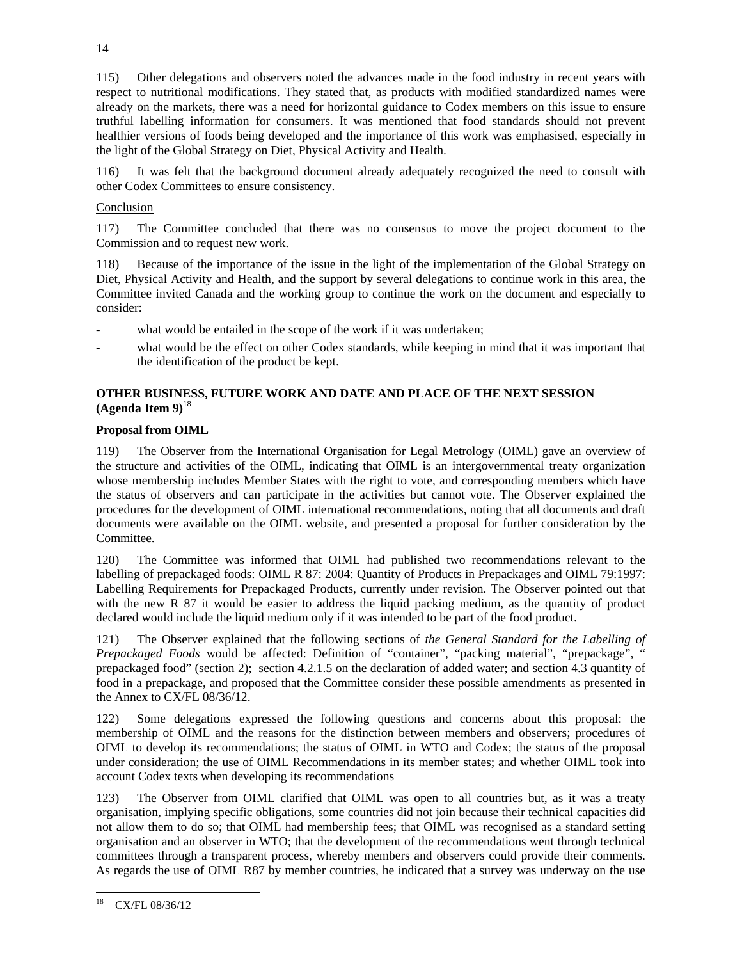115) Other delegations and observers noted the advances made in the food industry in recent years with respect to nutritional modifications. They stated that, as products with modified standardized names were already on the markets, there was a need for horizontal guidance to Codex members on this issue to ensure truthful labelling information for consumers. It was mentioned that food standards should not prevent healthier versions of foods being developed and the importance of this work was emphasised, especially in the light of the Global Strategy on Diet, Physical Activity and Health.

116) It was felt that the background document already adequately recognized the need to consult with other Codex Committees to ensure consistency.

# Conclusion

117) The Committee concluded that there was no consensus to move the project document to the Commission and to request new work.

118) Because of the importance of the issue in the light of the implementation of the Global Strategy on Diet, Physical Activity and Health, and the support by several delegations to continue work in this area, the Committee invited Canada and the working group to continue the work on the document and especially to consider:

- what would be entailed in the scope of the work if it was undertaken;
- what would be the effect on other Codex standards, while keeping in mind that it was important that the identification of the product be kept.

# **OTHER BUSINESS, FUTURE WORK AND DATE AND PLACE OF THE NEXT SESSION (Agenda Item 9)**<sup>18</sup>

# **Proposal from OIML**

119) The Observer from the International Organisation for Legal Metrology (OIML) gave an overview of the structure and activities of the OIML, indicating that OIML is an intergovernmental treaty organization whose membership includes Member States with the right to vote, and corresponding members which have the status of observers and can participate in the activities but cannot vote. The Observer explained the procedures for the development of OIML international recommendations, noting that all documents and draft documents were available on the OIML website, and presented a proposal for further consideration by the Committee.

120) The Committee was informed that OIML had published two recommendations relevant to the labelling of prepackaged foods: OIML R 87: 2004: Quantity of Products in Prepackages and OIML 79:1997: Labelling Requirements for Prepackaged Products, currently under revision. The Observer pointed out that with the new R 87 it would be easier to address the liquid packing medium, as the quantity of product declared would include the liquid medium only if it was intended to be part of the food product.

121) The Observer explained that the following sections of *the General Standard for the Labelling of Prepackaged Foods* would be affected: Definition of "container", "packing material", "prepackage", " prepackaged food" (section 2); section 4.2.1.5 on the declaration of added water; and section 4.3 quantity of food in a prepackage, and proposed that the Committee consider these possible amendments as presented in the Annex to CX/FL 08/36/12.

122) Some delegations expressed the following questions and concerns about this proposal: the membership of OIML and the reasons for the distinction between members and observers; procedures of OIML to develop its recommendations; the status of OIML in WTO and Codex; the status of the proposal under consideration; the use of OIML Recommendations in its member states; and whether OIML took into account Codex texts when developing its recommendations

123) The Observer from OIML clarified that OIML was open to all countries but, as it was a treaty organisation, implying specific obligations, some countries did not join because their technical capacities did not allow them to do so; that OIML had membership fees; that OIML was recognised as a standard setting organisation and an observer in WTO; that the development of the recommendations went through technical committees through a transparent process, whereby members and observers could provide their comments. As regards the use of OIML R87 by member countries, he indicated that a survey was underway on the use

<sup>18</sup> CX/FL 08/36/12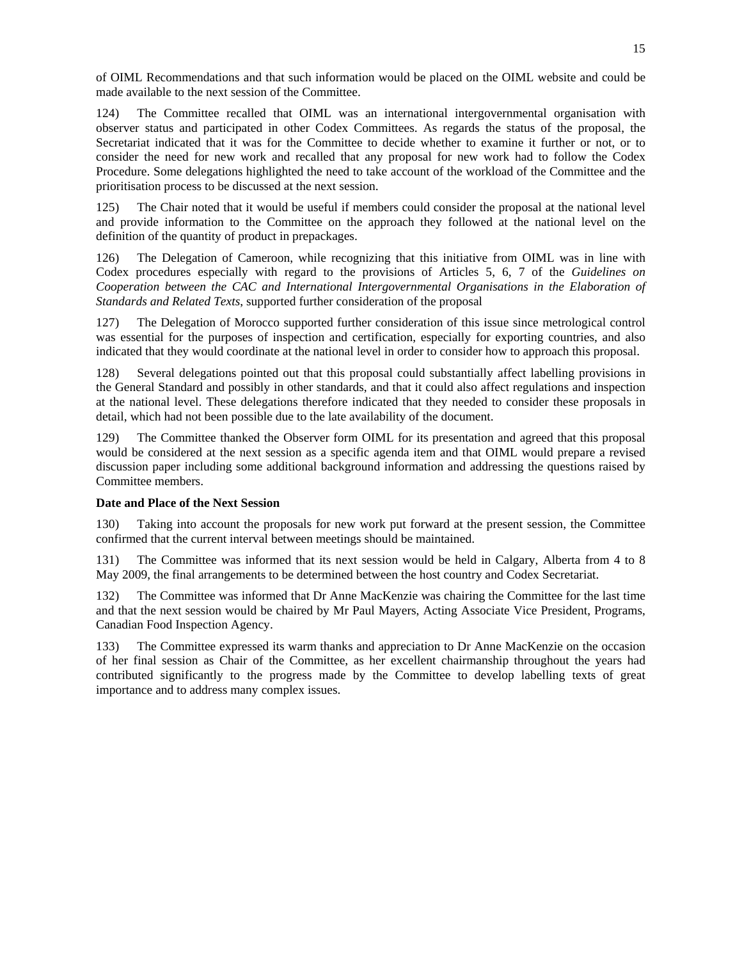of OIML Recommendations and that such information would be placed on the OIML website and could be made available to the next session of the Committee.

124) The Committee recalled that OIML was an international intergovernmental organisation with observer status and participated in other Codex Committees. As regards the status of the proposal, the Secretariat indicated that it was for the Committee to decide whether to examine it further or not, or to consider the need for new work and recalled that any proposal for new work had to follow the Codex Procedure. Some delegations highlighted the need to take account of the workload of the Committee and the prioritisation process to be discussed at the next session.

125) The Chair noted that it would be useful if members could consider the proposal at the national level and provide information to the Committee on the approach they followed at the national level on the definition of the quantity of product in prepackages.

126) The Delegation of Cameroon, while recognizing that this initiative from OIML was in line with Codex procedures especially with regard to the provisions of Articles 5, 6, 7 of the *Guidelines on Cooperation between the CAC and International Intergovernmental Organisations in the Elaboration of Standards and Related Texts*, supported further consideration of the proposal

127) The Delegation of Morocco supported further consideration of this issue since metrological control was essential for the purposes of inspection and certification, especially for exporting countries, and also indicated that they would coordinate at the national level in order to consider how to approach this proposal.

128) Several delegations pointed out that this proposal could substantially affect labelling provisions in the General Standard and possibly in other standards, and that it could also affect regulations and inspection at the national level. These delegations therefore indicated that they needed to consider these proposals in detail, which had not been possible due to the late availability of the document.

129) The Committee thanked the Observer form OIML for its presentation and agreed that this proposal would be considered at the next session as a specific agenda item and that OIML would prepare a revised discussion paper including some additional background information and addressing the questions raised by Committee members.

# **Date and Place of the Next Session**

130) Taking into account the proposals for new work put forward at the present session, the Committee confirmed that the current interval between meetings should be maintained.

131) The Committee was informed that its next session would be held in Calgary, Alberta from 4 to 8 May 2009, the final arrangements to be determined between the host country and Codex Secretariat.

132) The Committee was informed that Dr Anne MacKenzie was chairing the Committee for the last time and that the next session would be chaired by Mr Paul Mayers, Acting Associate Vice President, Programs, Canadian Food Inspection Agency.

133) The Committee expressed its warm thanks and appreciation to Dr Anne MacKenzie on the occasion of her final session as Chair of the Committee, as her excellent chairmanship throughout the years had contributed significantly to the progress made by the Committee to develop labelling texts of great importance and to address many complex issues.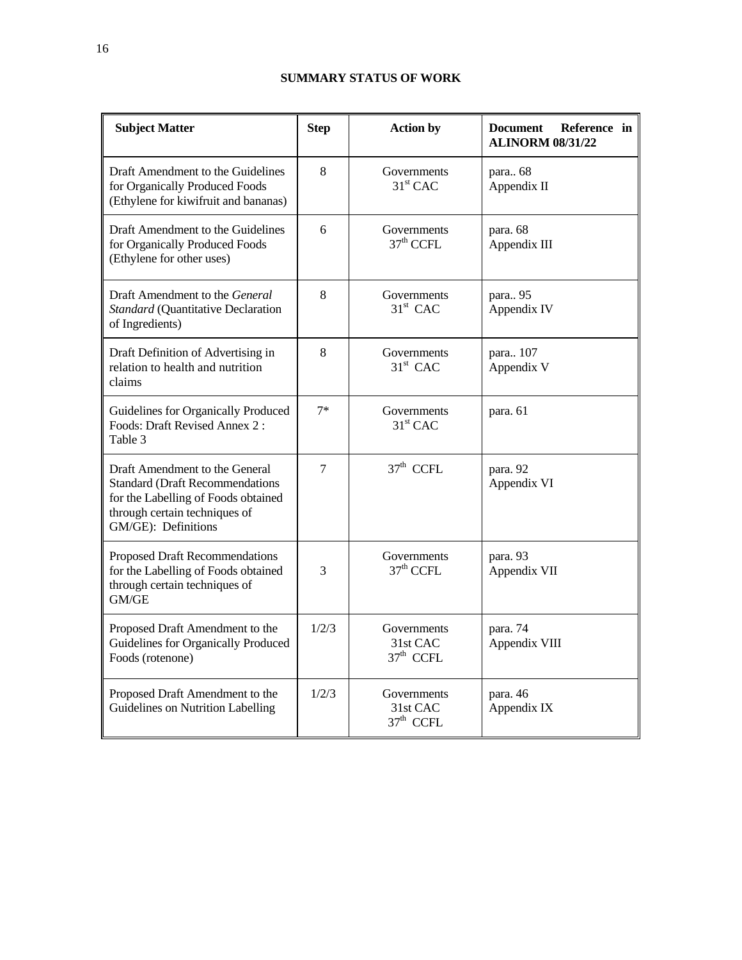# **SUMMARY STATUS OF WORK**

| <b>Subject Matter</b>                                                                                                                                                    | <b>Step</b> | <b>Action by</b>                       | <b>Document</b><br>Reference in<br><b>ALINORM 08/31/22</b> |
|--------------------------------------------------------------------------------------------------------------------------------------------------------------------------|-------------|----------------------------------------|------------------------------------------------------------|
| Draft Amendment to the Guidelines<br>for Organically Produced Foods<br>(Ethylene for kiwifruit and bananas)                                                              | 8           | Governments<br>$31st$ CAC              | para 68<br>Appendix II                                     |
| Draft Amendment to the Guidelines<br>for Organically Produced Foods<br>(Ethylene for other uses)                                                                         | 6           | Governments<br>$37th$ CCFL             | para. 68<br>Appendix III                                   |
| Draft Amendment to the <i>General</i><br>Standard (Quantitative Declaration<br>of Ingredients)                                                                           | 8           | Governments<br>$31st$ CAC              | para 95<br>Appendix IV                                     |
| Draft Definition of Advertising in<br>relation to health and nutrition<br>claims                                                                                         | 8           | Governments<br>$31st$ CAC              | para 107<br>Appendix V                                     |
| Guidelines for Organically Produced<br>Foods: Draft Revised Annex 2:<br>Table 3                                                                                          | $7*$        | Governments<br>$31st$ CAC              | para. 61                                                   |
| Draft Amendment to the General<br><b>Standard (Draft Recommendations)</b><br>for the Labelling of Foods obtained<br>through certain techniques of<br>GM/GE): Definitions | 7           | $37th$ CCFL                            | para. 92<br>Appendix VI                                    |
| Proposed Draft Recommendations<br>for the Labelling of Foods obtained<br>through certain techniques of<br>GM/GE                                                          | 3           | Governments<br>37 <sup>th</sup> CCFL   | para. 93<br>Appendix VII                                   |
| Proposed Draft Amendment to the<br>Guidelines for Organically Produced<br>Foods (rotenone)                                                                               | 1/2/3       | Governments<br>31st CAC<br>$37th$ CCFL | para. 74<br>Appendix VIII                                  |
| Proposed Draft Amendment to the<br>Guidelines on Nutrition Labelling                                                                                                     | 1/2/3       | Governments<br>31st CAC<br>$37th$ CCFL | para. 46<br>Appendix IX                                    |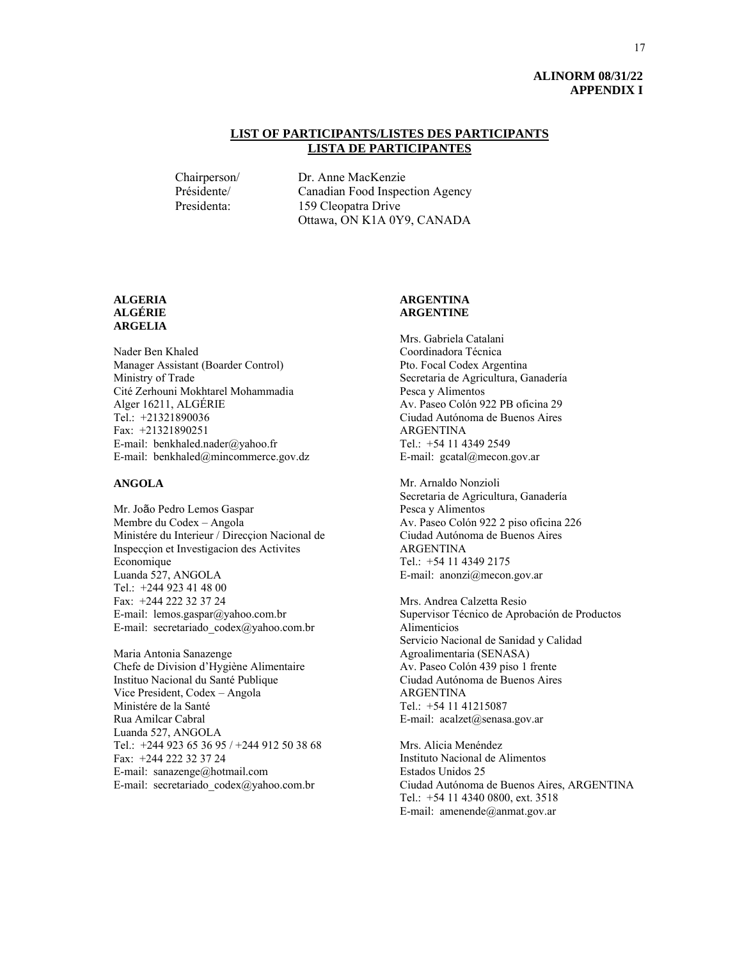# **ALINORM 08/31/22 APPENDIX I**

# **LIST OF PARTICIPANTS/LISTES DES PARTICIPANTS LISTA DE PARTICIPANTES**

 Chairperson/ Dr. Anne MacKenzie Présidente/ Canadian Food Inspection Agency Presidenta: 159 Cleopatra Drive Ottawa, ON K1A 0Y9, CANADA

#### **ALGERIA ALGÉRIE ARGELIA**

Nader Ben Khaled Manager Assistant (Boarder Control) Ministry of Trade Cité Zerhouni Mokhtarel Mohammadia Alger 16211, ALGÉRIE Tel.: +21321890036 Fax: +21321890251 E-mail: benkhaled.nader@yahoo.fr E-mail: benkhaled@mincommerce.gov.dz

#### **ANGOLA**

Mr. João Pedro Lemos Gaspar Membre du Codex – Angola Ministére du Interieur / Direcçion Nacional de Inspecçion et Investigacion des Activites Economique Luanda 527, ANGOLA Tel.: +244 923 41 48 00 Fax: +244 222 32 37 24 E-mail: lemos.gaspar@yahoo.com.br E-mail: secretariado\_codex@yahoo.com.br

Maria Antonia Sanazenge Chefe de Division d'Hygiène Alimentaire Instituo Nacional du Santé Publique Vice President, Codex – Angola Ministére de la Santé Rua Amilcar Cabral Luanda 527, ANGOLA Tel.: +244 923 65 36 95 / +244 912 50 38 68 Fax: +244 222 32 37 24 E-mail: sanazenge@hotmail.com E-mail: secretariado\_codex@yahoo.com.br

#### **ARGENTINA ARGENTINE**

Mrs. Gabriela Catalani Coordinadora Técnica Pto. Focal Codex Argentina Secretaria de Agricultura, Ganadería Pesca y Alimentos Av. Paseo Colón 922 PB oficina 29 Ciudad Autónoma de Buenos Aires ARGENTINA Tel.: +54 11 4349 2549 E-mail: gcatal@mecon.gov.ar

Mr. Arnaldo Nonzioli Secretaria de Agricultura, Ganadería Pesca y Alimentos Av. Paseo Colón 922 2 piso oficina 226 Ciudad Autónoma de Buenos Aires ARGENTINA Tel.: +54 11 4349 2175 E-mail: anonzi@mecon.gov.ar

Mrs. Andrea Calzetta Resio Supervisor Técnico de Aprobación de Productos Alimenticios Servicio Nacional de Sanidad y Calidad Agroalimentaria (SENASA) Av. Paseo Colón 439 piso 1 frente Ciudad Autónoma de Buenos Aires ARGENTINA Tel.: +54 11 41215087 E-mail: acalzet@senasa.gov.ar

Mrs. Alicia Menéndez Instituto Nacional de Alimentos Estados Unidos 25 Ciudad Autónoma de Buenos Aires, ARGENTINA Tel.: +54 11 4340 0800, ext. 3518 E-mail: amenende@anmat.gov.ar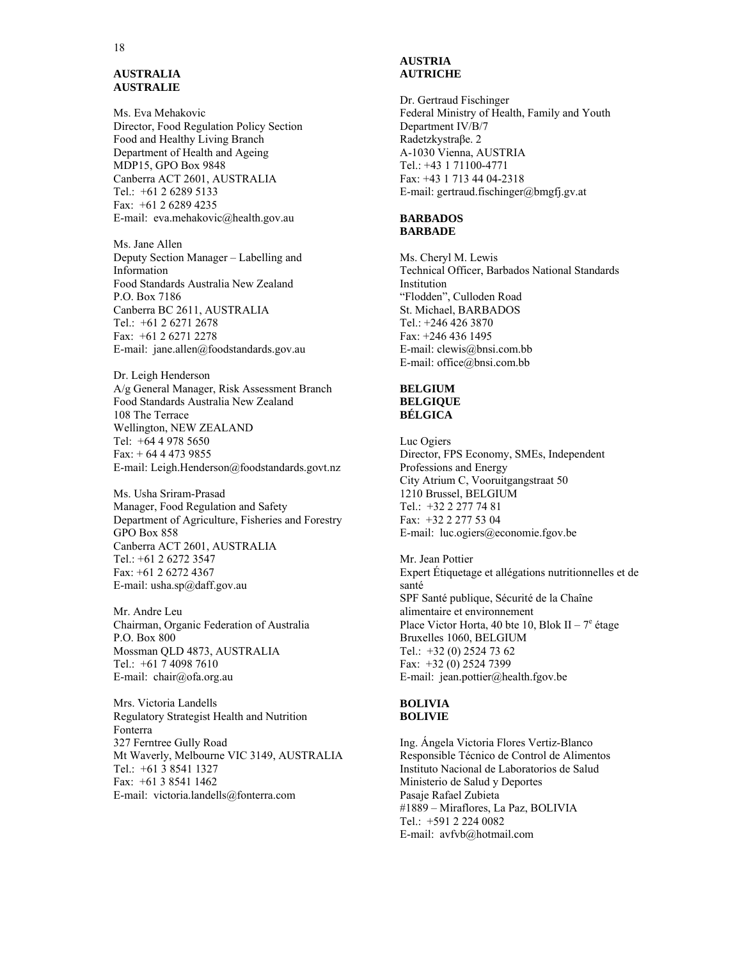#### **AUSTRALIA AUSTRALIE**

Ms. Eva Mehakovic Director, Food Regulation Policy Section Food and Healthy Living Branch Department of Health and Ageing MDP15, GPO Box 9848 Canberra ACT 2601, AUSTRALIA Tel.: +61 2 6289 5133 Fax: +61 2 6289 4235 E-mail: eva.mehakovic@health.gov.au

Ms. Jane Allen Deputy Section Manager – Labelling and Information Food Standards Australia New Zealand P.O. Box 7186 Canberra BC 2611, AUSTRALIA Tel.: +61 2 6271 2678 Fax: +61 2 6271 2278 E-mail: jane.allen@foodstandards.gov.au

Dr. Leigh Henderson A/g General Manager, Risk Assessment Branch Food Standards Australia New Zealand 108 The Terrace Wellington, NEW ZEALAND Tel: +64 4 978 5650 Fax: + 64 4 473 9855 E-mail: Leigh.Henderson@foodstandards.govt.nz

Ms. Usha Sriram-Prasad Manager, Food Regulation and Safety Department of Agriculture, Fisheries and Forestry GPO Box 858 Canberra ACT 2601, AUSTRALIA Tel.: +61 2 6272 3547 Fax: +61 2 6272 4367 E-mail: usha.sp@daff.gov.au

Mr. Andre Leu Chairman, Organic Federation of Australia P.O. Box 800 Mossman QLD 4873, AUSTRALIA Tel.: +61 7 4098 7610 E-mail: chair@ofa.org.au

Mrs. Victoria Landells Regulatory Strategist Health and Nutrition Fonterra 327 Ferntree Gully Road Mt Waverly, Melbourne VIC 3149, AUSTRALIA Tel.: +61 3 8541 1327 Fax: +61 3 8541 1462 E-mail: victoria.landells@fonterra.com

# **AUSTRIA AUTRICHE**

Dr. Gertraud Fischinger Federal Ministry of Health, Family and Youth Department IV/B/7 Radetzkystraβe. 2 A-1030 Vienna, AUSTRIA Tel.: +43 1 71100-4771 Fax: +43 1 713 44 04-2318 E-mail: gertraud.fischinger@bmgfj.gv.at

#### **BARBADOS BARBADE**

Ms. Cheryl M. Lewis Technical Officer, Barbados National Standards Institution "Flodden", Culloden Road St. Michael, BARBADOS Tel.: +246 426 3870 Fax: +246 436 1495 E-mail: clewis@bnsi.com.bb E-mail: office@bnsi.com.bb

#### **BELGIUM BELGIQUE BÉLGICA**

Luc Ogiers Director, FPS Economy, SMEs, Independent Professions and Energy City Atrium C, Vooruitgangstraat 50 1210 Brussel, BELGIUM Tel.: +32 2 277 74 81 Fax: +32 2 277 53 04 E-mail: luc.ogiers@economie.fgov.be

Mr. Jean Pottier Expert Étiquetage et allégations nutritionnelles et de santé SPF Santé publique, Sécurité de la Chaîne alimentaire et environnement Place Victor Horta, 40 bte 10, Blok II –  $7^e$  étage Bruxelles 1060, BELGIUM Tel.: +32 (0) 2524 73 62 Fax: +32 (0) 2524 7399 E-mail: jean.pottier@health.fgov.be

#### **BOLIVIA BOLIVIE**

Ing. Ángela Victoria Flores Vertiz-Blanco Responsible Técnico de Control de Alimentos Instituto Nacional de Laboratorios de Salud Ministerio de Salud y Deportes Pasaje Rafael Zubieta #1889 – Miraflores, La Paz, BOLIVIA Tel.: +591 2 224 0082 E-mail: avfvb@hotmail.com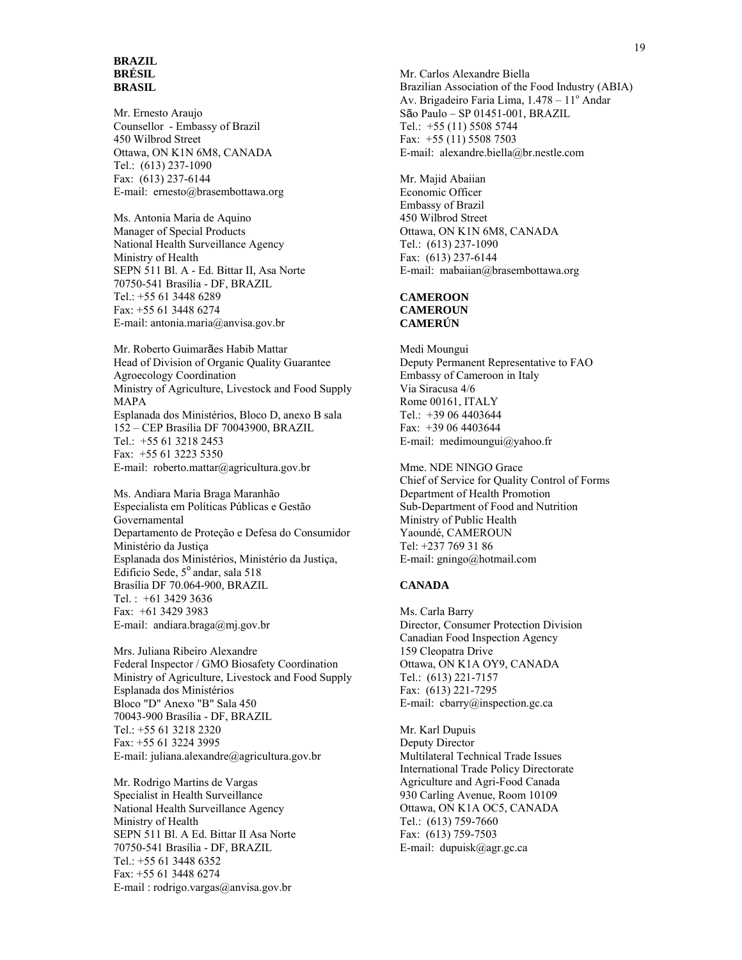#### **BRAZIL BRÉSIL BRASIL**

Mr. Ernesto Araujo Counsellor - Embassy of Brazil 450 Wilbrod Street Ottawa, ON K1N 6M8, CANADA Tel.: (613) 237-1090 Fax: (613) 237-6144 E-mail: ernesto@brasembottawa.org

Ms. Antonia Maria de Aquino Manager of Special Products National Health Surveillance Agency Ministry of Health SEPN 511 Bl. A - Ed. Bittar II, Asa Norte 70750-541 Brasília - DF, BRAZIL Tel.: +55 61 3448 6289 Fax: +55 61 3448 6274 E-mail: antonia.maria@anvisa.gov.br

Mr. Roberto Guimarães Habib Mattar Head of Division of Organic Quality Guarantee Agroecology Coordination Ministry of Agriculture, Livestock and Food Supply MAPA Esplanada dos Ministérios, Bloco D, anexo B sala 152 – CEP Brasília DF 70043900, BRAZIL Tel.: +55 61 3218 2453 Fax: +55 61 3223 5350 E-mail: roberto.mattar@agricultura.gov.br

Ms. Andiara Maria Braga Maranhão Especialista em Políticas Públicas e Gestão Governamental Departamento de Proteção e Defesa do Consumidor Ministério da Justiça Esplanada dos Ministérios, Ministério da Justiça, Edificio Sede,  $5^{\circ}$  andar, sala 518 Brasília DF 70.064-900, BRAZIL Tel. : +61 3429 3636 Fax: +61 3429 3983 E-mail: andiara.braga@mj.gov.br

Mrs. Juliana Ribeiro Alexandre Federal Inspector / GMO Biosafety Coordination Ministry of Agriculture, Livestock and Food Supply Esplanada dos Ministérios Bloco "D" Anexo "B" Sala 450 70043-900 Brasília - DF, BRAZIL Tel.: +55 61 3218 2320 Fax: +55 61 3224 3995 E-mail: juliana.alexandre@agricultura.gov.br

Mr. Rodrigo Martins de Vargas Specialist in Health Surveillance National Health Surveillance Agency Ministry of Health SEPN 511 Bl. A Ed. Bittar II Asa Norte 70750-541 Brasília - DF, BRAZIL Tel.: +55 61 3448 6352 Fax: +55 61 3448 6274 E-mail : rodrigo.vargas@anvisa.gov.br

Mr. Carlos Alexandre Biella Brazilian Association of the Food Industry (ABIA) Av. Brigadeiro Faria Lima, 1.478 - 11º Andar São Paulo – SP 01451-001, BRAZIL Tel.: +55 (11) 5508 5744 Fax: +55 (11) 5508 7503 E-mail: alexandre.biella@br.nestle.com

Mr. Majid Abaiian Economic Officer Embassy of Brazil 450 Wilbrod Street Ottawa, ON K1N 6M8, CANADA Tel.: (613) 237-1090 Fax: (613) 237-6144 E-mail: mabaiian@brasembottawa.org

#### **CAMEROON CAMEROUN CAMERÚN**

Medi Moungui Deputy Permanent Representative to FAO Embassy of Cameroon in Italy Via Siracusa 4/6 Rome 00161, ITALY Tel.: +39 06 4403644 Fax: +39 06 4403644 E-mail: medimoungui@yahoo.fr

Mme. NDE NINGO Grace Chief of Service for Quality Control of Forms Department of Health Promotion Sub-Department of Food and Nutrition Ministry of Public Health Yaoundé, CAMEROUN Tel: +237 769 31 86 E-mail: gningo@hotmail.com

#### **CANADA**

Ms. Carla Barry Director, Consumer Protection Division Canadian Food Inspection Agency 159 Cleopatra Drive Ottawa, ON K1A OY9, CANADA Tel.: (613) 221-7157 Fax: (613) 221-7295 E-mail: cbarry@inspection.gc.ca

Mr. Karl Dupuis Deputy Director Multilateral Technical Trade Issues International Trade Policy Directorate Agriculture and Agri-Food Canada 930 Carling Avenue, Room 10109 Ottawa, ON K1A OC5, CANADA Tel.: (613) 759-7660 Fax: (613) 759-7503 E-mail: dupuisk@agr.gc.ca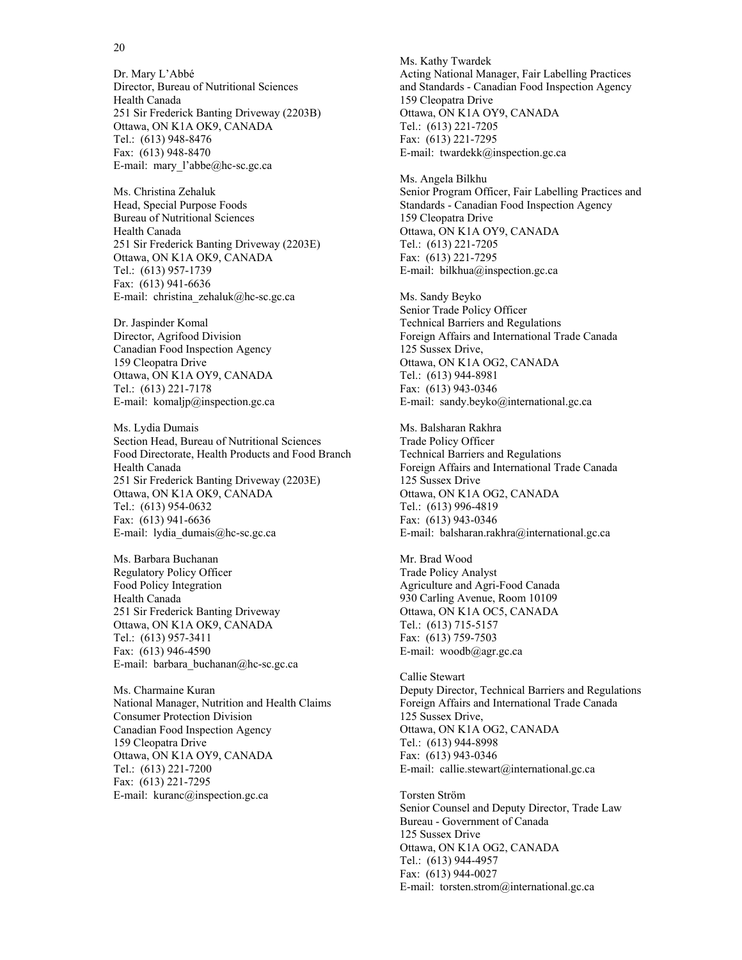Dr. Mary L'Abbé Director, Bureau of Nutritional Sciences Health Canada 251 Sir Frederick Banting Driveway (2203B) Ottawa, ON K1A OK9, CANADA Tel.: (613) 948-8476 Fax: (613) 948-8470 E-mail: mary\_l'abbe@hc-sc.gc.ca

Ms. Christina Zehaluk Head, Special Purpose Foods Bureau of Nutritional Sciences Health Canada 251 Sir Frederick Banting Driveway (2203E) Ottawa, ON K1A OK9, CANADA Tel.: (613) 957-1739 Fax: (613) 941-6636 E-mail: christina zehaluk@hc-sc.gc.ca

Dr. Jaspinder Komal Director, Agrifood Division Canadian Food Inspection Agency 159 Cleopatra Drive Ottawa, ON K1A OY9, CANADA Tel.: (613) 221-7178 E-mail: komaljp@inspection.gc.ca

Ms. Lydia Dumais Section Head, Bureau of Nutritional Sciences Food Directorate, Health Products and Food Branch Health Canada 251 Sir Frederick Banting Driveway (2203E) Ottawa, ON K1A OK9, CANADA Tel.: (613) 954-0632 Fax: (613) 941-6636 E-mail: lydia\_dumais@hc-sc.gc.ca

Ms. Barbara Buchanan Regulatory Policy Officer Food Policy Integration Health Canada 251 Sir Frederick Banting Driveway Ottawa, ON K1A OK9, CANADA Tel.: (613) 957-3411 Fax: (613) 946-4590 E-mail: barbara\_buchanan@hc-sc.gc.ca

Ms. Charmaine Kuran National Manager, Nutrition and Health Claims Consumer Protection Division Canadian Food Inspection Agency 159 Cleopatra Drive Ottawa, ON K1A OY9, CANADA Tel.: (613) 221-7200 Fax: (613) 221-7295 E-mail: kuranc@inspection.gc.ca

Ms. Kathy Twardek Acting National Manager, Fair Labelling Practices and Standards - Canadian Food Inspection Agency 159 Cleopatra Drive Ottawa, ON K1A OY9, CANADA Tel.: (613) 221-7205 Fax: (613) 221-7295 E-mail: twardekk@inspection.gc.ca

Ms. Angela Bilkhu Senior Program Officer, Fair Labelling Practices and Standards - Canadian Food Inspection Agency 159 Cleopatra Drive Ottawa, ON K1A OY9, CANADA Tel.: (613) 221-7205 Fax: (613) 221-7295 E-mail: bilkhua@inspection.gc.ca

Ms. Sandy Beyko Senior Trade Policy Officer Technical Barriers and Regulations Foreign Affairs and International Trade Canada 125 Sussex Drive, Ottawa, ON K1A OG2, CANADA Tel.: (613) 944-8981 Fax: (613) 943-0346 E-mail: sandy.beyko@international.gc.ca

Ms. Balsharan Rakhra Trade Policy Officer Technical Barriers and Regulations Foreign Affairs and International Trade Canada 125 Sussex Drive Ottawa, ON K1A OG2, CANADA Tel.: (613) 996-4819 Fax: (613) 943-0346 E-mail: balsharan.rakhra@international.gc.ca

Mr. Brad Wood Trade Policy Analyst Agriculture and Agri-Food Canada 930 Carling Avenue, Room 10109 Ottawa, ON K1A OC5, CANADA Tel.: (613) 715-5157 Fax: (613) 759-7503 E-mail: woodb@agr.gc.ca

Callie Stewart Deputy Director, Technical Barriers and Regulations Foreign Affairs and International Trade Canada 125 Sussex Drive, Ottawa, ON K1A OG2, CANADA Tel.: (613) 944-8998 Fax: (613) 943-0346 E-mail: callie.stewart@international.gc.ca

Torsten Ström Senior Counsel and Deputy Director, Trade Law Bureau - Government of Canada 125 Sussex Drive Ottawa, ON K1A OG2, CANADA Tel.: (613) 944-4957 Fax: (613) 944-0027 E-mail: torsten.strom@international.gc.ca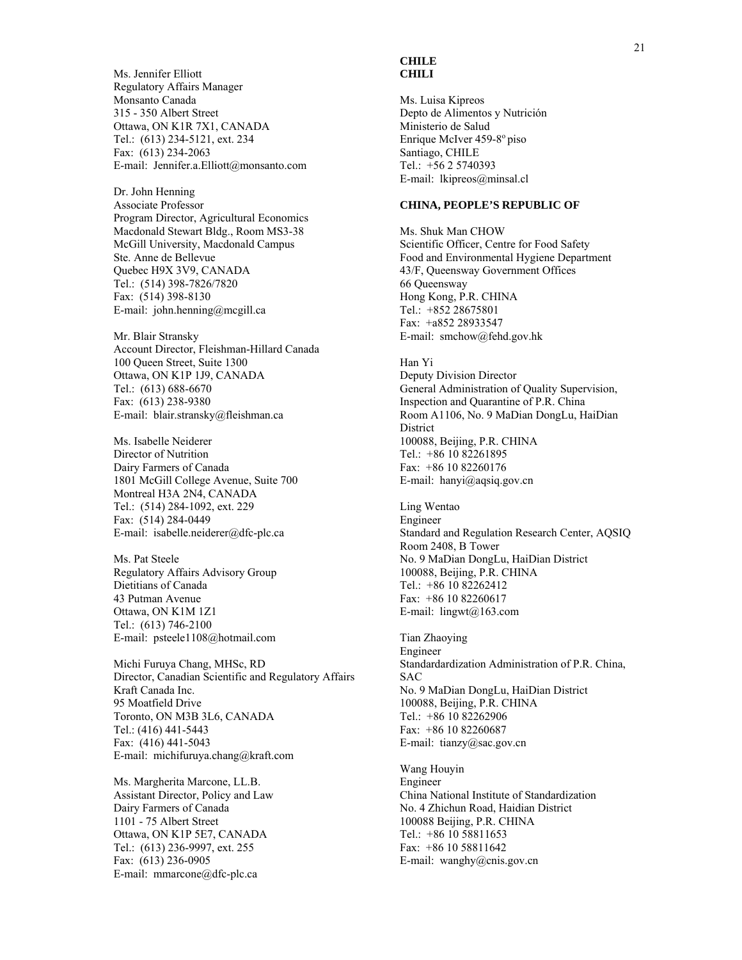Ms. Jennifer Elliott Regulatory Affairs Manager Monsanto Canada 315 - 350 Albert Street Ottawa, ON K1R 7X1, CANADA Tel.: (613) 234-5121, ext. 234 Fax: (613) 234-2063 E-mail: Jennifer.a.Elliott@monsanto.com

Dr. John Henning Associate Professor Program Director, Agricultural Economics Macdonald Stewart Bldg., Room MS3-38 McGill University, Macdonald Campus Ste. Anne de Bellevue Quebec H9X 3V9, CANADA Tel.: (514) 398-7826/7820 Fax: (514) 398-8130 E-mail: john.henning@mcgill.ca

Mr. Blair Stransky Account Director, Fleishman-Hillard Canada 100 Queen Street, Suite 1300 Ottawa, ON K1P 1J9, CANADA Tel.: (613) 688-6670 Fax: (613) 238-9380 E-mail: blair.stransky@fleishman.ca

Ms. Isabelle Neiderer Director of Nutrition Dairy Farmers of Canada 1801 McGill College Avenue, Suite 700 Montreal H3A 2N4, CANADA Tel.: (514) 284-1092, ext. 229 Fax: (514) 284-0449 E-mail: isabelle.neiderer@dfc-plc.ca

Ms. Pat Steele Regulatory Affairs Advisory Group Dietitians of Canada 43 Putman Avenue Ottawa, ON K1M 1Z1 Tel.: (613) 746-2100 E-mail: psteele1108@hotmail.com

Michi Furuya Chang, MHSc, RD Director, Canadian Scientific and Regulatory Affairs Kraft Canada Inc. 95 Moatfield Drive Toronto, ON M3B 3L6, CANADA Tel.: (416) 441-5443 Fax: (416) 441-5043 E-mail: michifuruya.chang@kraft.com

Ms. Margherita Marcone, LL.B. Assistant Director, Policy and Law Dairy Farmers of Canada 1101 - 75 Albert Street Ottawa, ON K1P 5E7, CANADA Tel.: (613) 236-9997, ext. 255 Fax: (613) 236-0905 E-mail: mmarcone@dfc-plc.ca

# **CHILE CHILI**

Ms. Luisa Kipreos Depto de Alimentos y Nutrición Ministerio de Salud Enrique McIver 459-8<sup>°</sup> piso Santiago, CHILE Tel.: +56 2 5740393 E-mail: lkipreos@minsal.cl

# **CHINA, PEOPLE'S REPUBLIC OF**

Ms. Shuk Man CHOW Scientific Officer, Centre for Food Safety Food and Environmental Hygiene Department 43/F, Queensway Government Offices 66 Queensway Hong Kong, P.R. CHINA Tel.: +852 28675801 Fax: +a852 28933547 E-mail: smchow@fehd.gov.hk

# Han Yi

Deputy Division Director General Administration of Quality Supervision, Inspection and Quarantine of P.R. China Room A1106, No. 9 MaDian DongLu, HaiDian District 100088, Beijing, P.R. CHINA Tel.: +86 10 82261895 Fax: +86 10 82260176 E-mail: hanyi@aqsiq.gov.cn

Ling Wentao Engineer Standard and Regulation Research Center, AQSIQ Room 2408, B Tower No. 9 MaDian DongLu, HaiDian District 100088, Beijing, P.R. CHINA Tel.: +86 10 82262412 Fax: +86 10 82260617 E-mail: lingwt@163.com

Tian Zhaoying Engineer Standardardization Administration of P.R. China, SAC No. 9 MaDian DongLu, HaiDian District 100088, Beijing, P.R. CHINA Tel.: +86 10 82262906 Fax: +86 10 82260687 E-mail: tianzy@sac.gov.cn

Wang Houyin Engineer China National Institute of Standardization No. 4 Zhichun Road, Haidian District 100088 Beijing, P.R. CHINA Tel.: +86 10 58811653 Fax: +86 10 58811642 E-mail: wanghy@cnis.gov.cn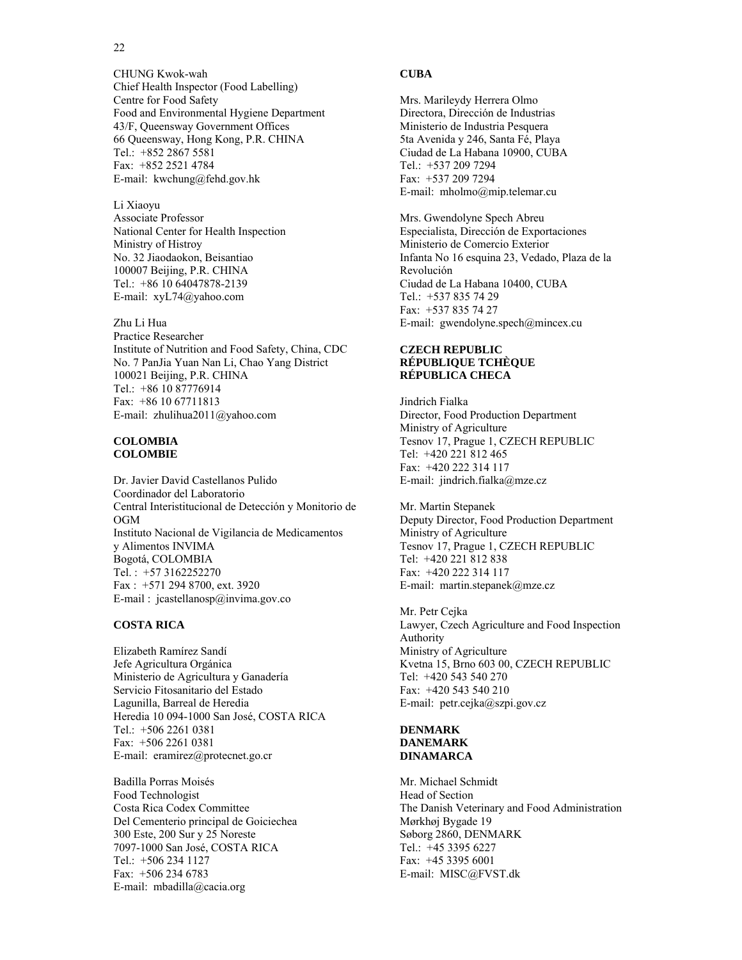#### 22

CHUNG Kwok-wah Chief Health Inspector (Food Labelling) Centre for Food Safety Food and Environmental Hygiene Department 43/F, Queensway Government Offices 66 Queensway, Hong Kong, P.R. CHINA Tel.: +852 2867 5581 Fax: +852 2521 4784 E-mail: kwchung@fehd.gov.hk

Li Xiaoyu Associate Professor National Center for Health Inspection Ministry of Histroy No. 32 Jiaodaokon, Beisantiao 100007 Beijing, P.R. CHINA Tel.: +86 10 64047878-2139 E-mail: xyL74@yahoo.com

Zhu Li Hua Practice Researcher Institute of Nutrition and Food Safety, China, CDC No. 7 PanJia Yuan Nan Li, Chao Yang District 100021 Beijing, P.R. CHINA Tel.: +86 10 87776914 Fax: +86 10 67711813 E-mail: zhulihua2011@yahoo.com

#### **COLOMBIA COLOMBIE**

Dr. Javier David Castellanos Pulido Coordinador del Laboratorio Central Interistitucional de Detección y Monitorio de OGM Instituto Nacional de Vigilancia de Medicamentos y Alimentos INVIMA Bogotá, COLOMBIA Tel. : +57 3162252270 Fax : +571 294 8700, ext. 3920 E-mail : jcastellanosp@invima.gov.co

# **COSTA RICA**

Elizabeth Ramírez Sandí Jefe Agricultura Orgánica Ministerio de Agricultura y Ganadería Servicio Fitosanitario del Estado Lagunilla, Barreal de Heredia Heredia 10 094-1000 San José, COSTA RICA Tel.: +506 2261 0381 Fax: +506 2261 0381 E-mail: eramirez@protecnet.go.cr

Badilla Porras Moisés Food Technologist Costa Rica Codex Committee Del Cementerio principal de Goiciechea 300 Este, 200 Sur y 25 Noreste 7097-1000 San José, COSTA RICA Tel.: +506 234 1127 Fax: +506 234 6783 E-mail: mbadilla@cacia.org

# **CUBA**

Mrs. Marileydy Herrera Olmo Directora, Dirección de Industrias Ministerio de Industria Pesquera 5ta Avenida y 246, Santa Fé, Playa Ciudad de La Habana 10900, CUBA Tel.: +537 209 7294 Fax: +537 209 7294 E-mail: mholmo@mip.telemar.cu

Mrs. Gwendolyne Spech Abreu Especialista, Dirección de Exportaciones Ministerio de Comercio Exterior Infanta No 16 esquina 23, Vedado, Plaza de la Revolución Ciudad de La Habana 10400, CUBA Tel.: +537 835 74 29 Fax: +537 835 74 27 E-mail: gwendolyne.spech@mincex.cu

#### **CZECH REPUBLIC RÉPUBLIQUE TCHÈQUE RÉPUBLICA CHECA**

Jindrich Fialka Director, Food Production Department Ministry of Agriculture Tesnov 17, Prague 1, CZECH REPUBLIC Tel: +420 221 812 465 Fax: +420 222 314 117 E-mail: jindrich.fialka@mze.cz

Mr. Martin Stepanek Deputy Director, Food Production Department Ministry of Agriculture Tesnov 17, Prague 1, CZECH REPUBLIC Tel: +420 221 812 838 Fax: +420 222 314 117 E-mail: martin.stepanek@mze.cz

Mr. Petr Cejka Lawyer, Czech Agriculture and Food Inspection Authority Ministry of Agriculture Kvetna 15, Brno 603 00, CZECH REPUBLIC Tel: +420 543 540 270 Fax: +420 543 540 210 E-mail: petr.cejka@szpi.gov.cz

### **DENMARK DANEMARK DINAMARCA**

Mr. Michael Schmidt Head of Section The Danish Veterinary and Food Administration Mørkhøj Bygade 19 Søborg 2860, DENMARK Tel.: +45 3395 6227 Fax: +45 3395 6001 E-mail: MISC@FVST.dk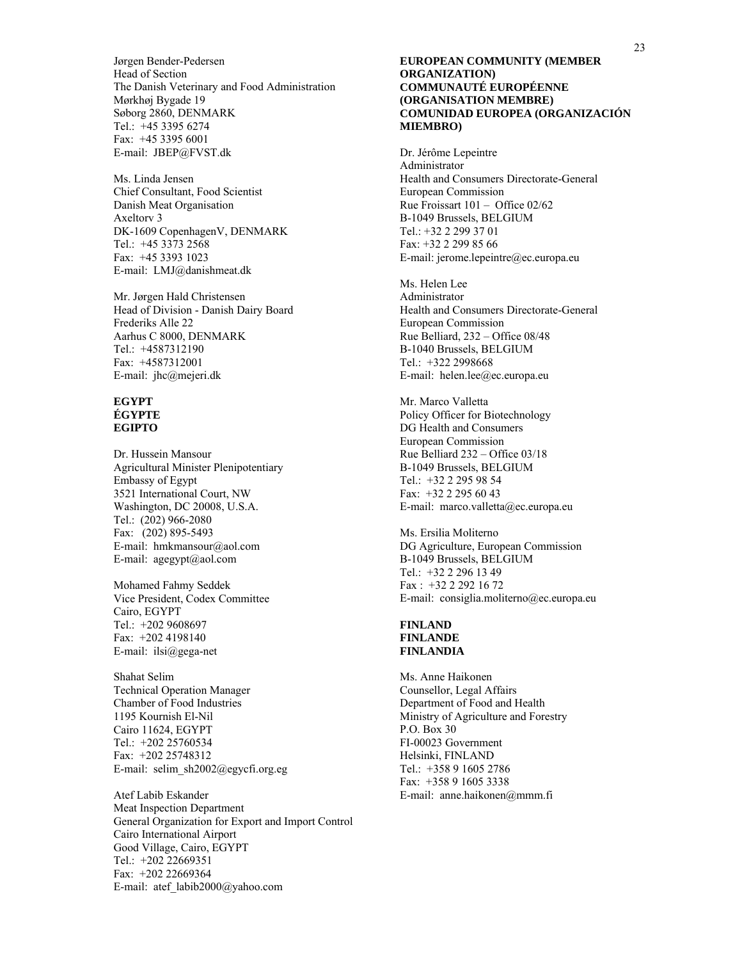Jørgen Bender-Pedersen Head of Section The Danish Veterinary and Food Administration Mørkhøj Bygade 19 Søborg 2860, DENMARK Tel.: +45 3395 6274 Fax: +45 3395 6001 E-mail: JBEP@FVST.dk

Ms. Linda Jensen Chief Consultant, Food Scientist Danish Meat Organisation Axeltorv 3 DK-1609 CopenhagenV, DENMARK Tel.: +45 3373 2568 Fax: +45 3393 1023 E-mail: LMJ@danishmeat.dk

Mr. Jørgen Hald Christensen Head of Division - Danish Dairy Board Frederiks Alle 22 Aarhus C 8000, DENMARK Tel.: +4587312190 Fax: +4587312001 E-mail: jhc@mejeri.dk

#### **EGYPT ÉGYPTE EGIPTO**

Dr. Hussein Mansour Agricultural Minister Plenipotentiary Embassy of Egypt 3521 International Court, NW Washington, DC 20008, U.S.A. Tel.: (202) 966-2080 Fax: (202) 895-5493 E-mail: hmkmansour@aol.com E-mail: agegypt@aol.com

Mohamed Fahmy Seddek Vice President, Codex Committee Cairo, EGYPT Tel.: +202 9608697 Fax: +202 4198140 E-mail: ilsi@gega-net

Shahat Selim Technical Operation Manager Chamber of Food Industries 1195 Kournish El-Nil Cairo 11624, EGYPT Tel.: +202 25760534 Fax: +202 25748312 E-mail: selim\_sh2002@egycfi.org.eg

Atef Labib Eskander Meat Inspection Department General Organization for Export and Import Control Cairo International Airport Good Village, Cairo, EGYPT Tel.: +202 22669351 Fax: +202 22669364 E-mail: atef\_labib2000@yahoo.com

#### **EUROPEAN COMMUNITY (MEMBER ORGANIZATION) COMMUNAUTÉ EUROPÉENNE (ORGANISATION MEMBRE) COMUNIDAD EUROPEA (ORGANIZACIÓN MIEMBRO)**

Dr. Jérôme Lepeintre Administrator Health and Consumers Directorate-General European Commission Rue Froissart 101 – Office 02/62 B-1049 Brussels, BELGIUM Tel.: +32 2 299 37 01 Fax: +32 2 299 85 66 E-mail: jerome.lepeintre@ec.europa.eu

Ms. Helen Lee Administrator Health and Consumers Directorate-General European Commission Rue Belliard, 232 – Office 08/48 B-1040 Brussels, BELGIUM Tel.: +322 2998668 E-mail: helen.lee@ec.europa.eu

Mr. Marco Valletta Policy Officer for Biotechnology DG Health and Consumers European Commission Rue Belliard 232 – Office 03/18 B-1049 Brussels, BELGIUM Tel.: +32 2 295 98 54 Fax: +32 2 295 60 43 E-mail: marco.valletta@ec.europa.eu

Ms. Ersilia Moliterno DG Agriculture, European Commission B-1049 Brussels, BELGIUM Tel.: +32 2 296 13 49 Fax : +32 2 292 16 72 E-mail: consiglia.moliterno@ec.europa.eu

#### **FINLAND FINLANDE FINLANDIA**

Ms. Anne Haikonen Counsellor, Legal Affairs Department of Food and Health Ministry of Agriculture and Forestry P.O. Box 30 FI-00023 Government Helsinki, FINLAND Tel.: +358 9 1605 2786 Fax: +358 9 1605 3338 E-mail: anne.haikonen@mmm.fi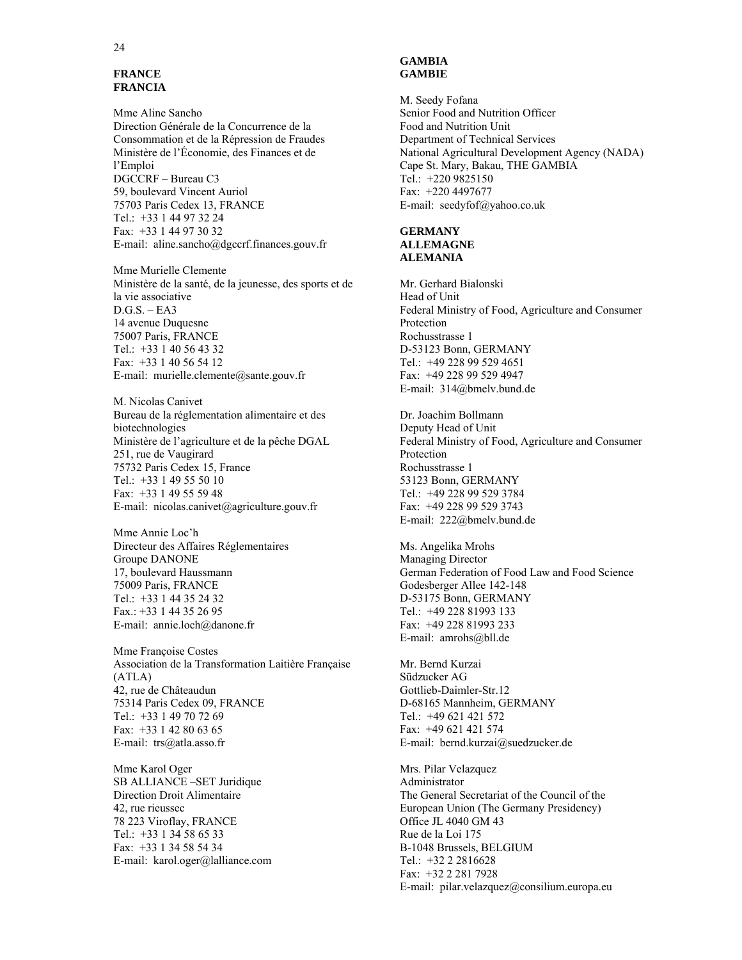# **FRANCE FRANCIA**

Mme Aline Sancho Direction Générale de la Concurrence de la Consommation et de la Répression de Fraudes Ministère de l'Économie, des Finances et de l'Emploi DGCCRF – Bureau C3 59, boulevard Vincent Auriol 75703 Paris Cedex 13, FRANCE Tel.: +33 1 44 97 32 24 Fax: +33 1 44 97 30 32 E-mail: aline.sancho@dgccrf.finances.gouv.fr

Mme Murielle Clemente Ministère de la santé, de la jeunesse, des sports et de la vie associative  $D.G.S. - EA3$ 14 avenue Duquesne 75007 Paris, FRANCE Tel.: +33 1 40 56 43 32 Fax: +33 1 40 56 54 12 E-mail: murielle.clemente@sante.gouv.fr

M. Nicolas Canivet Bureau de la réglementation alimentaire et des biotechnologies Ministère de l'agriculture et de la pêche DGAL 251, rue de Vaugirard 75732 Paris Cedex 15, France Tel.: +33 1 49 55 50 10 Fax: +33 1 49 55 59 48 E-mail: nicolas.canivet@agriculture.gouv.fr

Mme Annie Loc'h Directeur des Affaires Réglementaires Groupe DANONE 17, boulevard Haussmann 75009 Paris, FRANCE Tel.: +33 1 44 35 24 32 Fax.: +33 1 44 35 26 95 E-mail: annie.loch@danone.fr

Mme Françoise Costes Association de la Transformation Laitière Française (ATLA) 42, rue de Châteaudun 75314 Paris Cedex 09, FRANCE Tel.: +33 1 49 70 72 69 Fax: +33 1 42 80 63 65 E-mail: trs@atla.asso.fr

Mme Karol Oger SB ALLIANCE –SET Juridique Direction Droit Alimentaire 42, rue rieussec 78 223 Viroflay, FRANCE Tel.: +33 1 34 58 65 33 Fax: +33 1 34 58 54 34 E-mail: karol.oger@lalliance.com

#### **GAMBIA GAMBIE**

M. Seedy Fofana Senior Food and Nutrition Officer Food and Nutrition Unit Department of Technical Services National Agricultural Development Agency (NADA) Cape St. Mary, Bakau, THE GAMBIA Tel.: +220 9825150 Fax: +220 4497677 E-mail: seedyfof@yahoo.co.uk

#### **GERMANY ALLEMAGNE ALEMANIA**

Mr. Gerhard Bialonski Head of Unit Federal Ministry of Food, Agriculture and Consumer Protection Rochusstrasse 1 D-53123 Bonn, GERMANY Tel.: +49 228 99 529 4651 Fax: +49 228 99 529 4947 E-mail: 314@bmelv.bund.de

Dr. Joachim Bollmann Deputy Head of Unit Federal Ministry of Food, Agriculture and Consumer Protection Rochusstrasse 1 53123 Bonn, GERMANY Tel.: +49 228 99 529 3784 Fax: +49 228 99 529 3743 E-mail: 222@bmelv.bund.de

Ms. Angelika Mrohs Managing Director German Federation of Food Law and Food Science Godesberger Allee 142-148 D-53175 Bonn, GERMANY Tel.: +49 228 81993 133 Fax: +49 228 81993 233 E-mail: amrohs@bll.de

Mr. Bernd Kurzai Südzucker AG Gottlieb-Daimler-Str.12 D-68165 Mannheim, GERMANY Tel.: +49 621 421 572 Fax: +49 621 421 574 E-mail: bernd.kurzai@suedzucker.de

Mrs. Pilar Velazquez Administrator The General Secretariat of the Council of the European Union (The Germany Presidency) Office JL 4040 GM 43 Rue de la Loi 175 B-1048 Brussels, BELGIUM Tel.: +32 2 2816628 Fax: +32 2 281 7928 E-mail: pilar.velazquez@consilium.europa.eu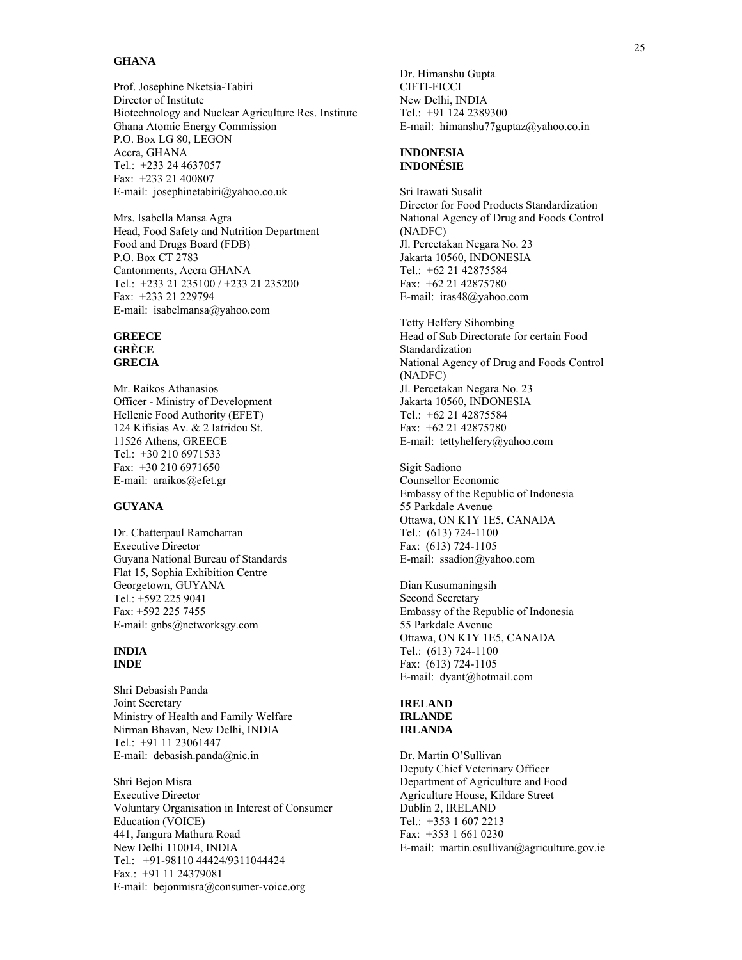#### **GHANA**

Prof. Josephine Nketsia-Tabiri Director of Institute Biotechnology and Nuclear Agriculture Res. Institute Ghana Atomic Energy Commission P.O. Box LG 80, LEGON Accra, GHANA Tel.: +233 24 4637057 Fax: +233 21 400807 E-mail: josephinetabiri@yahoo.co.uk

Mrs. Isabella Mansa Agra Head, Food Safety and Nutrition Department Food and Drugs Board (FDB) P.O. Box CT 2783 Cantonments, Accra GHANA Tel.: +233 21 235100 / +233 21 235200 Fax: +233 21 229794 E-mail: isabelmansa@yahoo.com

#### **GREECE GRÈCE GRECIA**

Mr. Raikos Athanasios Officer - Ministry of Development Hellenic Food Authority (EFET) 124 Kifisias Av. & 2 Iatridou St. 11526 Athens, GREECE Tel.: +30 210 6971533 Fax: +30 210 6971650 E-mail: araikos@efet.gr

# **GUYANA**

Dr. Chatterpaul Ramcharran Executive Director Guyana National Bureau of Standards Flat 15, Sophia Exhibition Centre Georgetown, GUYANA Tel.: +592 225 9041 Fax: +592 225 7455 E-mail: gnbs@networksgy.com

#### **INDIA INDE**

Shri Debasish Panda Joint Secretary Ministry of Health and Family Welfare Nirman Bhavan, New Delhi, INDIA Tel.: +91 11 23061447 E-mail: debasish.panda@nic.in

Shri Bejon Misra Executive Director Voluntary Organisation in Interest of Consumer Education (VOICE) 441, Jangura Mathura Road New Delhi 110014, INDIA Tel.: +91-98110 44424/9311044424 Fax.: +91 11 24379081 E-mail: bejonmisra@consumer-voice.org

Dr. Himanshu Gupta CIFTI-FICCI New Delhi, INDIA Tel.: +91 124 2389300 E-mail: himanshu77guptaz@yahoo.co.in

#### **INDONESIA INDONÉSIE**

Sri Irawati Susalit Director for Food Products Standardization National Agency of Drug and Foods Control (NADFC) Jl. Percetakan Negara No. 23 Jakarta 10560, INDONESIA Tel.: +62 21 42875584 Fax: +62 21 42875780 E-mail: iras48@yahoo.com

Tetty Helfery Sihombing Head of Sub Directorate for certain Food Standardization National Agency of Drug and Foods Control (NADFC) Jl. Percetakan Negara No. 23 Jakarta 10560, INDONESIA Tel.: +62 21 42875584 Fax: +62 21 42875780 E-mail: tettyhelfery@yahoo.com

Sigit Sadiono Counsellor Economic Embassy of the Republic of Indonesia 55 Parkdale Avenue Ottawa, ON K1Y 1E5, CANADA Tel.: (613) 724-1100 Fax: (613) 724-1105 E-mail: ssadion@yahoo.com

Dian Kusumaningsih Second Secretary Embassy of the Republic of Indonesia 55 Parkdale Avenue Ottawa, ON K1Y 1E5, CANADA Tel.: (613) 724-1100 Fax: (613) 724-1105 E-mail: dyant@hotmail.com

## **IRELAND IRLANDE IRLANDA**

Dr. Martin O'Sullivan Deputy Chief Veterinary Officer Department of Agriculture and Food Agriculture House, Kildare Street Dublin 2, IRELAND Tel.: +353 1 607 2213 Fax: +353 1 661 0230 E-mail: martin.osullivan@agriculture.gov.ie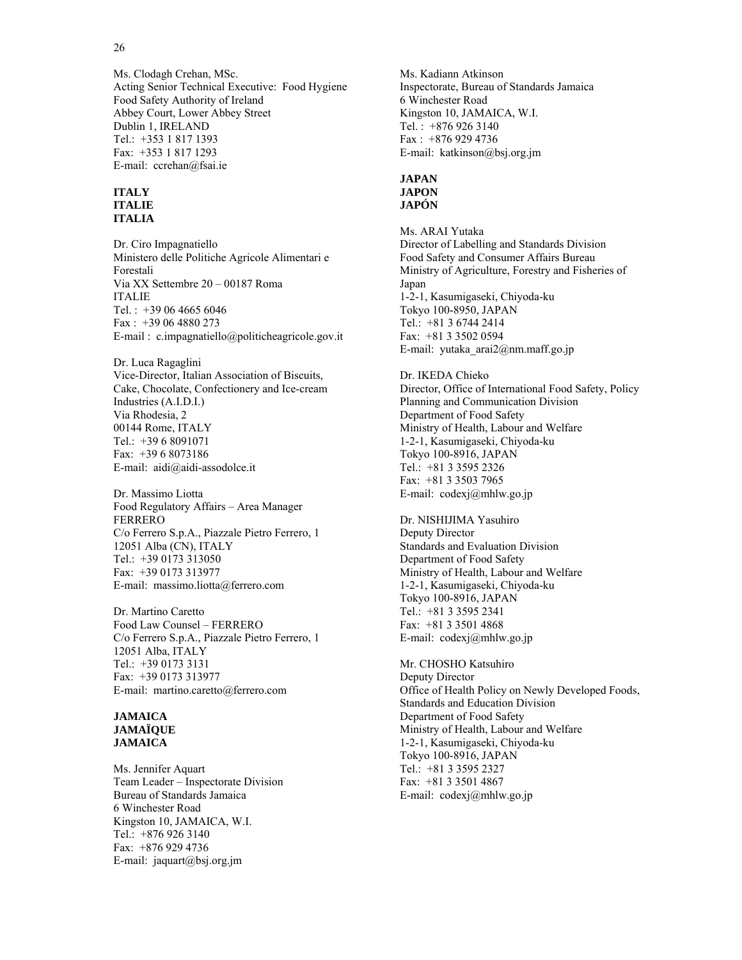Ms. Clodagh Crehan, MSc. Acting Senior Technical Executive: Food Hygiene Food Safety Authority of Ireland Abbey Court, Lower Abbey Street Dublin 1, IRELAND Tel.: +353 1 817 1393 Fax: +353 1 817 1293 E-mail: ccrehan@fsai.ie

#### **ITALY ITALIE ITALIA**

Dr. Ciro Impagnatiello Ministero delle Politiche Agricole Alimentari e Forestali Via XX Settembre 20 – 00187 Roma ITALIE Tel. : +39 06 4665 6046 Fax : +39 06 4880 273 E-mail : c.impagnatiello@politicheagricole.gov.it

Dr. Luca Ragaglini Vice-Director, Italian Association of Biscuits, Cake, Chocolate, Confectionery and Ice-cream Industries (A.I.D.I.) Via Rhodesia, 2 00144 Rome, ITALY Tel.: +39 6 8091071 Fax: +39 6 8073186 E-mail: aidi@aidi-assodolce.it

Dr. Massimo Liotta Food Regulatory Affairs – Area Manager FERRERO C/o Ferrero S.p.A., Piazzale Pietro Ferrero, 1 12051 Alba (CN), ITALY Tel.: +39 0173 313050 Fax: +39 0173 313977 E-mail: massimo.liotta@ferrero.com

Dr. Martino Caretto Food Law Counsel – FERRERO C/o Ferrero S.p.A., Piazzale Pietro Ferrero, 1 12051 Alba, ITALY Tel.: +39 0173 3131 Fax: +39 0173 313977 E-mail: martino.caretto@ferrero.com

#### **JAMAICA JAMAÏQUE JAMAICA**

Ms. Jennifer Aquart Team Leader – Inspectorate Division Bureau of Standards Jamaica 6 Winchester Road Kingston 10, JAMAICA, W.I. Tel.: +876 926 3140 Fax: +876 929 4736 E-mail: jaquart@bsj.org.jm

Ms. Kadiann Atkinson Inspectorate, Bureau of Standards Jamaica 6 Winchester Road Kingston 10, JAMAICA, W.I. Tel. : +876 926 3140 Fax : +876 929 4736 E-mail: katkinson@bsj.org.jm

#### **JAPAN JAPON JAPÓN**

Ms. ARAI Yutaka Director of Labelling and Standards Division Food Safety and Consumer Affairs Bureau Ministry of Agriculture, Forestry and Fisheries of Japan 1-2-1, Kasumigaseki, Chiyoda-ku Tokyo 100-8950, JAPAN Tel.: +81 3 6744 2414 Fax: +81 3 3502 0594 E-mail: yutaka\_arai2@nm.maff.go.jp

Dr. IKEDA Chieko Director, Office of International Food Safety, Policy Planning and Communication Division Department of Food Safety Ministry of Health, Labour and Welfare 1-2-1, Kasumigaseki, Chiyoda-ku Tokyo 100-8916, JAPAN Tel.: +81 3 3595 2326 Fax: +81 3 3503 7965 E-mail: codexj@mhlw.go.jp

Dr. NISHIJIMA Yasuhiro Deputy Director Standards and Evaluation Division Department of Food Safety Ministry of Health, Labour and Welfare 1-2-1, Kasumigaseki, Chiyoda-ku Tokyo 100-8916, JAPAN Tel.: +81 3 3595 2341 Fax: +81 3 3501 4868 E-mail: codexj@mhlw.go.jp

Mr. CHOSHO Katsuhiro Deputy Director Office of Health Policy on Newly Developed Foods, Standards and Education Division Department of Food Safety Ministry of Health, Labour and Welfare 1-2-1, Kasumigaseki, Chiyoda-ku Tokyo 100-8916, JAPAN Tel.: +81 3 3595 2327 Fax: +81 3 3501 4867 E-mail: codexj@mhlw.go.jp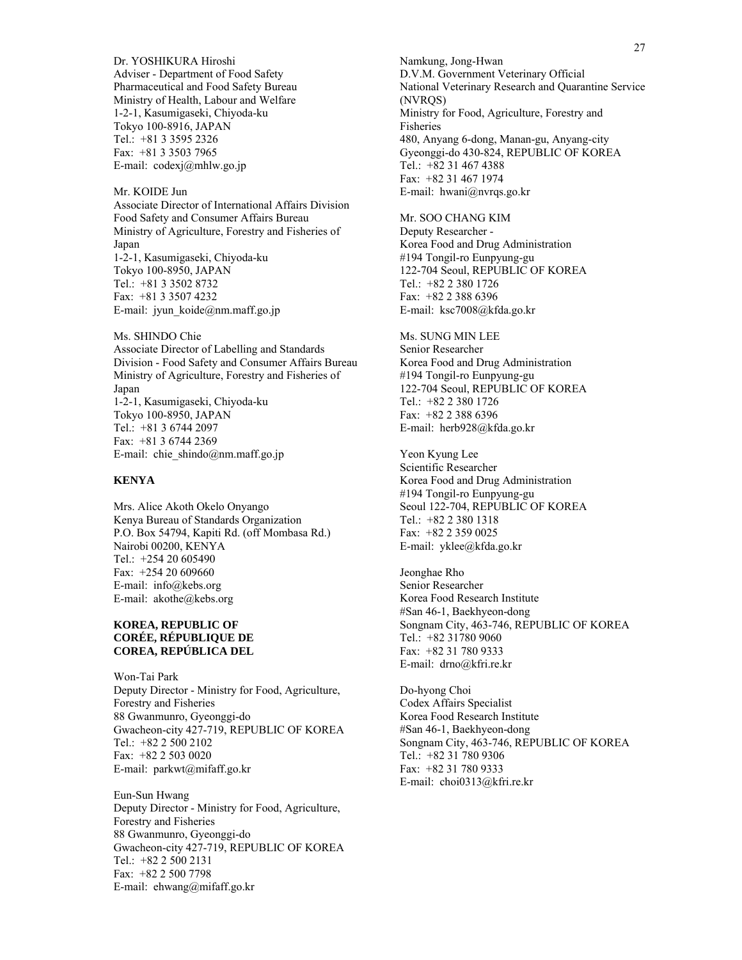Dr. YOSHIKURA Hiroshi Adviser - Department of Food Safety Pharmaceutical and Food Safety Bureau Ministry of Health, Labour and Welfare 1-2-1, Kasumigaseki, Chiyoda-ku Tokyo 100-8916, JAPAN Tel.: +81 3 3595 2326 Fax: +81 3 3503 7965 E-mail: codexj@mhlw.go.jp

Mr. KOIDE Jun Associate Director of International Affairs Division Food Safety and Consumer Affairs Bureau Ministry of Agriculture, Forestry and Fisheries of Japan 1-2-1, Kasumigaseki, Chiyoda-ku Tokyo 100-8950, JAPAN Tel.: +81 3 3502 8732 Fax: +81 3 3507 4232 E-mail: jyun\_koide@nm.maff.go.jp

Ms. SHINDO Chie Associate Director of Labelling and Standards Division - Food Safety and Consumer Affairs Bureau Ministry of Agriculture, Forestry and Fisheries of Japan 1-2-1, Kasumigaseki, Chiyoda-ku Tokyo 100-8950, JAPAN Tel.: +81 3 6744 2097 Fax: +81 3 6744 2369 E-mail: chie\_shindo@nm.maff.go.jp

#### **KENYA**

Mrs. Alice Akoth Okelo Onyango Kenya Bureau of Standards Organization P.O. Box 54794, Kapiti Rd. (off Mombasa Rd.) Nairobi 00200, KENYA Tel.: +254 20 605490 Fax: +254 20 609660 E-mail: info@kebs.org E-mail: akothe@kebs.org

#### **KOREA, REPUBLIC OF CORÉE, RÉPUBLIQUE DE COREA, REPÚBLICA DEL**

Won-Tai Park Deputy Director - Ministry for Food, Agriculture, Forestry and Fisheries 88 Gwanmunro, Gyeonggi-do Gwacheon-city 427-719, REPUBLIC OF KOREA Tel.: +82 2 500 2102 Fax: +82 2 503 0020 E-mail: parkwt@mifaff.go.kr

Eun-Sun Hwang Deputy Director - Ministry for Food, Agriculture, Forestry and Fisheries 88 Gwanmunro, Gyeonggi-do Gwacheon-city 427-719, REPUBLIC OF KOREA Tel.: +82 2 500 2131 Fax: +82 2 500 7798 E-mail: ehwang@mifaff.go.kr

Namkung, Jong-Hwan D.V.M. Government Veterinary Official National Veterinary Research and Quarantine Service (NVRQS) Ministry for Food, Agriculture, Forestry and Fisheries 480, Anyang 6-dong, Manan-gu, Anyang-city Gyeonggi-do 430-824, REPUBLIC OF KOREA Tel.: +82 31 467 4388 Fax: +82 31 467 1974 E-mail: hwani@nvrqs.go.kr

Mr. SOO CHANG KIM Deputy Researcher - Korea Food and Drug Administration #194 Tongil-ro Eunpyung-gu 122-704 Seoul, REPUBLIC OF KOREA Tel.: +82 2 380 1726 Fax: +82 2 388 6396 E-mail: ksc7008@kfda.go.kr

Ms. SUNG MIN LEE Senior Researcher Korea Food and Drug Administration #194 Tongil-ro Eunpyung-gu 122-704 Seoul, REPUBLIC OF KOREA Tel.: +82 2 380 1726 Fax: +82 2 388 6396 E-mail: herb928@kfda.go.kr

Yeon Kyung Lee Scientific Researcher Korea Food and Drug Administration #194 Tongil-ro Eunpyung-gu Seoul 122-704, REPUBLIC OF KOREA Tel.: +82 2 380 1318 Fax: +82 2 359 0025 E-mail: yklee@kfda.go.kr

Jeonghae Rho Senior Researcher Korea Food Research Institute #San 46-1, Baekhyeon-dong Songnam City, 463-746, REPUBLIC OF KOREA Tel.: +82 31780 9060 Fax: +82 31 780 9333 E-mail: drno@kfri.re.kr

Do-hyong Choi Codex Affairs Specialist Korea Food Research Institute #San 46-1, Baekhyeon-dong Songnam City, 463-746, REPUBLIC OF KOREA Tel.: +82 31 780 9306 Fax: +82 31 780 9333 E-mail: choi0313@kfri.re.kr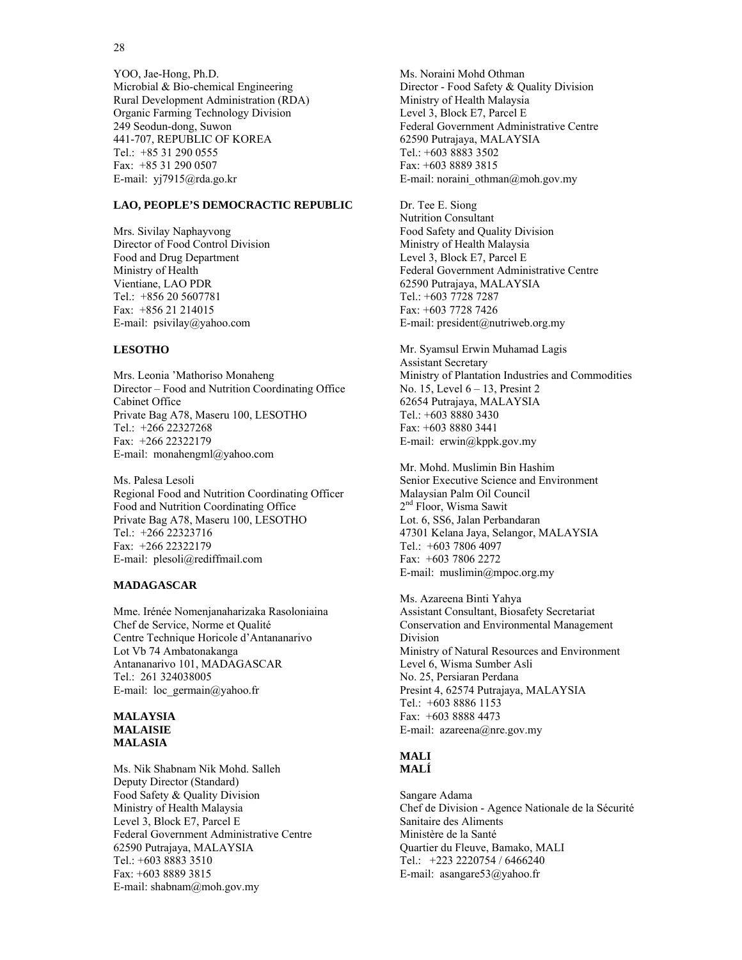28

YOO, Jae-Hong, Ph.D. Microbial & Bio-chemical Engineering Rural Development Administration (RDA) Organic Farming Technology Division 249 Seodun-dong, Suwon 441-707, REPUBLIC OF KOREA Tel.: +85 31 290 0555 Fax: +85 31 290 0507 E-mail: yj7915@rda.go.kr

#### **LAO, PEOPLE'S DEMOCRACTIC REPUBLIC**

Mrs. Sivilay Naphayvong Director of Food Control Division Food and Drug Department Ministry of Health Vientiane, LAO PDR Tel.: +856 20 5607781 Fax: +856 21 214015 E-mail: psivilay@yahoo.com

#### **LESOTHO**

Mrs. Leonia 'Mathoriso Monaheng Director – Food and Nutrition Coordinating Office Cabinet Office Private Bag A78, Maseru 100, LESOTHO Tel.: +266 22327268 Fax: +266 22322179 E-mail: monahengml@yahoo.com

Ms. Palesa Lesoli Regional Food and Nutrition Coordinating Officer Food and Nutrition Coordinating Office Private Bag A78, Maseru 100, LESOTHO Tel.: +266 22323716 Fax: +266 22322179 E-mail: plesoli@rediffmail.com

#### **MADAGASCAR**

Mme. Irénée Nomenjanaharizaka Rasoloniaina Chef de Service, Norme et Qualité Centre Technique Horicole d'Antananarivo Lot Vb 74 Ambatonakanga Antananarivo 101, MADAGASCAR Tel.: 261 324038005 E-mail: loc germain@yahoo.fr

#### **MALAYSIA MALAISIE MALASIA**

Ms. Nik Shabnam Nik Mohd. Salleh Deputy Director (Standard) Food Safety & Quality Division Ministry of Health Malaysia Level 3, Block E7, Parcel E Federal Government Administrative Centre 62590 Putrajaya, MALAYSIA Tel.: +603 8883 3510 Fax: +603 8889 3815 E-mail: shabnam@moh.gov.my

Ms. Noraini Mohd Othman Director - Food Safety & Quality Division Ministry of Health Malaysia Level 3, Block E7, Parcel E Federal Government Administrative Centre 62590 Putrajaya, MALAYSIA Tel.: +603 8883 3502 Fax: +603 8889 3815 E-mail: noraini\_othman@moh.gov.my

Dr. Tee E. Siong Nutrition Consultant Food Safety and Quality Division Ministry of Health Malaysia Level 3, Block E7, Parcel E Federal Government Administrative Centre 62590 Putrajaya, MALAYSIA Tel.: +603 7728 7287 Fax: +603 7728 7426 E-mail: president@nutriweb.org.my

Mr. Syamsul Erwin Muhamad Lagis Assistant Secretary Ministry of Plantation Industries and Commodities No. 15, Level 6 – 13, Presint 2 62654 Putrajaya, MALAYSIA Tel.: +603 8880 3430 Fax: +603 8880 3441 E-mail: erwin@kppk.gov.my

Mr. Mohd. Muslimin Bin Hashim Senior Executive Science and Environment Malaysian Palm Oil Council 2<sup>nd</sup> Floor, Wisma Sawit Lot. 6, SS6, Jalan Perbandaran 47301 Kelana Jaya, Selangor, MALAYSIA Tel.: +603 7806 4097 Fax: +603 7806 2272 E-mail: muslimin@mpoc.org.my

Ms. Azareena Binti Yahya Assistant Consultant, Biosafety Secretariat Conservation and Environmental Management Division Ministry of Natural Resources and Environment Level 6, Wisma Sumber Asli No. 25, Persiaran Perdana Presint 4, 62574 Putrajaya, MALAYSIA Tel.: +603 8886 1153 Fax: +603 8888 4473 E-mail: azareena@nre.gov.my

#### **MALI MALÍ**

Sangare Adama Chef de Division - Agence Nationale de la Sécurité Sanitaire des Aliments Ministère de la Santé Quartier du Fleuve, Bamako, MALI Tel.: +223 2220754 / 6466240 E-mail: asangare53@yahoo.fr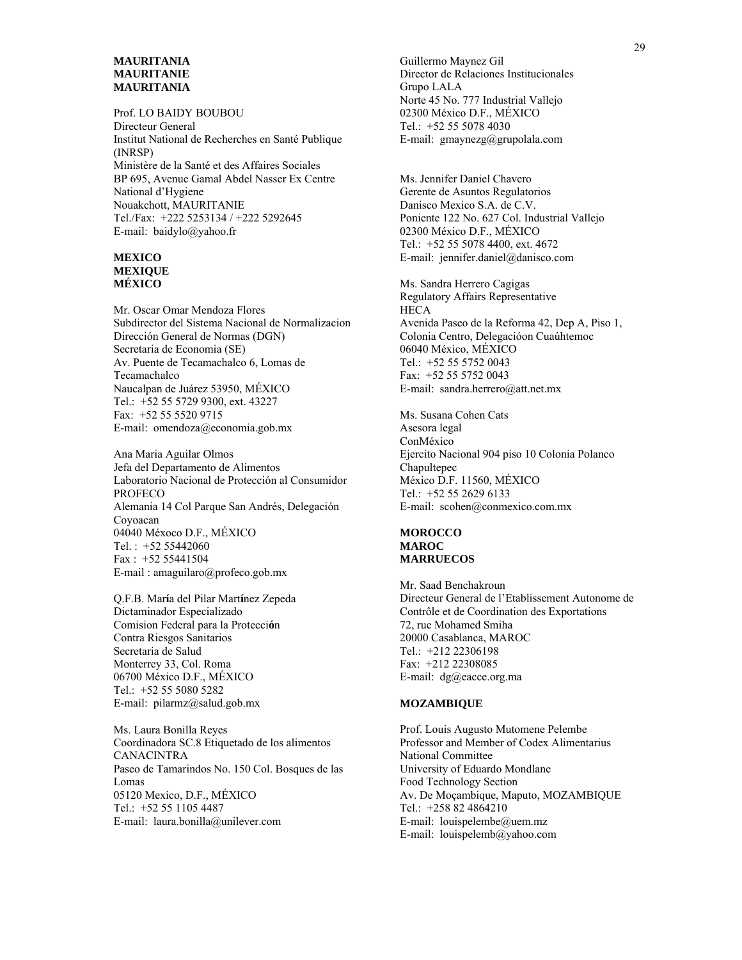#### **MAURITANIA MAURITANIE MAURITANIA**

Prof. LO BAIDY BOUBOU Directeur General Institut National de Recherches en Santé Publique (INRSP) Ministère de la Santé et des Affaires Sociales BP 695, Avenue Gamal Abdel Nasser Ex Centre National d'Hygiene Nouakchott, MAURITANIE Tel./Fax: +222 5253134 / +222 5292645 E-mail: baidylo@yahoo.fr

#### **MEXICO MEXIQUE MÉXICO**

Mr. Oscar Omar Mendoza Flores Subdirector del Sistema Nacional de Normalizacion Dirección General de Normas (DGN) Secretaria de Economia (SE) Av. Puente de Tecamachalco 6, Lomas de Tecamachalco Naucalpan de Juárez 53950, MÉXICO Tel.: +52 55 5729 9300, ext. 43227 Fax: +52 55 5520 9715 E-mail: omendoza@economia.gob.mx

Ana Maria Aguilar Olmos Jefa del Departamento de Alimentos Laboratorio Nacional de Protección al Consumidor PROFECO Alemania 14 Col Parque San Andrés, Delegación Coyoacan 04040 Méxoco D.F., MÉXICO Tel. : +52 55442060 Fax : +52 55441504 E-mail : amaguilaro@profeco.gob.mx

Q.F.B. Mar**í**a del Pilar Mart**í**nez Zepeda Dictaminador Especializado Comision Federal para la Protecci**ó**n Contra Riesgos Sanitarios Secretaria de Salud Monterrey 33, Col. Roma 06700 México D.F., MÉXICO Tel.: +52 55 5080 5282 E-mail: pilarmz@salud.gob.mx

Ms. Laura Bonilla Reyes Coordinadora SC.8 Etiquetado de los alimentos CANACINTRA Paseo de Tamarindos No. 150 Col. Bosques de las Lomas 05120 Mexico, D.F., MÉXICO Tel.: +52 55 1105 4487 E-mail: laura.bonilla@unilever.com

Guillermo Maynez Gil Director de Relaciones Institucionales Grupo LALA Norte 45 No. 777 Industrial Vallejo 02300 México D.F., MÉXICO Tel.: +52 55 5078 4030 E-mail: gmaynezg@grupolala.com

Ms. Jennifer Daniel Chavero Gerente de Asuntos Regulatorios Danisco Mexico S.A. de C.V. Poniente 122 No. 627 Col. Industrial Vallejo 02300 México D.F., MÉXICO Tel.: +52 55 5078 4400, ext. 4672 E-mail: jennifer.daniel@danisco.com

Ms. Sandra Herrero Cagigas Regulatory Affairs Representative **HECA** Avenida Paseo de la Reforma 42, Dep A, Piso 1, Colonia Centro, Delegacióon Cuaúhtemoc 06040 México, MÉXICO Tel.: +52 55 5752 0043 Fax: +52 55 5752 0043 E-mail: sandra.herrero@att.net.mx

Ms. Susana Cohen Cats Asesora legal ConMéxico Ejercito Nacional 904 piso 10 Colonia Polanco Chapultepec México D.F. 11560, MÉXICO Tel.: +52 55 2629 6133 E-mail: scohen@conmexico.com.mx

#### **MOROCCO MAROC MARRUECOS**

Mr. Saad Benchakroun Directeur General de l'Etablissement Autonome de Contrôle et de Coordination des Exportations 72, rue Mohamed Smiha 20000 Casablanca, MAROC Tel.: +212 22306198 Fax: +212 22308085 E-mail: dg@eacce.org.ma

#### **MOZAMBIQUE**

Prof. Louis Augusto Mutomene Pelembe Professor and Member of Codex Alimentarius National Committee University of Eduardo Mondlane Food Technology Section Av. De Moçambique, Maputo, MOZAMBIQUE Tel.: +258 82 4864210 E-mail: louispelembe@uem.mz E-mail: louispelemb@yahoo.com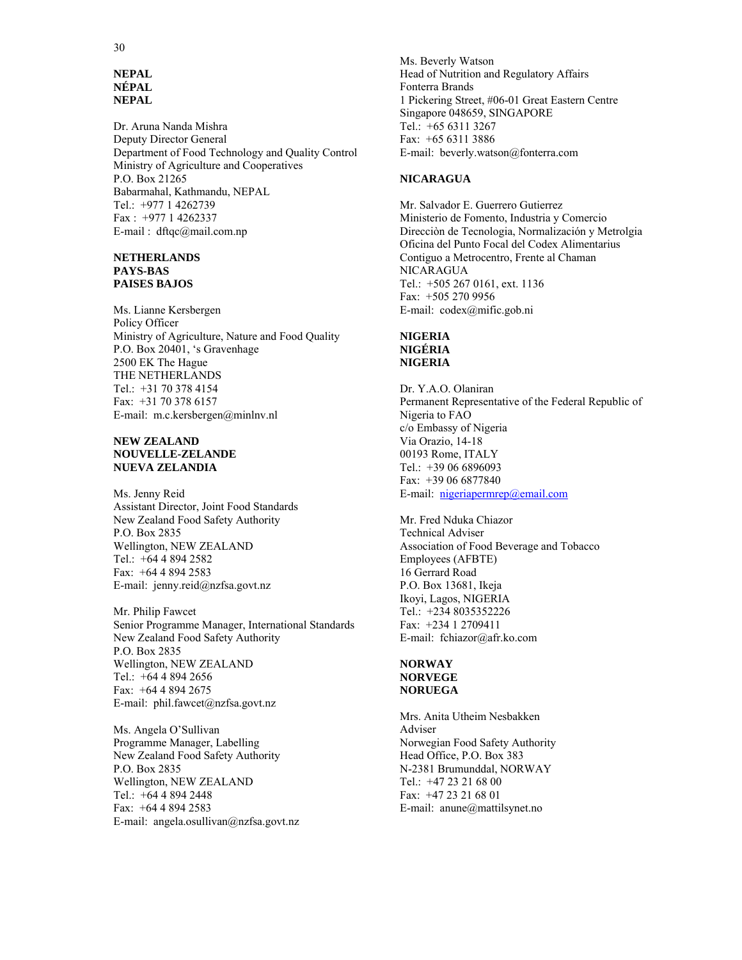#### **NEPAL NÉPAL NEPAL**

Dr. Aruna Nanda Mishra Deputy Director General Department of Food Technology and Quality Control Ministry of Agriculture and Cooperatives P.O. Box 21265 Babarmahal, Kathmandu, NEPAL Tel.: +977 1 4262739 Fax : +977 1 4262337 E-mail : dftqc@mail.com.np

#### **NETHERLANDS PAYS-BAS PAISES BAJOS**

Ms. Lianne Kersbergen Policy Officer Ministry of Agriculture, Nature and Food Quality P.O. Box 20401, 's Gravenhage 2500 EK The Hague THE NETHERLANDS Tel.: +31 70 378 4154 Fax: +31 70 378 6157 E-mail: m.c.kersbergen@minlnv.nl

#### **NEW ZEALAND NOUVELLE-ZELANDE NUEVA ZELANDIA**

Ms. Jenny Reid Assistant Director, Joint Food Standards New Zealand Food Safety Authority P.O. Box 2835 Wellington, NEW ZEALAND Tel.: +64 4 894 2582 Fax: +64 4 894 2583 E-mail: jenny.reid@nzfsa.govt.nz

Mr. Philip Fawcet Senior Programme Manager, International Standards New Zealand Food Safety Authority P.O. Box 2835 Wellington, NEW ZEALAND Tel.: +64 4 894 2656 Fax: +64 4 894 2675 E-mail: phil.fawcet@nzfsa.govt.nz

Ms. Angela O'Sullivan Programme Manager, Labelling New Zealand Food Safety Authority P.O. Box 2835 Wellington, NEW ZEALAND Tel.: +64 4 894 2448 Fax: +64 4 894 2583 E-mail: angela.osullivan@nzfsa.govt.nz Ms. Beverly Watson Head of Nutrition and Regulatory Affairs Fonterra Brands 1 Pickering Street, #06-01 Great Eastern Centre Singapore 048659, SINGAPORE Tel.: +65 6311 3267 Fax: +65 6311 3886 E-mail: beverly.watson@fonterra.com

#### **NICARAGUA**

Mr. Salvador E. Guerrero Gutierrez Ministerio de Fomento, Industria y Comercio Direcciòn de Tecnologia, Normalización y Metrolgia Oficina del Punto Focal del Codex Alimentarius Contiguo a Metrocentro, Frente al Chaman NICARAGUA Tel.: +505 267 0161, ext. 1136 Fax: +505 270 9956 E-mail: codex@mific.gob.ni

#### **NIGERIA NIGÉRIA NIGERIA**

Dr. Y.A.O. Olaniran Permanent Representative of the Federal Republic of Nigeria to FAO c/o Embassy of Nigeria Via Orazio, 14-18 00193 Rome, ITALY Tel.: +39 06 6896093 Fax: +39 06 6877840 E-mail: nigeriapermrep@email.com

Mr. Fred Nduka Chiazor Technical Adviser Association of Food Beverage and Tobacco Employees (AFBTE) 16 Gerrard Road P.O. Box 13681, Ikeja Ikoyi, Lagos, NIGERIA Tel.: +234 8035352226 Fax: +234 1 2709411 E-mail: fchiazor@afr.ko.com

# **NORWAY NORVEGE NORUEGA**

Mrs. Anita Utheim Nesbakken Adviser Norwegian Food Safety Authority Head Office, P.O. Box 383 N-2381 Brumunddal, NORWAY Tel.: +47 23 21 68 00 Fax: +47 23 21 68 01 E-mail: anune@mattilsynet.no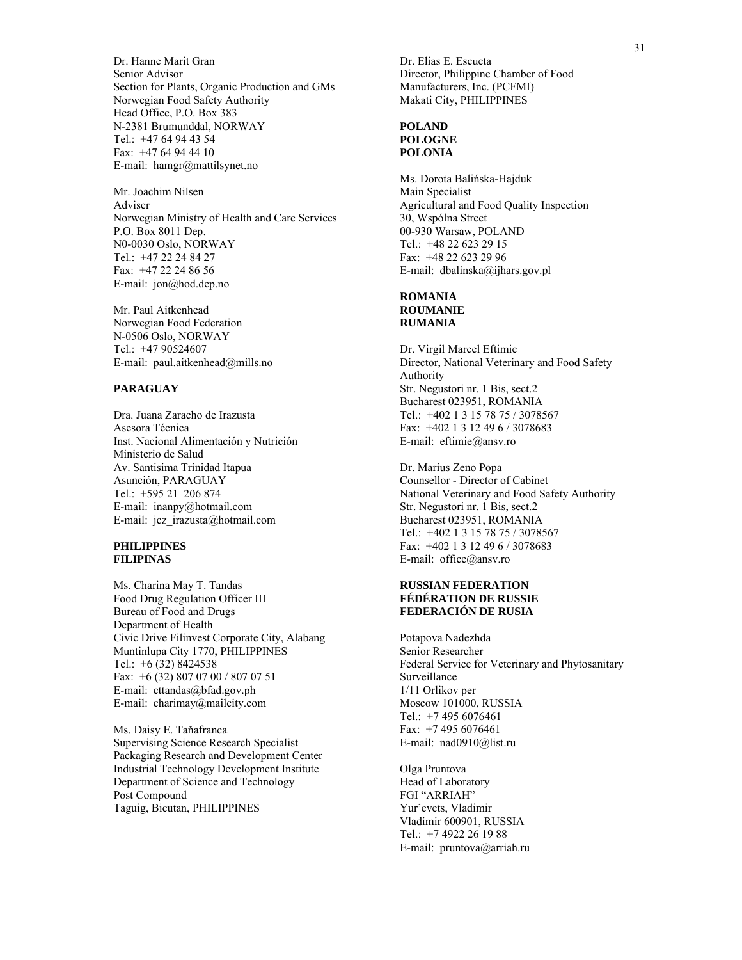Dr. Hanne Marit Gran Senior Advisor Section for Plants, Organic Production and GMs Norwegian Food Safety Authority Head Office, P.O. Box 383 N-2381 Brumunddal, NORWAY Tel.: +47 64 94 43 54 Fax: +47 64 94 44 10 E-mail: hamgr@mattilsynet.no

Mr. Joachim Nilsen Adviser Norwegian Ministry of Health and Care Services P.O. Box 8011 Dep. N0-0030 Oslo, NORWAY Tel.: +47 22 24 84 27 Fax: +47 22 24 86 56 E-mail: jon@hod.dep.no

Mr. Paul Aitkenhead Norwegian Food Federation N-0506 Oslo, NORWAY Tel.: +47 90524607 E-mail: paul.aitkenhead@mills.no

# **PARAGUAY**

Dra. Juana Zaracho de Irazusta Asesora Técnica Inst. Nacional Alimentación y Nutrición Ministerio de Salud Av. Santisima Trinidad Itapua Asunción, PARAGUAY Tel.: +595 21 206 874 E-mail: inanpy@hotmail.com E-mail: jcz\_irazusta@hotmail.com

#### **PHILIPPINES FILIPINAS**

Ms. Charina May T. Tandas Food Drug Regulation Officer III Bureau of Food and Drugs Department of Health Civic Drive Filinvest Corporate City, Alabang Muntinlupa City 1770, PHILIPPINES Tel.: +6 (32) 8424538 Fax: +6 (32) 807 07 00 / 807 07 51 E-mail: cttandas@bfad.gov.ph E-mail: charimay@mailcity.com

Ms. Daisy E. Taňafranca Supervising Science Research Specialist Packaging Research and Development Center Industrial Technology Development Institute Department of Science and Technology Post Compound Taguig, Bicutan, PHILIPPINES

Dr. Elias E. Escueta Director, Philippine Chamber of Food Manufacturers, Inc. (PCFMI) Makati City, PHILIPPINES

#### **POLAND POLOGNE POLONIA**

Ms. Dorota Balińska-Hajduk Main Specialist Agricultural and Food Quality Inspection 30, Wspólna Street 00-930 Warsaw, POLAND Tel.: +48 22 623 29 15 Fax: +48 22 623 29 96 E-mail: dbalinska@ijhars.gov.pl

#### **ROMANIA ROUMANIE RUMANIA**

Dr. Virgil Marcel Eftimie Director, National Veterinary and Food Safety Authority Str. Negustori nr. 1 Bis, sect.2 Bucharest 023951, ROMANIA Tel.: +402 1 3 15 78 75 / 3078567 Fax: +402 1 3 12 49 6 / 3078683 E-mail: eftimie@ansv.ro

Dr. Marius Zeno Popa Counsellor - Director of Cabinet National Veterinary and Food Safety Authority Str. Negustori nr. 1 Bis, sect.2 Bucharest 023951, ROMANIA Tel.: +402 1 3 15 78 75 / 3078567 Fax: +402 1 3 12 49 6 / 3078683 E-mail: office@ansv.ro

#### **RUSSIAN FEDERATION FÉDÉRATION DE RUSSIE FEDERACIÓN DE RUSIA**

Potapova Nadezhda Senior Researcher Federal Service for Veterinary and Phytosanitary Surveillance 1/11 Orlikov per Moscow 101000, RUSSIA Tel.: +7 495 6076461 Fax: +7 495 6076461 E-mail: nad0910@list.ru

Olga Pruntova Head of Laboratory FGI "ARRIAH" Yur'evets, Vladimir Vladimir 600901, RUSSIA Tel.: +7 4922 26 19 88 E-mail: pruntova@arriah.ru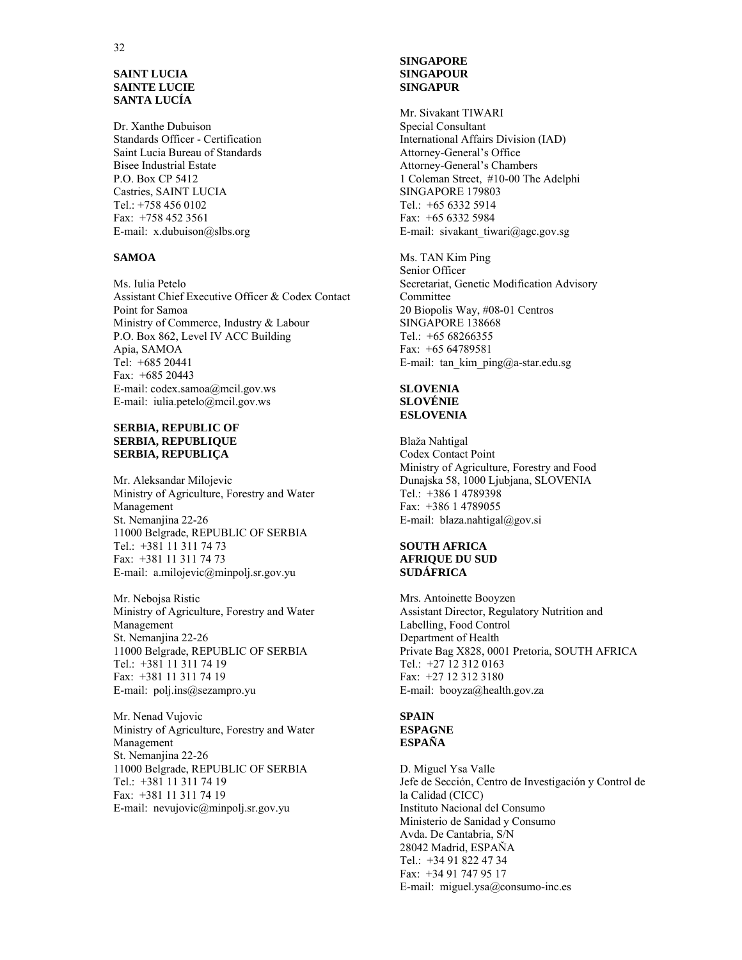#### **SAINT LUCIA SAINTE LUCIE SANTA LUCÍA**

Dr. Xanthe Dubuison Standards Officer - Certification Saint Lucia Bureau of Standards Bisee Industrial Estate P.O. Box CP 5412 Castries, SAINT LUCIA Tel.: +758 456 0102 Fax: +758 452 3561 E-mail: x.dubuison@slbs.org

#### **SAMOA**

Ms. Iulia Petelo Assistant Chief Executive Officer & Codex Contact Point for Samoa Ministry of Commerce, Industry & Labour P.O. Box 862, Level IV ACC Building Apia, SAMOA Tel: +685 20441 Fax: +685 20443 E-mail: codex.samoa@mcil.gov.ws E-mail: iulia.petelo@mcil.gov.ws

#### **SERBIA, REPUBLIC OF SERBIA, REPUBLIQUE SERBIA, REPUBLIÇA**

Mr. Aleksandar Milojevic Ministry of Agriculture, Forestry and Water Management St. Nemanjina 22-26 11000 Belgrade, REPUBLIC OF SERBIA Tel.: +381 11 311 74 73 Fax: +381 11 311 74 73 E-mail: a.milojevic@minpolj.sr.gov.yu

Mr. Nebojsa Ristic Ministry of Agriculture, Forestry and Water Management St. Nemanjina 22-26 11000 Belgrade, REPUBLIC OF SERBIA Tel.: +381 11 311 74 19 Fax: +381 11 311 74 19 E-mail: polj.ins@sezampro.yu

Mr. Nenad Vujovic Ministry of Agriculture, Forestry and Water Management St. Nemanjina 22-26 11000 Belgrade, REPUBLIC OF SERBIA Tel.: +381 11 311 74 19 Fax: +381 11 311 74 19 E-mail: nevujovic@minpolj.sr.gov.yu

#### **SINGAPORE SINGAPOUR SINGAPUR**

Mr. Sivakant TIWARI Special Consultant International Affairs Division (IAD) Attorney-General's Office Attorney-General's Chambers 1 Coleman Street, #10-00 The Adelphi SINGAPORE 179803 Tel.: +65 6332 5914 Fax: +65 6332 5984 E-mail: sivakant\_tiwari@agc.gov.sg

Ms. TAN Kim Ping Senior Officer Secretariat, Genetic Modification Advisory Committee 20 Biopolis Way, #08-01 Centros SINGAPORE 138668 Tel.: +65 68266355 Fax: +65 64789581 E-mail: tan\_kim\_ping@a-star.edu.sg

#### **SLOVENIA SLOVÉNIE ESLOVENIA**

Blaža Nahtigal Codex Contact Point Ministry of Agriculture, Forestry and Food Dunajska 58, 1000 Ljubjana, SLOVENIA Tel.: +386 1 4789398 Fax: +386 1 4789055 E-mail: blaza.nahtigal@gov.si

# **SOUTH AFRICA AFRIQUE DU SUD SUDÁFRICA**

Mrs. Antoinette Booyzen Assistant Director, Regulatory Nutrition and Labelling, Food Control Department of Health Private Bag X828, 0001 Pretoria, SOUTH AFRICA Tel.: +27 12 312 0163 Fax: +27 12 312 3180 E-mail: booyza@health.gov.za

#### **SPAIN ESPAGNE ESPAÑA**

D. Miguel Ysa Valle Jefe de Sección, Centro de Investigación y Control de la Calidad (CICC) Instituto Nacional del Consumo Ministerio de Sanidad y Consumo Avda. De Cantabria, S/N 28042 Madrid, ESPAŇA Tel.: +34 91 822 47 34 Fax: +34 91 747 95 17 E-mail: miguel.ysa@consumo-inc.es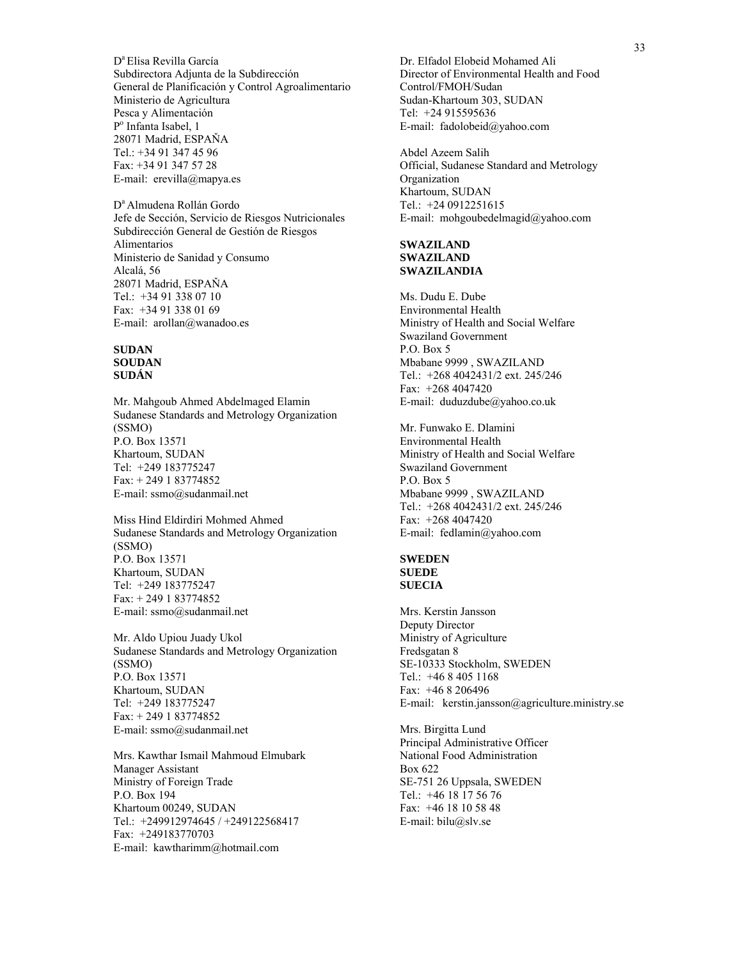D<sup>a</sup> Elisa Revilla García Subdirectora Adjunta de la Subdirección General de Planificación y Control Agroalimentario Ministerio de Agricultura Pesca y Alimentación Po Infanta Isabel, 1 28071 Madrid, ESPAŇA Tel.: +34 91 347 45 96 Fax: +34 91 347 57 28 E-mail: erevilla@mapya.es

D<sup>a</sup> Almudena Rollán Gordo Jefe de Sección, Servicio de Riesgos Nutricionales Subdirección General de Gestión de Riesgos Alimentarios Ministerio de Sanidad y Consumo Alcalá, 56 28071 Madrid, ESPAŇA Tel.: +34 91 338 07 10 Fax: +34 91 338 01 69 E-mail: arollan@wanadoo.es

#### **SUDAN SOUDAN SUDÁN**

Mr. Mahgoub Ahmed Abdelmaged Elamin Sudanese Standards and Metrology Organization (SSMO) P.O. Box 13571 Khartoum, SUDAN Tel: +249 183775247 Fax: + 249 1 83774852 E-mail: ssmo@sudanmail.net

Miss Hind Eldirdiri Mohmed Ahmed Sudanese Standards and Metrology Organization (SSMO) P.O. Box 13571 Khartoum, SUDAN Tel: +249 183775247 Fax: + 249 1 83774852 E-mail: ssmo@sudanmail.net

Mr. Aldo Upiou Juady Ukol Sudanese Standards and Metrology Organization (SSMO) P.O. Box 13571 Khartoum, SUDAN Tel: +249 183775247 Fax: + 249 1 83774852 E-mail: ssmo@sudanmail.net

Mrs. Kawthar Ismail Mahmoud Elmubark Manager Assistant Ministry of Foreign Trade P.O. Box 194 Khartoum 00249, SUDAN Tel.: +249912974645 / +249122568417 Fax: +249183770703 E-mail: kawtharimm@hotmail.com

Dr. Elfadol Elobeid Mohamed Ali Director of Environmental Health and Food Control/FMOH/Sudan Sudan-Khartoum 303, SUDAN Tel: +24 915595636 E-mail: fadolobeid@yahoo.com

Abdel Azeem Salih Official, Sudanese Standard and Metrology Organization Khartoum, SUDAN Tel.: +24 0912251615 E-mail: mohgoubedelmagid@yahoo.com

# **SWAZILAND SWAZILAND SWAZILANDIA**

Ms. Dudu E. Dube Environmental Health Ministry of Health and Social Welfare Swaziland Government P.O. Box 5 Mbabane 9999 , SWAZILAND Tel.: +268 4042431/2 ext. 245/246 Fax: +268 4047420 E-mail: duduzdube@yahoo.co.uk

Mr. Funwako E. Dlamini Environmental Health Ministry of Health and Social Welfare Swaziland Government P.O. Box 5 Mbabane 9999 , SWAZILAND Tel.: +268 4042431/2 ext. 245/246 Fax: +268 4047420 E-mail: fedlamin@yahoo.com

#### **SWEDEN SUEDE SUECIA**

Mrs. Kerstin Jansson Deputy Director Ministry of Agriculture Fredsgatan 8 SE-10333 Stockholm, SWEDEN Tel.: +46 8 405 1168 Fax: +46 8 206496 E-mail: kerstin.jansson@agriculture.ministry.se

Mrs. Birgitta Lund Principal Administrative Officer National Food Administration Box 622 SE-751 26 Uppsala, SWEDEN Tel.: +46 18 17 56 76 Fax: +46 18 10 58 48 E-mail: bilu@slv.se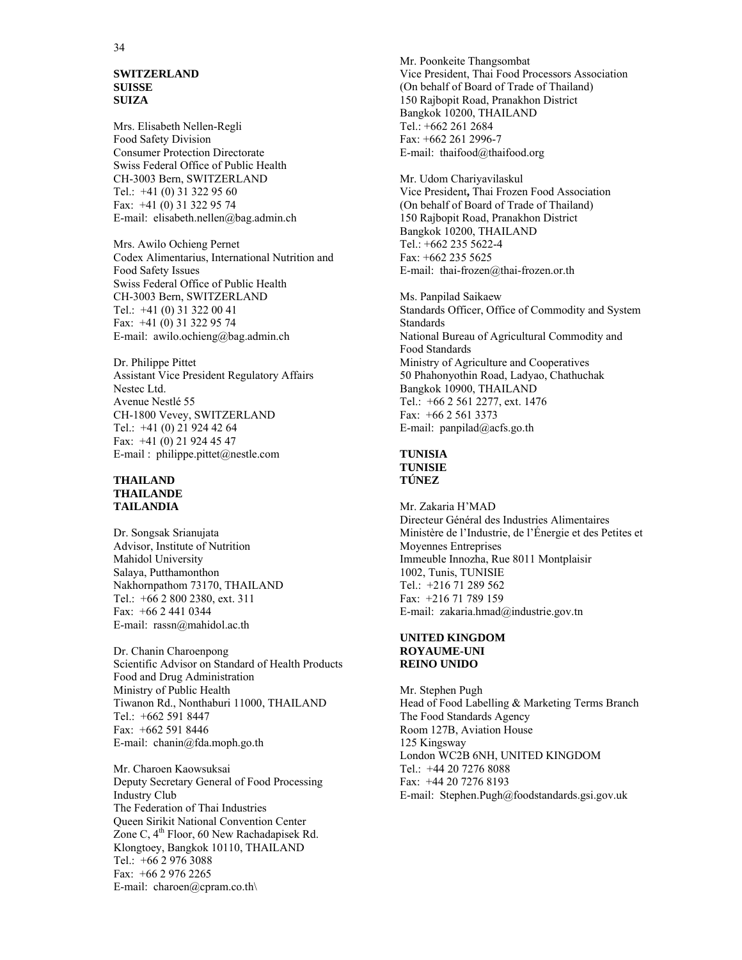#### **SWITZERLAND SUISSE SUIZA**

Mrs. Elisabeth Nellen-Regli Food Safety Division Consumer Protection Directorate Swiss Federal Office of Public Health CH-3003 Bern, SWITZERLAND Tel.: +41 (0) 31 322 95 60 Fax: +41 (0) 31 322 95 74 E-mail: elisabeth.nellen@bag.admin.ch

Mrs. Awilo Ochieng Pernet Codex Alimentarius, International Nutrition and Food Safety Issues Swiss Federal Office of Public Health CH-3003 Bern, SWITZERLAND Tel.: +41 (0) 31 322 00 41 Fax: +41 (0) 31 322 95 74 E-mail: awilo.ochieng@bag.admin.ch

Dr. Philippe Pittet Assistant Vice President Regulatory Affairs Nestec Ltd. Avenue Nestlé 55 CH-1800 Vevey, SWITZERLAND Tel.: +41 (0) 21 924 42 64 Fax: +41 (0) 21 924 45 47 E-mail : philippe.pittet@nestle.com

#### **THAILAND THAILANDE TAILANDIA**

Dr. Songsak Srianujata Advisor, Institute of Nutrition Mahidol University Salaya, Putthamonthon Nakhornpathom 73170, THAILAND Tel.: +66 2 800 2380, ext. 311 Fax: +66 2 441 0344 E-mail: rassn@mahidol.ac.th

Dr. Chanin Charoenpong Scientific Advisor on Standard of Health Products Food and Drug Administration Ministry of Public Health Tiwanon Rd., Nonthaburi 11000, THAILAND Tel.: +662 591 8447 Fax: +662 591 8446 E-mail: chanin@fda.moph.go.th

Mr. Charoen Kaowsuksai Deputy Secretary General of Food Processing Industry Club The Federation of Thai Industries Queen Sirikit National Convention Center Zone C,  $4^{th}$  Floor, 60 New Rachadapisek Rd. Klongtoey, Bangkok 10110, THAILAND Tel.: +66 2 976 3088 Fax: +66 2 976 2265 E-mail: charoen@cpram.co.th\

Mr. Poonkeite Thangsombat Vice President, Thai Food Processors Association (On behalf of Board of Trade of Thailand) 150 Rajbopit Road, Pranakhon District Bangkok 10200, THAILAND Tel.: +662 261 2684 Fax: +662 261 2996-7 E-mail: thaifood@thaifood.org

Mr. Udom Chariyavilaskul Vice President**,** Thai Frozen Food Association (On behalf of Board of Trade of Thailand) 150 Rajbopit Road, Pranakhon District Bangkok 10200, THAILAND Tel.: +662 235 5622-4 Fax: +662 235 5625 E-mail: thai-frozen@thai-frozen.or.th

Ms. Panpilad Saikaew Standards Officer, Office of Commodity and System **Standards** National Bureau of Agricultural Commodity and Food Standards Ministry of Agriculture and Cooperatives 50 Phahonyothin Road, Ladyao, Chathuchak Bangkok 10900, THAILAND Tel.: +66 2 561 2277, ext. 1476 Fax: +66 2 561 3373 E-mail:  $panpilad@acfs.gov.th$ 

#### **TUNISIA TUNISIE TÚNEZ**

Mr. Zakaria H'MAD Directeur Général des Industries Alimentaires Ministère de l'Industrie, de l'Énergie et des Petites et Moyennes Entreprises Immeuble Innozha, Rue 8011 Montplaisir 1002, Tunis, TUNISIE Tel.: +216 71 289 562 Fax: +216 71 789 159 E-mail: zakaria.hmad@industrie.gov.tn

#### **UNITED KINGDOM ROYAUME-UNI REINO UNIDO**

Mr. Stephen Pugh Head of Food Labelling & Marketing Terms Branch The Food Standards Agency Room 127B, Aviation House 125 Kingsway London WC2B 6NH, UNITED KINGDOM Tel.: +44 20 7276 8088 Fax: +44 20 7276 8193 E-mail: Stephen.Pugh@foodstandards.gsi.gov.uk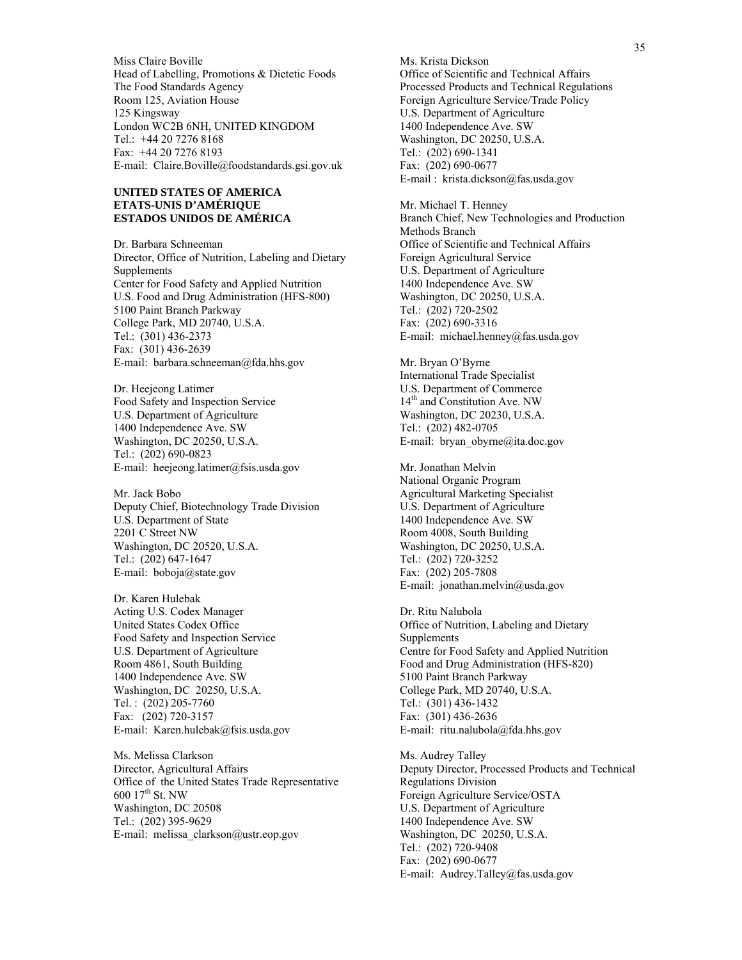Miss Claire Boville Head of Labelling, Promotions & Dietetic Foods The Food Standards Agency Room 125, Aviation House 125 Kingsway London WC2B 6NH, UNITED KINGDOM Tel.: +44 20 7276 8168 Fax: +44 20 7276 8193 E-mail: Claire.Boville@foodstandards.gsi.gov.uk

#### **UNITED STATES OF AMERICA ETATS-UNIS D'AMÉRIQUE ESTADOS UNIDOS DE AMÉRICA**

Dr. Barbara Schneeman Director, Office of Nutrition, Labeling and Dietary Supplements Center for Food Safety and Applied Nutrition U.S. Food and Drug Administration (HFS-800) 5100 Paint Branch Parkway College Park, MD 20740, U.S.A. Tel.: (301) 436-2373 Fax: (301) 436-2639 E-mail: barbara.schneeman@fda.hhs.gov

Dr. Heejeong Latimer Food Safety and Inspection Service U.S. Department of Agriculture 1400 Independence Ave. SW Washington, DC 20250, U.S.A. Tel.: (202) 690-0823 E-mail: heejeong.latimer@fsis.usda.gov

Mr. Jack Bobo Deputy Chief, Biotechnology Trade Division U.S. Department of State 2201 C Street NW Washington, DC 20520, U.S.A. Tel.: (202) 647-1647 E-mail: boboja@state.gov

Dr. Karen Hulebak Acting U.S. Codex Manager United States Codex Office Food Safety and Inspection Service U.S. Department of Agriculture Room 4861, South Building 1400 Independence Ave. SW Washington, DC 20250, U.S.A. Tel. : (202) 205-7760 Fax: (202) 720-3157 E-mail: Karen.hulebak@fsis.usda.gov

Ms. Melissa Clarkson Director, Agricultural Affairs Office of the United States Trade Representative 600 17th St. NW Washington, DC 20508 Tel.: (202) 395-9629 E-mail: melissa\_clarkson@ustr.eop.gov

Ms. Krista Dickson Office of Scientific and Technical Affairs Processed Products and Technical Regulations Foreign Agriculture Service/Trade Policy U.S. Department of Agriculture 1400 Independence Ave. SW Washington, DC 20250, U.S.A. Tel.: (202) 690-1341 Fax: (202) 690-0677 E-mail : krista.dickson@fas.usda.gov

Mr. Michael T. Henney Branch Chief, New Technologies and Production Methods Branch Office of Scientific and Technical Affairs Foreign Agricultural Service U.S. Department of Agriculture 1400 Independence Ave. SW Washington, DC 20250, U.S.A. Tel.: (202) 720-2502 Fax: (202) 690-3316 E-mail: michael.henney@fas.usda.gov

Mr. Bryan O'Byrne International Trade Specialist U.S. Department of Commerce 14<sup>th</sup> and Constitution Ave. NW Washington, DC 20230, U.S.A. Tel.: (202) 482-0705 E-mail: bryan\_obyrne@ita.doc.gov

Mr. Jonathan Melvin National Organic Program Agricultural Marketing Specialist U.S. Department of Agriculture 1400 Independence Ave. SW Room 4008, South Building Washington, DC 20250, U.S.A. Tel.: (202) 720-3252 Fax: (202) 205-7808 E-mail: jonathan.melvin@usda.gov

Dr. Ritu Nalubola Office of Nutrition, Labeling and Dietary Supplements Centre for Food Safety and Applied Nutrition Food and Drug Administration (HFS-820) 5100 Paint Branch Parkway College Park, MD 20740, U.S.A. Tel.: (301) 436-1432 Fax: (301) 436-2636 E-mail: ritu.nalubola@fda.hhs.gov

Ms. Audrey Talley Deputy Director, Processed Products and Technical Regulations Division Foreign Agriculture Service/OSTA U.S. Department of Agriculture 1400 Independence Ave. SW Washington, DC 20250, U.S.A. Tel.: (202) 720-9408 Fax: (202) 690-0677 E-mail: Audrey.Talley@fas.usda.gov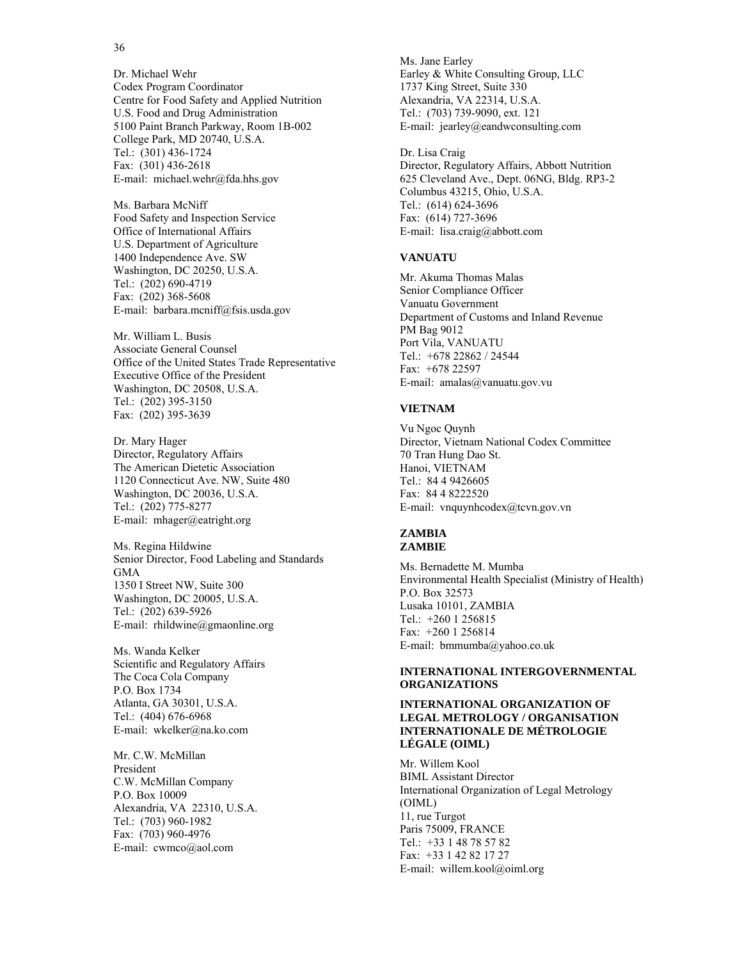#### 36

Dr. Michael Wehr Codex Program Coordinator Centre for Food Safety and Applied Nutrition U.S. Food and Drug Administration 5100 Paint Branch Parkway, Room 1B-002 College Park, MD 20740, U.S.A. Tel.: (301) 436-1724 Fax: (301) 436-2618 E-mail: michael.wehr@fda.hhs.gov

Ms. Barbara McNiff Food Safety and Inspection Service Office of International Affairs U.S. Department of Agriculture 1400 Independence Ave. SW Washington, DC 20250, U.S.A. Tel.: (202) 690-4719 Fax: (202) 368-5608 E-mail: barbara.mcniff@fsis.usda.gov

Mr. William L. Busis Associate General Counsel Office of the United States Trade Representative Executive Office of the President Washington, DC 20508, U.S.A. Tel.: (202) 395-3150 Fax: (202) 395-3639

Dr. Mary Hager Director, Regulatory Affairs The American Dietetic Association 1120 Connecticut Ave. NW, Suite 480 Washington, DC 20036, U.S.A. Tel.: (202) 775-8277 E-mail: mhager@eatright.org

Ms. Regina Hildwine Senior Director, Food Labeling and Standards GMA 1350 I Street NW, Suite 300 Washington, DC 20005, U.S.A. Tel.: (202) 639-5926 E-mail: rhildwine@gmaonline.org

Ms. Wanda Kelker Scientific and Regulatory Affairs The Coca Cola Company P.O. Box 1734 Atlanta, GA 30301, U.S.A. Tel.: (404) 676-6968 E-mail: wkelker@na.ko.com

Mr. C.W. McMillan President C.W. McMillan Company P.O. Box 10009 Alexandria, VA 22310, U.S.A. Tel.: (703) 960-1982 Fax: (703) 960-4976 E-mail: cwmco@aol.com

Ms. Jane Earley Earley & White Consulting Group, LLC 1737 King Street, Suite 330 Alexandria, VA 22314, U.S.A. Tel.: (703) 739-9090, ext. 121 E-mail: jearley@eandwconsulting.com

Dr. Lisa Craig Director, Regulatory Affairs, Abbott Nutrition 625 Cleveland Ave., Dept. 06NG, Bldg. RP3-2 Columbus 43215, Ohio, U.S.A. Tel.: (614) 624-3696 Fax: (614) 727-3696 E-mail: lisa.craig@abbott.com

#### **VANUATU**

Mr. Akuma Thomas Malas Senior Compliance Officer Vanuatu Government Department of Customs and Inland Revenue PM Bag 9012 Port Vila, VANUATU Tel.: +678 22862 / 24544 Fax: +678 22597 E-mail: amalas@vanuatu.gov.vu

#### **VIETNAM**

Vu Ngoc Quynh Director, Vietnam National Codex Committee 70 Tran Hung Dao St. Hanoi, VIETNAM Tel.: 84 4 9426605 Fax: 84 4 8222520 E-mail: vnquynhcodex@tcvn.gov.vn

#### **ZAMBIA ZAMBIE**

Ms. Bernadette M. Mumba Environmental Health Specialist (Ministry of Health) P.O. Box 32573 Lusaka 10101, ZAMBIA Tel.: +260 1 256815 Fax: +260 1 256814 E-mail: bmmumba@yahoo.co.uk

#### **INTERNATIONAL INTERGOVERNMENTAL ORGANIZATIONS**

#### **INTERNATIONAL ORGANIZATION OF LEGAL METROLOGY / ORGANISATION INTERNATIONALE DE MÉTROLOGIE LÉGALE (OIML)**

Mr. Willem Kool BIML Assistant Director International Organization of Legal Metrology (OIML) 11, rue Turgot Paris 75009, FRANCE Tel.: +33 1 48 78 57 82 Fax: +33 1 42 82 17 27 E-mail: willem.kool@oiml.org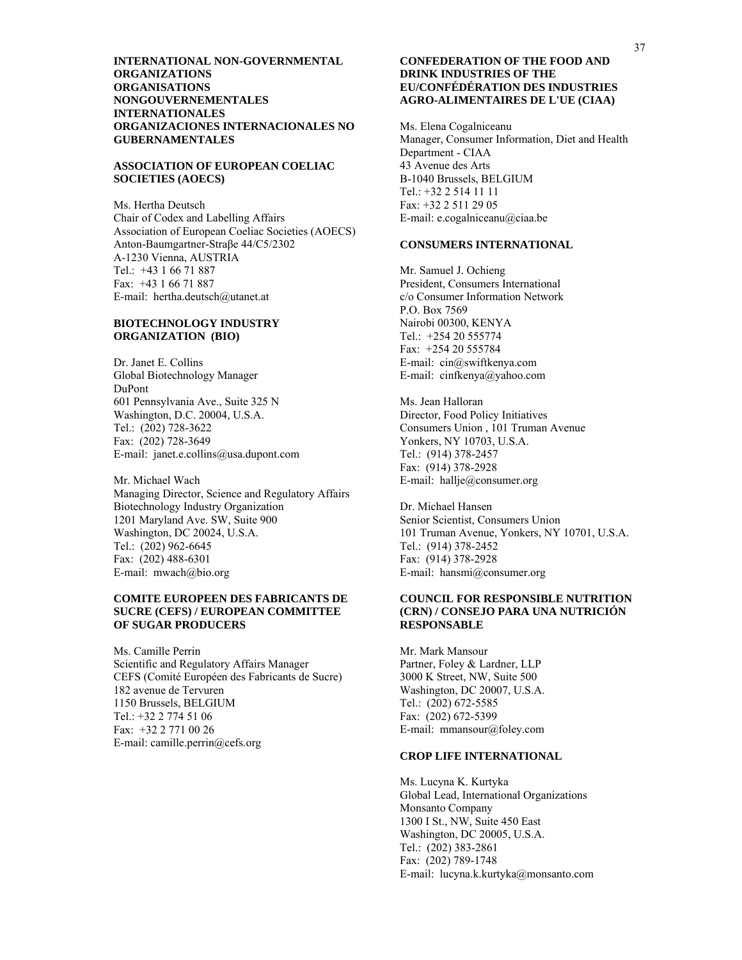**INTERNATIONAL NON-GOVERNMENTAL ORGANIZATIONS ORGANISATIONS NONGOUVERNEMENTALES INTERNATIONALES ORGANIZACIONES INTERNACIONALES NO GUBERNAMENTALES** 

#### **ASSOCIATION OF EUROPEAN COELIAC SOCIETIES (AOECS)**

Ms. Hertha Deutsch Chair of Codex and Labelling Affairs Association of European Coeliac Societies (AOECS) Anton-Baumgartner-Straβe 44/C5/2302 A-1230 Vienna, AUSTRIA Tel.: +43 1 66 71 887 Fax: +43 1 66 71 887 E-mail: hertha.deutsch@utanet.at

#### **BIOTECHNOLOGY INDUSTRY ORGANIZATION (BIO)**

Dr. Janet E. Collins Global Biotechnology Manager DuPont 601 Pennsylvania Ave., Suite 325 N Washington, D.C. 20004, U.S.A. Tel.: (202) 728-3622 Fax: (202) 728-3649 E-mail: janet.e.collins@usa.dupont.com

Mr. Michael Wach Managing Director, Science and Regulatory Affairs Biotechnology Industry Organization 1201 Maryland Ave. SW, Suite 900 Washington, DC 20024, U.S.A. Tel.: (202) 962-6645 Fax: (202) 488-6301 E-mail: mwach@bio.org

#### **COMITE EUROPEEN DES FABRICANTS DE SUCRE (CEFS) / EUROPEAN COMMITTEE OF SUGAR PRODUCERS**

Ms. Camille Perrin Scientific and Regulatory Affairs Manager CEFS (Comité Européen des Fabricants de Sucre) 182 avenue de Tervuren 1150 Brussels, BELGIUM Tel.: +32 2 774 51 06 Fax: +32 2 771 00 26 E-mail: camille.perrin@cefs.org

#### **CONFEDERATION OF THE FOOD AND DRINK INDUSTRIES OF THE EU/CONFÉDÉRATION DES INDUSTRIES AGRO-ALIMENTAIRES DE L'UE (CIAA)**

Ms. Elena Cogalniceanu Manager, Consumer Information, Diet and Health Department - CIAA 43 Avenue des Arts B-1040 Brussels, BELGIUM Tel.: +32 2 514 11 11 Fax: +32 2 511 29 05 E-mail: e.cogalniceanu@ciaa.be

#### **CONSUMERS INTERNATIONAL**

Mr. Samuel J. Ochieng President, Consumers International c/o Consumer Information Network P.O. Box 7569 Nairobi 00300, KENYA Tel.: +254 20 555774 Fax: +254 20 555784 E-mail: cin@swiftkenya.com E-mail: cinfkenya@yahoo.com

Ms. Jean Halloran Director, Food Policy Initiatives Consumers Union , 101 Truman Avenue Yonkers, NY 10703, U.S.A. Tel.: (914) 378-2457 Fax: (914) 378-2928 E-mail: hallje@consumer.org

Dr. Michael Hansen Senior Scientist, Consumers Union 101 Truman Avenue, Yonkers, NY 10701, U.S.A. Tel.: (914) 378-2452 Fax: (914) 378-2928 E-mail: hansmi@consumer.org

#### **COUNCIL FOR RESPONSIBLE NUTRITION (CRN) / CONSEJO PARA UNA NUTRICIÓN RESPONSABLE**

Mr. Mark Mansour Partner, Foley & Lardner, LLP 3000 K Street, NW, Suite 500 Washington, DC 20007, U.S.A. Tel.: (202) 672-5585 Fax: (202) 672-5399 E-mail: mmansour@foley.com

#### **CROP LIFE INTERNATIONAL**

Ms. Lucyna K. Kurtyka Global Lead, International Organizations Monsanto Company 1300 I St., NW, Suite 450 East Washington, DC 20005, U.S.A. Tel.: (202) 383-2861 Fax: (202) 789-1748 E-mail: lucyna.k.kurtyka@monsanto.com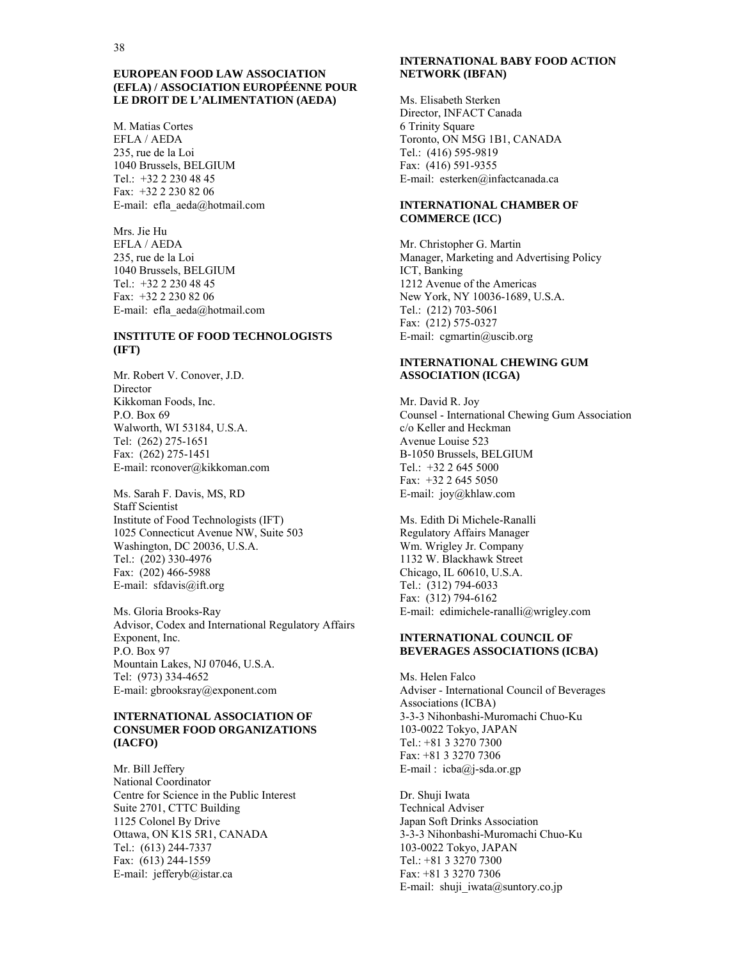#### **EUROPEAN FOOD LAW ASSOCIATION (EFLA) / ASSOCIATION EUROPÉENNE POUR LE DROIT DE L'ALIMENTATION (AEDA)**

M. Matias Cortes EFLA / AEDA 235, rue de la Loi 1040 Brussels, BELGIUM Tel.: +32 2 230 48 45 Fax: +32 2 230 82 06 E-mail: efla\_aeda@hotmail.com

Mrs. Jie Hu EFLA / AEDA 235, rue de la Loi 1040 Brussels, BELGIUM Tel.: +32 2 230 48 45 Fax: +32 2 230 82 06 E-mail: efla\_aeda@hotmail.com

# **INSTITUTE OF FOOD TECHNOLOGISTS (IFT)**

Mr. Robert V. Conover, J.D. Director Kikkoman Foods, Inc. P.O. Box 69 Walworth, WI 53184, U.S.A. Tel: (262) 275-1651 Fax: (262) 275-1451 E-mail: rconover@kikkoman.com

Ms. Sarah F. Davis, MS, RD Staff Scientist Institute of Food Technologists (IFT) 1025 Connecticut Avenue NW, Suite 503 Washington, DC 20036, U.S.A. Tel.: (202) 330-4976 Fax: (202) 466-5988 E-mail: sfdavis@ift.org

Ms. Gloria Brooks-Ray Advisor, Codex and International Regulatory Affairs Exponent, Inc. P.O. Box 97 Mountain Lakes, NJ 07046, U.S.A. Tel: (973) 334-4652 E-mail: gbrooksray@exponent.com

#### **INTERNATIONAL ASSOCIATION OF CONSUMER FOOD ORGANIZATIONS (IACFO)**

Mr. Bill Jeffery National Coordinator Centre for Science in the Public Interest Suite 2701, CTTC Building 1125 Colonel By Drive Ottawa, ON K1S 5R1, CANADA Tel.: (613) 244-7337 Fax: (613) 244-1559 E-mail: jefferyb@istar.ca

#### **INTERNATIONAL BABY FOOD ACTION NETWORK (IBFAN)**

Ms. Elisabeth Sterken Director, INFACT Canada 6 Trinity Square Toronto, ON M5G 1B1, CANADA Tel.: (416) 595-9819 Fax: (416) 591-9355 E-mail: esterken@infactcanada.ca

#### **INTERNATIONAL CHAMBER OF COMMERCE (ICC)**

Mr. Christopher G. Martin Manager, Marketing and Advertising Policy ICT, Banking 1212 Avenue of the Americas New York, NY 10036-1689, U.S.A. Tel.: (212) 703-5061 Fax: (212) 575-0327 E-mail: cgmartin@uscib.org

#### **INTERNATIONAL CHEWING GUM ASSOCIATION (ICGA)**

Mr. David R. Joy Counsel - International Chewing Gum Association c/o Keller and Heckman Avenue Louise 523 B-1050 Brussels, BELGIUM Tel.: +32 2 645 5000 Fax: +32 2 645 5050 E-mail: joy@khlaw.com

Ms. Edith Di Michele-Ranalli Regulatory Affairs Manager Wm. Wrigley Jr. Company 1132 W. Blackhawk Street Chicago, IL 60610, U.S.A. Tel.: (312) 794-6033 Fax: (312) 794-6162 E-mail: edimichele-ranalli@wrigley.com

#### **INTERNATIONAL COUNCIL OF BEVERAGES ASSOCIATIONS (ICBA)**

Ms. Helen Falco Adviser - International Council of Beverages Associations (ICBA) 3-3-3 Nihonbashi-Muromachi Chuo-Ku 103-0022 Tokyo, JAPAN Tel.: +81 3 3270 7300 Fax: +81 3 3270 7306 E-mail : icba@j-sda.or.gp

Dr. Shuji Iwata Technical Adviser Japan Soft Drinks Association 3-3-3 Nihonbashi-Muromachi Chuo-Ku 103-0022 Tokyo, JAPAN Tel.: +81 3 3270 7300 Fax: +81 3 3270 7306 E-mail: shuji iwata@suntory.co.jp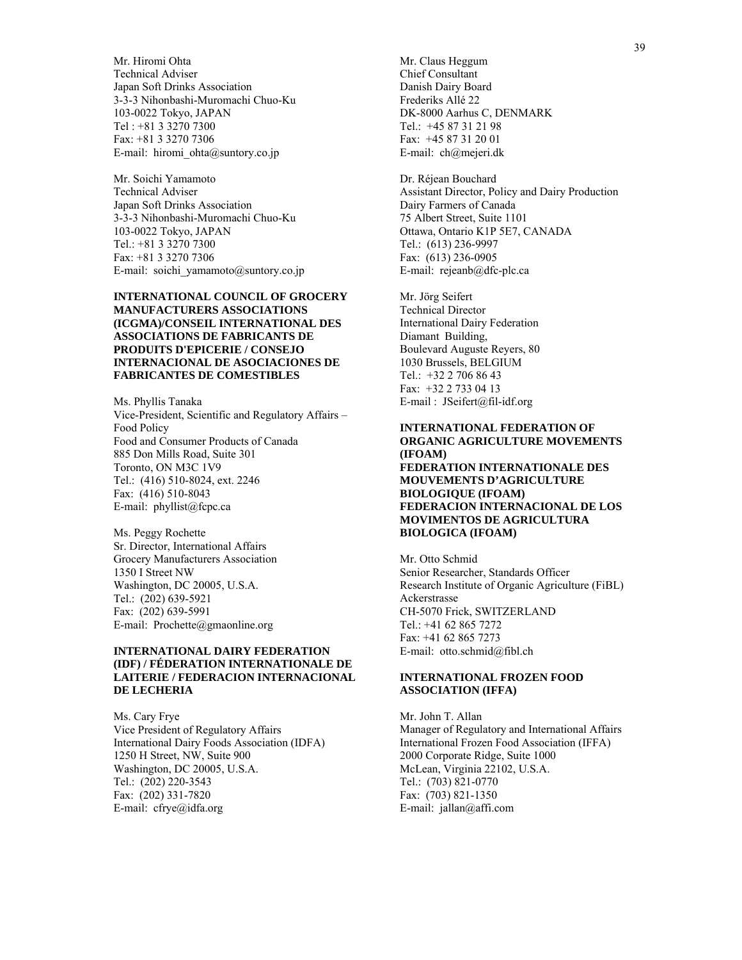Mr. Hiromi Ohta Technical Adviser Japan Soft Drinks Association 3-3-3 Nihonbashi-Muromachi Chuo-Ku 103-0022 Tokyo, JAPAN Tel : +81 3 3270 7300 Fax: +81 3 3270 7306 E-mail: hiromi\_ohta@suntory.co.jp

Mr. Soichi Yamamoto Technical Adviser Japan Soft Drinks Association 3-3-3 Nihonbashi-Muromachi Chuo-Ku 103-0022 Tokyo, JAPAN Tel.: +81 3 3270 7300 Fax: +81 3 3270 7306 E-mail: soichi\_yamamoto@suntory.co.jp

#### **INTERNATIONAL COUNCIL OF GROCERY MANUFACTURERS ASSOCIATIONS (ICGMA)/CONSEIL INTERNATIONAL DES ASSOCIATIONS DE FABRICANTS DE PRODUITS D'EPICERIE / CONSEJO INTERNACIONAL DE ASOCIACIONES DE FABRICANTES DE COMESTIBLES**

Ms. Phyllis Tanaka Vice-President, Scientific and Regulatory Affairs – Food Policy Food and Consumer Products of Canada 885 Don Mills Road, Suite 301 Toronto, ON M3C 1V9 Tel.: (416) 510-8024, ext. 2246 Fax: (416) 510-8043 E-mail: phyllist@fcpc.ca

Ms. Peggy Rochette Sr. Director, International Affairs Grocery Manufacturers Association 1350 I Street NW Washington, DC 20005, U.S.A. Tel.: (202) 639-5921 Fax: (202) 639-5991 E-mail: Prochette@gmaonline.org

#### **INTERNATIONAL DAIRY FEDERATION (IDF) / FÉDERATION INTERNATIONALE DE LAITERIE / FEDERACION INTERNACIONAL DE LECHERIA**

Ms. Cary Frye Vice President of Regulatory Affairs International Dairy Foods Association (IDFA) 1250 H Street, NW, Suite 900 Washington, DC 20005, U.S.A. Tel.: (202) 220-3543 Fax: (202) 331-7820 E-mail: cfrye@idfa.org

Mr. Claus Heggum Chief Consultant Danish Dairy Board Frederiks Allé 22 DK-8000 Aarhus C, DENMARK Tel.: +45 87 31 21 98 Fax: +45 87 31 20 01 E-mail: ch@mejeri.dk

Dr. Réjean Bouchard Assistant Director, Policy and Dairy Production Dairy Farmers of Canada 75 Albert Street, Suite 1101 Ottawa, Ontario K1P 5E7, CANADA Tel.: (613) 236-9997 Fax: (613) 236-0905 E-mail: rejeanb@dfc-plc.ca

Mr. Jörg Seifert Technical Director International Dairy Federation Diamant Building, Boulevard Auguste Reyers, 80 1030 Brussels, BELGIUM Tel.: +32 2 706 86 43 Fax: +32 2 733 04 13 E-mail : JSeifert@fil-idf.org

#### **INTERNATIONAL FEDERATION OF ORGANIC AGRICULTURE MOVEMENTS (IFOAM) FEDERATION INTERNATIONALE DES MOUVEMENTS D'AGRICULTURE**

#### **BIOLOGIQUE (IFOAM) FEDERACION INTERNACIONAL DE LOS MOVIMENTOS DE AGRICULTURA BIOLOGICA (IFOAM)**

Mr. Otto Schmid Senior Researcher, Standards Officer Research Institute of Organic Agriculture (FiBL) Ackerstrasse CH-5070 Frick, SWITZERLAND Tel.: +41 62 865 7272 Fax: +41 62 865 7273 E-mail: otto.schmid@fibl.ch

#### **INTERNATIONAL FROZEN FOOD ASSOCIATION (IFFA)**

Mr. John T. Allan Manager of Regulatory and International Affairs International Frozen Food Association (IFFA) 2000 Corporate Ridge, Suite 1000 McLean, Virginia 22102, U.S.A. Tel.: (703) 821-0770 Fax: (703) 821-1350 E-mail: jallan@affi.com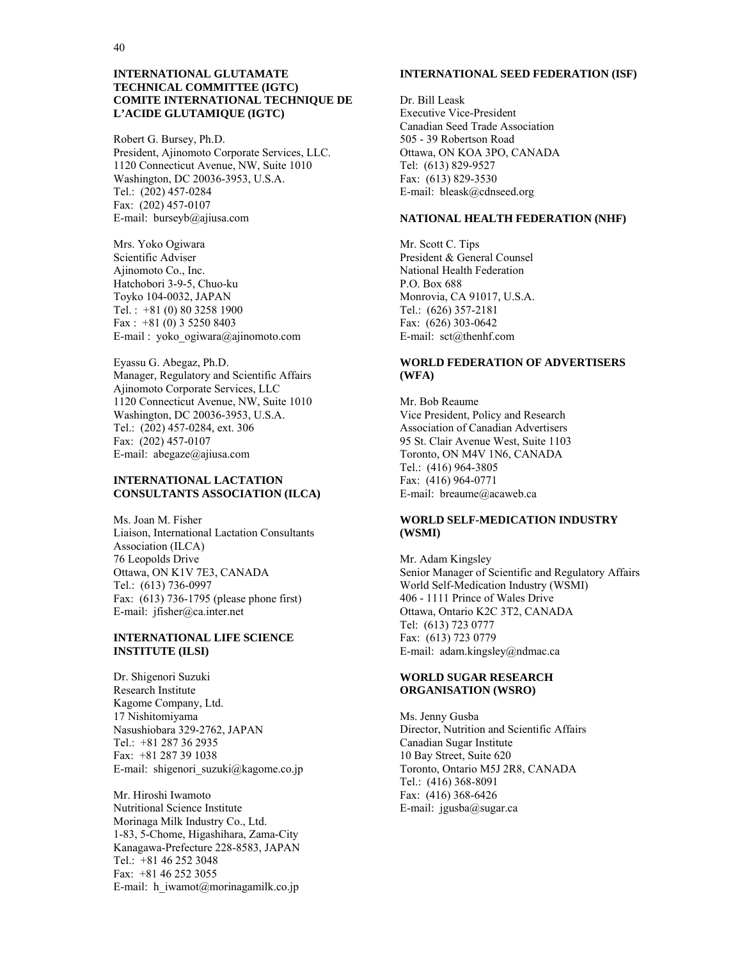#### **INTERNATIONAL GLUTAMATE TECHNICAL COMMITTEE (IGTC) COMITE INTERNATIONAL TECHNIQUE DE L'ACIDE GLUTAMIQUE (IGTC)**

Robert G. Bursey, Ph.D. President, Ajinomoto Corporate Services, LLC. 1120 Connecticut Avenue, NW, Suite 1010 Washington, DC 20036-3953, U.S.A. Tel.: (202) 457-0284 Fax: (202) 457-0107 E-mail: burseyb@ajiusa.com

Mrs. Yoko Ogiwara Scientific Adviser Ajinomoto Co., Inc. Hatchobori 3-9-5, Chuo-ku Toyko 104-0032, JAPAN Tel. : +81 (0) 80 3258 1900 Fax : +81 (0) 3 5250 8403 E-mail : yoko\_ogiwara@ajinomoto.com

Eyassu G. Abegaz, Ph.D. Manager, Regulatory and Scientific Affairs Ajinomoto Corporate Services, LLC 1120 Connecticut Avenue, NW, Suite 1010 Washington, DC 20036-3953, U.S.A. Tel.: (202) 457-0284, ext. 306 Fax: (202) 457-0107 E-mail: abegaze@ajiusa.com

# **INTERNATIONAL LACTATION CONSULTANTS ASSOCIATION (ILCA)**

Ms. Joan M. Fisher Liaison, International Lactation Consultants Association (ILCA) 76 Leopolds Drive Ottawa, ON K1V 7E3, CANADA Tel.: (613) 736-0997 Fax: (613) 736-1795 (please phone first) E-mail: jfisher@ca.inter.net

#### **INTERNATIONAL LIFE SCIENCE INSTITUTE (ILSI)**

Dr. Shigenori Suzuki Research Institute Kagome Company, Ltd. 17 Nishitomiyama Nasushiobara 329-2762, JAPAN Tel.: +81 287 36 2935 Fax: +81 287 39 1038 E-mail: shigenori\_suzuki@kagome.co.jp

Mr. Hiroshi Iwamoto Nutritional Science Institute Morinaga Milk Industry Co., Ltd. 1-83, 5-Chome, Higashihara, Zama-City Kanagawa-Prefecture 228-8583, JAPAN Tel.: +81 46 252 3048 Fax: +81 46 252 3055 E-mail: h\_iwamot@morinagamilk.co.jp

#### **INTERNATIONAL SEED FEDERATION (ISF)**

Dr. Bill Leask Executive Vice-President Canadian Seed Trade Association 505 - 39 Robertson Road Ottawa, ON KOA 3PO, CANADA Tel: (613) 829-9527 Fax: (613) 829-3530 E-mail: bleask@cdnseed.org

#### **NATIONAL HEALTH FEDERATION (NHF)**

Mr. Scott C. Tips President & General Counsel National Health Federation P.O. Box 688 Monrovia, CA 91017, U.S.A. Tel.: (626) 357-2181 Fax: (626) 303-0642 E-mail: sct@thenhf.com

### **WORLD FEDERATION OF ADVERTISERS (WFA)**

Mr. Bob Reaume Vice President, Policy and Research Association of Canadian Advertisers 95 St. Clair Avenue West, Suite 1103 Toronto, ON M4V 1N6, CANADA Tel.: (416) 964-3805 Fax: (416) 964-0771 E-mail: breaume@acaweb.ca

# **WORLD SELF-MEDICATION INDUSTRY (WSMI)**

Mr. Adam Kingsley Senior Manager of Scientific and Regulatory Affairs World Self-Medication Industry (WSMI) 406 - 1111 Prince of Wales Drive Ottawa, Ontario K2C 3T2, CANADA Tel: (613) 723 0777 Fax: (613) 723 0779 E-mail: adam.kingsley@ndmac.ca

#### **WORLD SUGAR RESEARCH ORGANISATION (WSRO)**

Ms. Jenny Gusba Director, Nutrition and Scientific Affairs Canadian Sugar Institute 10 Bay Street, Suite 620 Toronto, Ontario M5J 2R8, CANADA Tel.: (416) 368-8091 Fax: (416) 368-6426 E-mail: jgusba@sugar.ca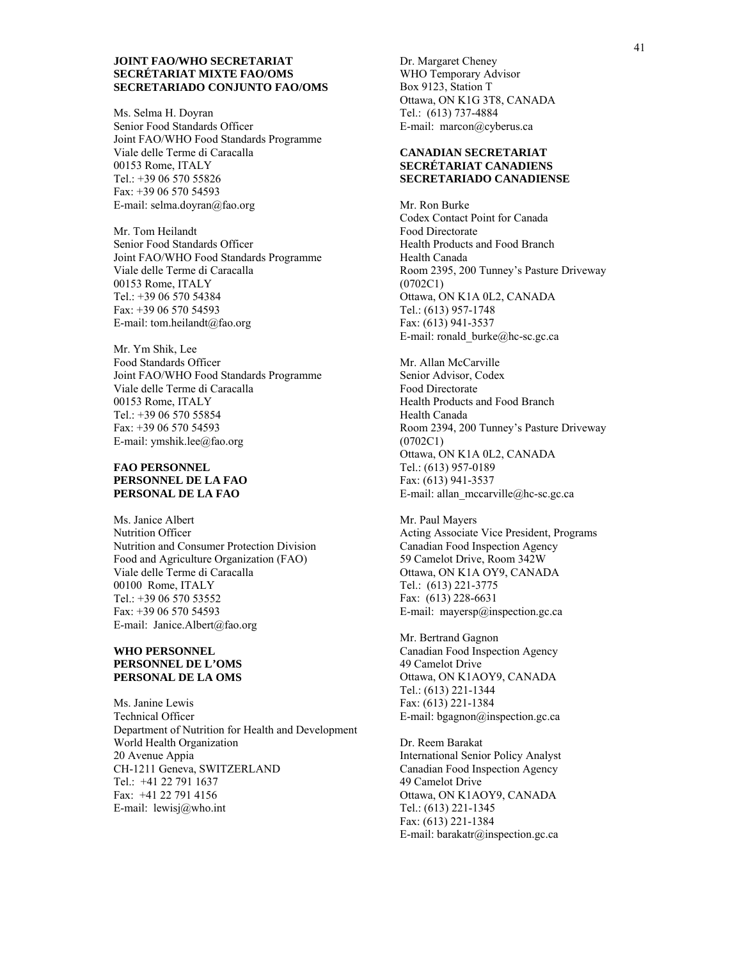#### **JOINT FAO/WHO SECRETARIAT SECRÉTARIAT MIXTE FAO/OMS SECRETARIADO CONJUNTO FAO/OMS**

Ms. Selma H. Doyran Senior Food Standards Officer Joint FAO/WHO Food Standards Programme Viale delle Terme di Caracalla 00153 Rome, ITALY Tel.: +39 06 570 55826 Fax: +39 06 570 54593 E-mail: selma.doyran@fao.org

Mr. Tom Heilandt Senior Food Standards Officer Joint FAO/WHO Food Standards Programme Viale delle Terme di Caracalla 00153 Rome, ITALY Tel.: +39 06 570 54384 Fax: +39 06 570 54593 E-mail: tom.heilandt@fao.org

Mr. Ym Shik, Lee Food Standards Officer Joint FAO/WHO Food Standards Programme Viale delle Terme di Caracalla 00153 Rome, ITALY Tel.: +39 06 570 55854 Fax: +39 06 570 54593 E-mail: ymshik.lee@fao.org

#### **FAO PERSONNEL PERSONNEL DE LA FAO PERSONAL DE LA FAO**

Ms. Janice Albert Nutrition Officer Nutrition and Consumer Protection Division Food and Agriculture Organization (FAO) Viale delle Terme di Caracalla 00100 Rome, ITALY Tel.: +39 06 570 53552 Fax: +39 06 570 54593 E-mail: Janice.Albert@fao.org

#### **WHO PERSONNEL PERSONNEL DE L'OMS PERSONAL DE LA OMS**

Ms. Janine Lewis Technical Officer Department of Nutrition for Health and Development World Health Organization 20 Avenue Appia CH-1211 Geneva, SWITZERLAND Tel.: +41 22 791 1637 Fax: +41 22 791 4156 E-mail: lewisj@who.int

Dr. Margaret Cheney WHO Temporary Advisor Box 9123, Station T Ottawa, ON K1G 3T8, CANADA Tel.: (613) 737-4884 E-mail: marcon@cyberus.ca

#### **CANADIAN SECRETARIAT SECRÉTARIAT CANADIENS SECRETARIADO CANADIENSE**

Mr. Ron Burke Codex Contact Point for Canada Food Directorate Health Products and Food Branch Health Canada Room 2395, 200 Tunney's Pasture Driveway (0702C1) Ottawa, ON K1A 0L2, CANADA Tel.: (613) 957-1748 Fax: (613) 941-3537 E-mail: ronald\_burke@hc-sc.gc.ca

Mr. Allan McCarville Senior Advisor, Codex Food Directorate Health Products and Food Branch Health Canada Room 2394, 200 Tunney's Pasture Driveway (0702C1) Ottawa, ON K1A 0L2, CANADA Tel.: (613) 957-0189 Fax: (613) 941-3537 E-mail: allan\_mccarville@hc-sc.gc.ca

Mr. Paul Mayers Acting Associate Vice President, Programs Canadian Food Inspection Agency 59 Camelot Drive, Room 342W Ottawa, ON K1A OY9, CANADA Tel.: (613) 221-3775 Fax: (613) 228-6631 E-mail: mayersp@inspection.gc.ca

Mr. Bertrand Gagnon Canadian Food Inspection Agency 49 Camelot Drive Ottawa, ON K1AOY9, CANADA Tel.: (613) 221-1344 Fax: (613) 221-1384 E-mail: bgagnon@inspection.gc.ca

Dr. Reem Barakat International Senior Policy Analyst Canadian Food Inspection Agency 49 Camelot Drive Ottawa, ON K1AOY9, CANADA Tel.: (613) 221-1345 Fax: (613) 221-1384 E-mail: barakatr@inspection.gc.ca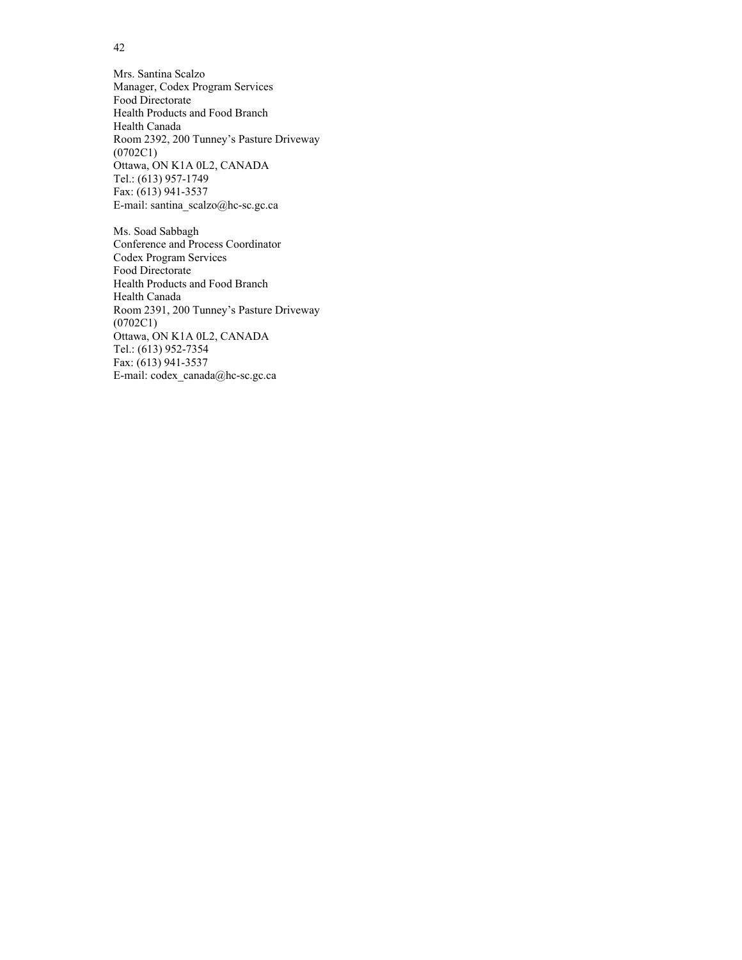Mrs. Santina Scalzo Manager, Codex Program Services Food Directorate Health Products and Food Branch Health Canada Room 2392, 200 Tunney's Pasture Driveway (0702C1) Ottawa, ON K1A 0L2, CANADA Tel.: (613) 957-1749 Fax: (613) 941-3537 E-mail: santina\_scalzo@hc-sc.gc.ca

Ms. Soad Sabbagh Conference and Process Coordinator Codex Program Services Food Directorate Health Products and Food Branch Health Canada Room 2391, 200 Tunney's Pasture Driveway (0702C1) Ottawa, ON K1A 0L2, CANADA Tel.: (613) 952-7354 Fax: (613) 941-3537 E-mail: codex\_canada@hc-sc.gc.ca

42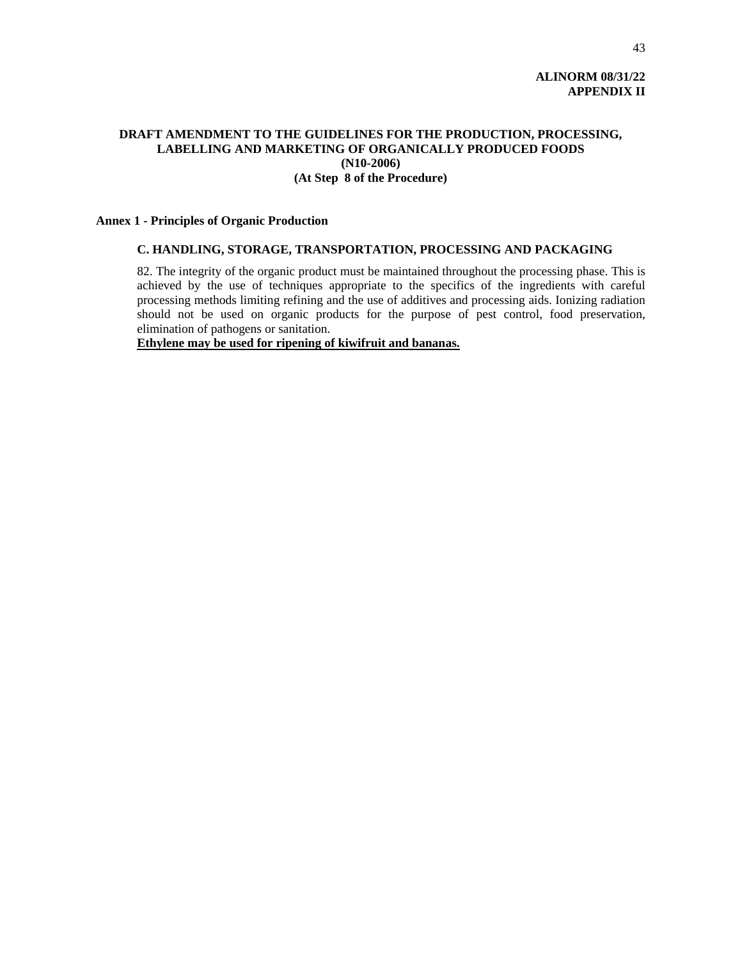# **ALINORM 08/31/22 APPENDIX II**

# **DRAFT AMENDMENT TO THE GUIDELINES FOR THE PRODUCTION, PROCESSING, LABELLING AND MARKETING OF ORGANICALLY PRODUCED FOODS (N10-2006) (At Step 8 of the Procedure)**

#### **Annex 1 - Principles of Organic Production**

### **C. HANDLING, STORAGE, TRANSPORTATION, PROCESSING AND PACKAGING**

82. The integrity of the organic product must be maintained throughout the processing phase. This is achieved by the use of techniques appropriate to the specifics of the ingredients with careful processing methods limiting refining and the use of additives and processing aids. Ionizing radiation should not be used on organic products for the purpose of pest control, food preservation, elimination of pathogens or sanitation.

**Ethylene may be used for ripening of kiwifruit and bananas.**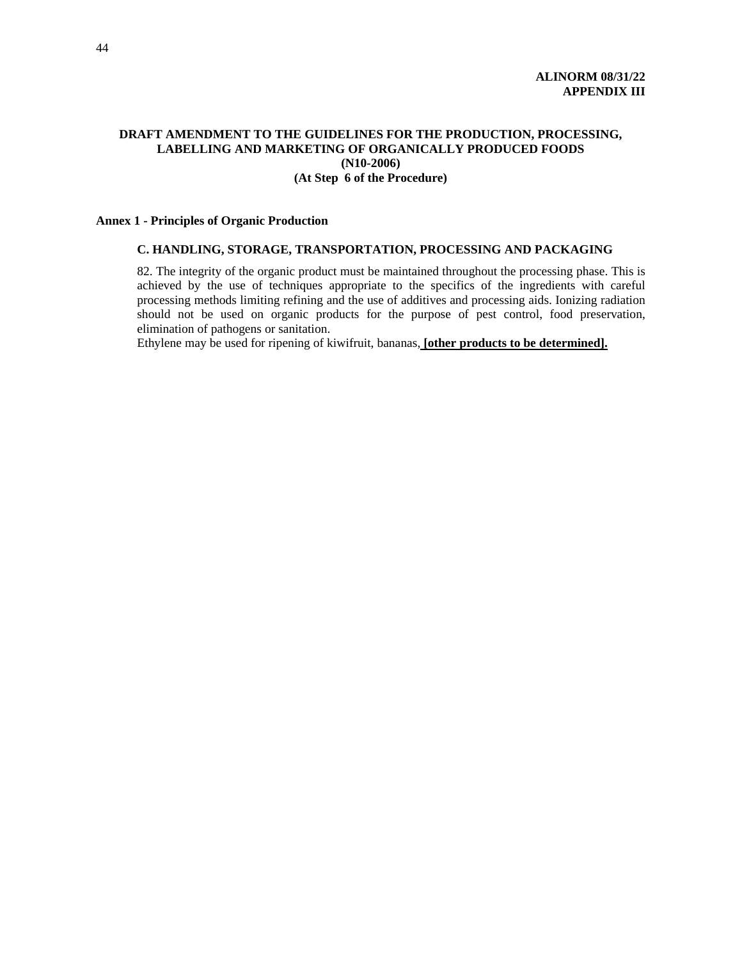# **DRAFT AMENDMENT TO THE GUIDELINES FOR THE PRODUCTION, PROCESSING, LABELLING AND MARKETING OF ORGANICALLY PRODUCED FOODS (N10-2006) (At Step 6 of the Procedure)**

#### **Annex 1 - Principles of Organic Production**

### **C. HANDLING, STORAGE, TRANSPORTATION, PROCESSING AND PACKAGING**

82. The integrity of the organic product must be maintained throughout the processing phase. This is achieved by the use of techniques appropriate to the specifics of the ingredients with careful processing methods limiting refining and the use of additives and processing aids. Ionizing radiation should not be used on organic products for the purpose of pest control, food preservation, elimination of pathogens or sanitation.

Ethylene may be used for ripening of kiwifruit, bananas, **[other products to be determined].**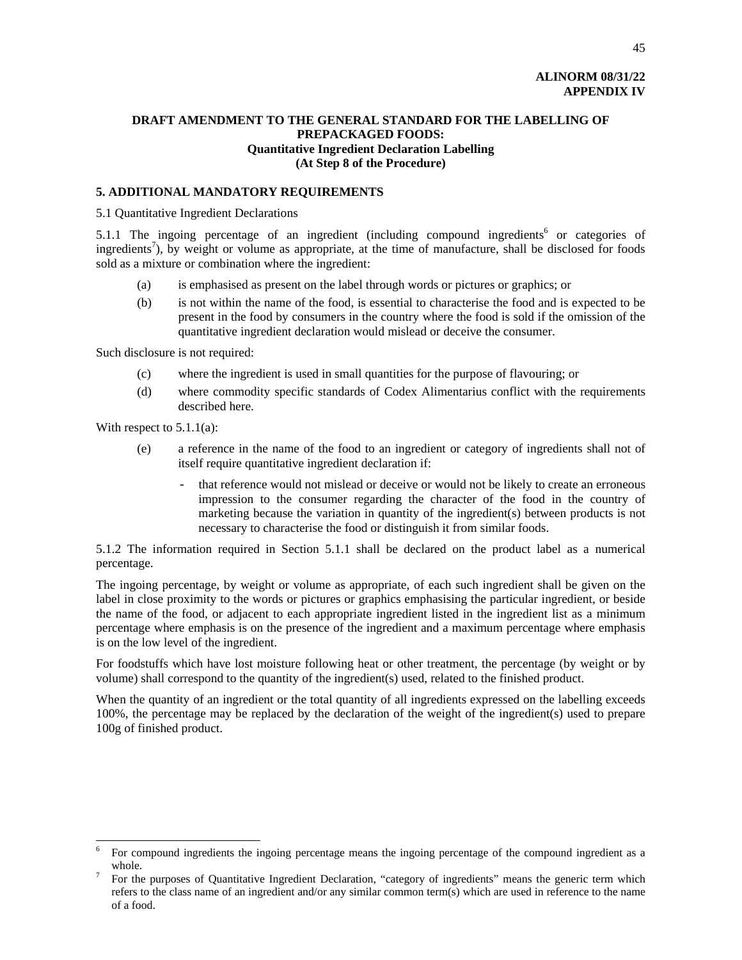# **ALINORM 08/31/22 APPENDIX IV**

# **DRAFT AMENDMENT TO THE GENERAL STANDARD FOR THE LABELLING OF PREPACKAGED FOODS: Quantitative Ingredient Declaration Labelling (At Step 8 of the Procedure)**

# **5. ADDITIONAL MANDATORY REQUIREMENTS**

#### 5.1 Quantitative Ingredient Declarations

5.1.1 The ingoing percentage of an ingredient (including compound ingredients<sup>6</sup> or categories of ingredients<sup>7</sup>), by weight or volume as appropriate, at the time of manufacture, shall be disclosed for foods sold as a mixture or combination where the ingredient:

- (a) is emphasised as present on the label through words or pictures or graphics; or
- (b) is not within the name of the food, is essential to characterise the food and is expected to be present in the food by consumers in the country where the food is sold if the omission of the quantitative ingredient declaration would mislead or deceive the consumer.

Such disclosure is not required:

- (c) where the ingredient is used in small quantities for the purpose of flavouring; or
- (d) where commodity specific standards of Codex Alimentarius conflict with the requirements described here.

With respect to  $5.1.1(a)$ :

l

- (e) a reference in the name of the food to an ingredient or category of ingredients shall not of itself require quantitative ingredient declaration if:
	- that reference would not mislead or deceive or would not be likely to create an erroneous impression to the consumer regarding the character of the food in the country of marketing because the variation in quantity of the ingredient(s) between products is not necessary to characterise the food or distinguish it from similar foods.

5.1.2 The information required in Section 5.1.1 shall be declared on the product label as a numerical percentage.

The ingoing percentage, by weight or volume as appropriate, of each such ingredient shall be given on the label in close proximity to the words or pictures or graphics emphasising the particular ingredient, or beside the name of the food, or adjacent to each appropriate ingredient listed in the ingredient list as a minimum percentage where emphasis is on the presence of the ingredient and a maximum percentage where emphasis is on the low level of the ingredient.

For foodstuffs which have lost moisture following heat or other treatment, the percentage (by weight or by volume) shall correspond to the quantity of the ingredient(s) used, related to the finished product.

When the quantity of an ingredient or the total quantity of all ingredients expressed on the labelling exceeds 100%, the percentage may be replaced by the declaration of the weight of the ingredient(s) used to prepare 100g of finished product.

<sup>6</sup> For compound ingredients the ingoing percentage means the ingoing percentage of the compound ingredient as a whole.

For the purposes of Quantitative Ingredient Declaration, "category of ingredients" means the generic term which refers to the class name of an ingredient and/or any similar common term(s) which are used in reference to the name of a food.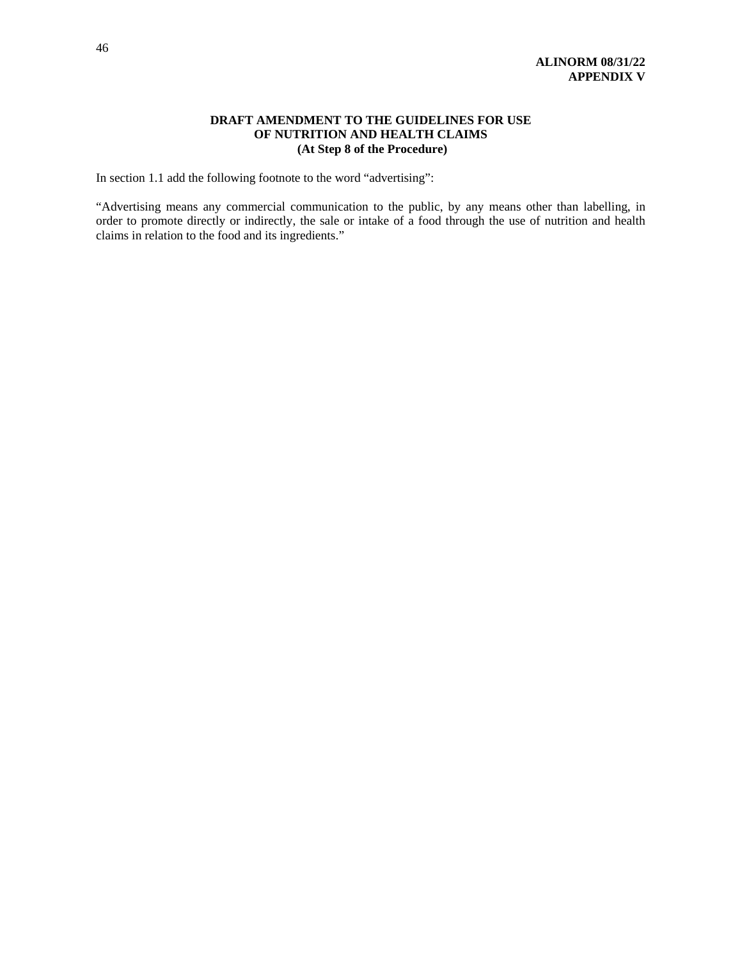# **DRAFT AMENDMENT TO THE GUIDELINES FOR USE OF NUTRITION AND HEALTH CLAIMS (At Step 8 of the Procedure)**

In section 1.1 add the following footnote to the word "advertising":

"Advertising means any commercial communication to the public, by any means other than labelling, in order to promote directly or indirectly, the sale or intake of a food through the use of nutrition and health claims in relation to the food and its ingredients."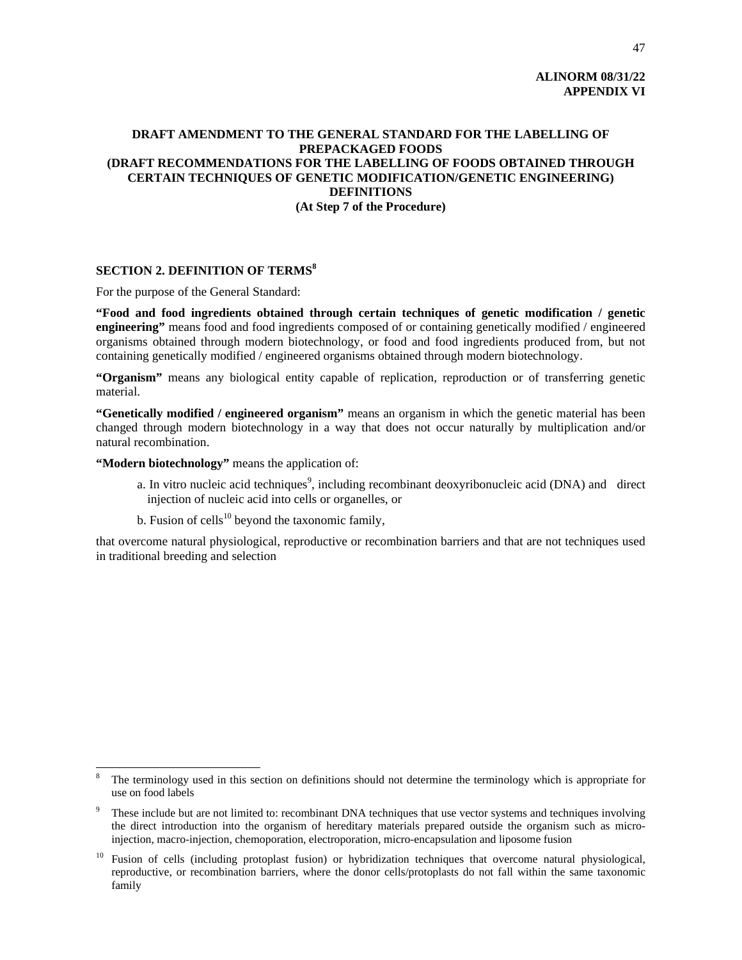# **ALINORM 08/31/22 APPENDIX VI**

# **DRAFT AMENDMENT TO THE GENERAL STANDARD FOR THE LABELLING OF PREPACKAGED FOODS (DRAFT RECOMMENDATIONS FOR THE LABELLING OF FOODS OBTAINED THROUGH CERTAIN TECHNIQUES OF GENETIC MODIFICATION/GENETIC ENGINEERING) DEFINITIONS (At Step 7 of the Procedure)**

# **SECTION 2. DEFINITION OF TERMS<sup>8</sup>**

For the purpose of the General Standard:

**"Food and food ingredients obtained through certain techniques of genetic modification / genetic engineering"** means food and food ingredients composed of or containing genetically modified / engineered organisms obtained through modern biotechnology, or food and food ingredients produced from, but not containing genetically modified / engineered organisms obtained through modern biotechnology.

**"Organism"** means any biological entity capable of replication, reproduction or of transferring genetic material.

**"Genetically modified / engineered organism"** means an organism in which the genetic material has been changed through modern biotechnology in a way that does not occur naturally by multiplication and/or natural recombination.

**"Modern biotechnology"** means the application of:

 $\overline{a}$ 

- a. In vitro nucleic acid techniques<sup>9</sup>, including recombinant deoxyribonucleic acid (DNA) and direct injection of nucleic acid into cells or organelles, or
- b. Fusion of cells<sup>10</sup> beyond the taxonomic family,

that overcome natural physiological, reproductive or recombination barriers and that are not techniques used in traditional breeding and selection

<sup>8</sup> The terminology used in this section on definitions should not determine the terminology which is appropriate for use on food labels

<sup>9</sup> These include but are not limited to: recombinant DNA techniques that use vector systems and techniques involving the direct introduction into the organism of hereditary materials prepared outside the organism such as microinjection, macro-injection, chemoporation, electroporation, micro-encapsulation and liposome fusion

<sup>&</sup>lt;sup>10</sup> Fusion of cells (including protoplast fusion) or hybridization techniques that overcome natural physiological, reproductive, or recombination barriers, where the donor cells/protoplasts do not fall within the same taxonomic family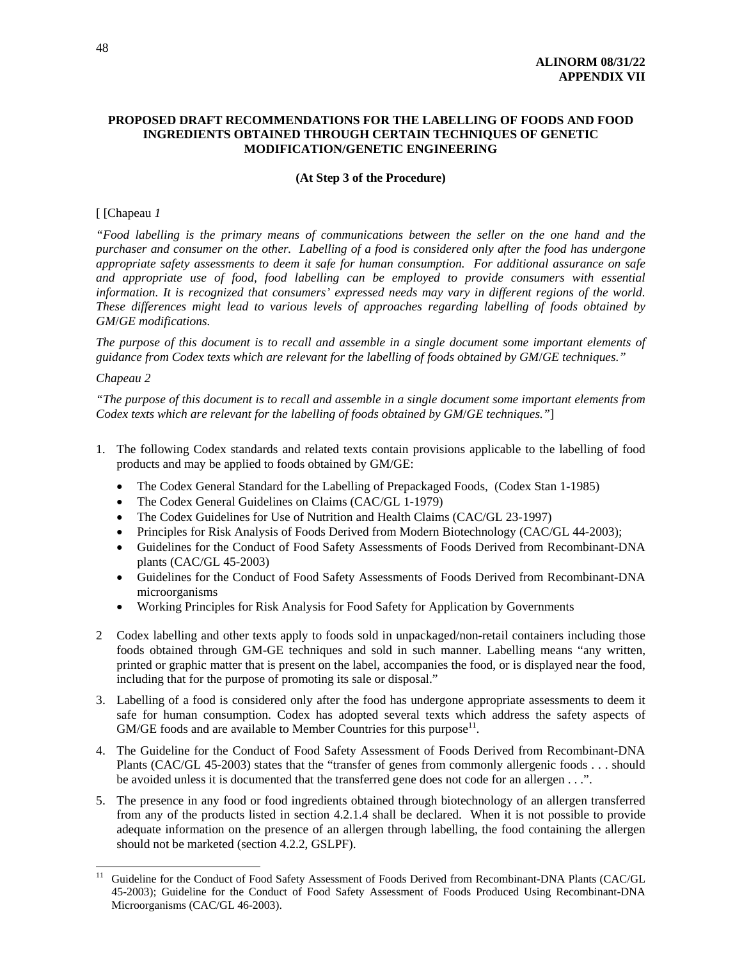# **PROPOSED DRAFT RECOMMENDATIONS FOR THE LABELLING OF FOODS AND FOOD INGREDIENTS OBTAINED THROUGH CERTAIN TECHNIQUES OF GENETIC MODIFICATION/GENETIC ENGINEERING**

#### **(At Step 3 of the Procedure)**

#### [ [Chapeau *1*

*"Food labelling is the primary means of communications between the seller on the one hand and the purchaser and consumer on the other. Labelling of a food is considered only after the food has undergone appropriate safety assessments to deem it safe for human consumption. For additional assurance on safe and appropriate use of food, food labelling can be employed to provide consumers with essential information. It is recognized that consumers' expressed needs may vary in different regions of the world. These differences might lead to various levels of approaches regarding labelling of foods obtained by GM*/*GE modifications.* 

*The purpose of this document is to recall and assemble in a single document some important elements of guidance from Codex texts which are relevant for the labelling of foods obtained by GM*/*GE techniques."* 

# *Chapeau 2*

*"The purpose of this document is to recall and assemble in a single document some important elements from Codex texts which are relevant for the labelling of foods obtained by GM*/*GE techniques."*]

- 1. The following Codex standards and related texts contain provisions applicable to the labelling of food products and may be applied to foods obtained by GM/GE:
	- The Codex General Standard for the Labelling of Prepackaged Foods, (Codex Stan 1-1985)
	- The Codex General Guidelines on Claims (CAC/GL 1-1979)
	- The Codex Guidelines for Use of Nutrition and Health Claims (CAC/GL 23-1997)
	- Principles for Risk Analysis of Foods Derived from Modern Biotechnology (CAC/GL 44-2003);
	- Guidelines for the Conduct of Food Safety Assessments of Foods Derived from Recombinant-DNA plants (CAC/GL 45-2003)
	- Guidelines for the Conduct of Food Safety Assessments of Foods Derived from Recombinant-DNA microorganisms
	- Working Principles for Risk Analysis for Food Safety for Application by Governments
- 2 Codex labelling and other texts apply to foods sold in unpackaged/non-retail containers including those foods obtained through GM-GE techniques and sold in such manner. Labelling means "any written, printed or graphic matter that is present on the label, accompanies the food, or is displayed near the food, including that for the purpose of promoting its sale or disposal."
- 3. Labelling of a food is considered only after the food has undergone appropriate assessments to deem it safe for human consumption. Codex has adopted several texts which address the safety aspects of  $GM/GE$  foods and are available to Member Countries for this purpose<sup>11</sup>.
- 4. The Guideline for the Conduct of Food Safety Assessment of Foods Derived from Recombinant-DNA Plants (CAC/GL 45-2003) states that the "transfer of genes from commonly allergenic foods . . . should be avoided unless it is documented that the transferred gene does not code for an allergen . . .".
- 5. The presence in any food or food ingredients obtained through biotechnology of an allergen transferred from any of the products listed in section 4.2.1.4 shall be declared. When it is not possible to provide adequate information on the presence of an allergen through labelling, the food containing the allergen should not be marketed (section 4.2.2, GSLPF).

 $11$ 11 Guideline for the Conduct of Food Safety Assessment of Foods Derived from Recombinant-DNA Plants (CAC/GL 45-2003); Guideline for the Conduct of Food Safety Assessment of Foods Produced Using Recombinant-DNA Microorganisms (CAC/GL 46-2003).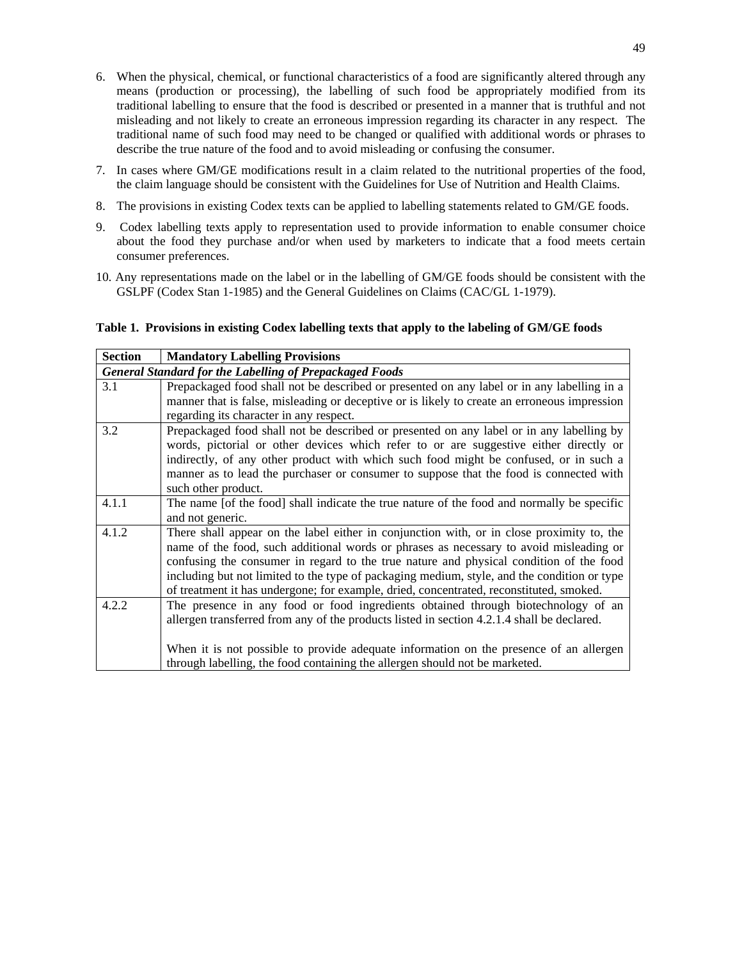- 6. When the physical, chemical, or functional characteristics of a food are significantly altered through any means (production or processing), the labelling of such food be appropriately modified from its traditional labelling to ensure that the food is described or presented in a manner that is truthful and not misleading and not likely to create an erroneous impression regarding its character in any respect. The traditional name of such food may need to be changed or qualified with additional words or phrases to describe the true nature of the food and to avoid misleading or confusing the consumer.
- 7. In cases where GM/GE modifications result in a claim related to the nutritional properties of the food, the claim language should be consistent with the Guidelines for Use of Nutrition and Health Claims.
- 8. The provisions in existing Codex texts can be applied to labelling statements related to GM/GE foods.
- 9. Codex labelling texts apply to representation used to provide information to enable consumer choice about the food they purchase and/or when used by marketers to indicate that a food meets certain consumer preferences.
- 10. Any representations made on the label or in the labelling of GM/GE foods should be consistent with the GSLPF (Codex Stan 1-1985) and the General Guidelines on Claims (CAC/GL 1-1979).

# **Table 1. Provisions in existing Codex labelling texts that apply to the labeling of GM/GE foods**

| <b>Section</b>                                                 | <b>Mandatory Labelling Provisions</b>                                                        |  |  |
|----------------------------------------------------------------|----------------------------------------------------------------------------------------------|--|--|
| <b>General Standard for the Labelling of Prepackaged Foods</b> |                                                                                              |  |  |
| 3.1                                                            | Prepackaged food shall not be described or presented on any label or in any labelling in a   |  |  |
|                                                                | manner that is false, misleading or deceptive or is likely to create an erroneous impression |  |  |
|                                                                | regarding its character in any respect.                                                      |  |  |
| 3.2                                                            | Prepackaged food shall not be described or presented on any label or in any labelling by     |  |  |
|                                                                | words, pictorial or other devices which refer to or are suggestive either directly or        |  |  |
|                                                                | indirectly, of any other product with which such food might be confused, or in such a        |  |  |
|                                                                | manner as to lead the purchaser or consumer to suppose that the food is connected with       |  |  |
|                                                                | such other product.                                                                          |  |  |
| 4.1.1                                                          | The name [of the food] shall indicate the true nature of the food and normally be specific   |  |  |
|                                                                | and not generic.                                                                             |  |  |
| 4.1.2                                                          | There shall appear on the label either in conjunction with, or in close proximity to, the    |  |  |
|                                                                | name of the food, such additional words or phrases as necessary to avoid misleading or       |  |  |
|                                                                | confusing the consumer in regard to the true nature and physical condition of the food       |  |  |
|                                                                | including but not limited to the type of packaging medium, style, and the condition or type  |  |  |
|                                                                | of treatment it has undergone; for example, dried, concentrated, reconstituted, smoked.      |  |  |
| 4.2.2                                                          | The presence in any food or food ingredients obtained through biotechnology of an            |  |  |
|                                                                | allergen transferred from any of the products listed in section 4.2.1.4 shall be declared.   |  |  |
|                                                                |                                                                                              |  |  |
|                                                                | When it is not possible to provide adequate information on the presence of an allergen       |  |  |
|                                                                | through labelling, the food containing the allergen should not be marketed.                  |  |  |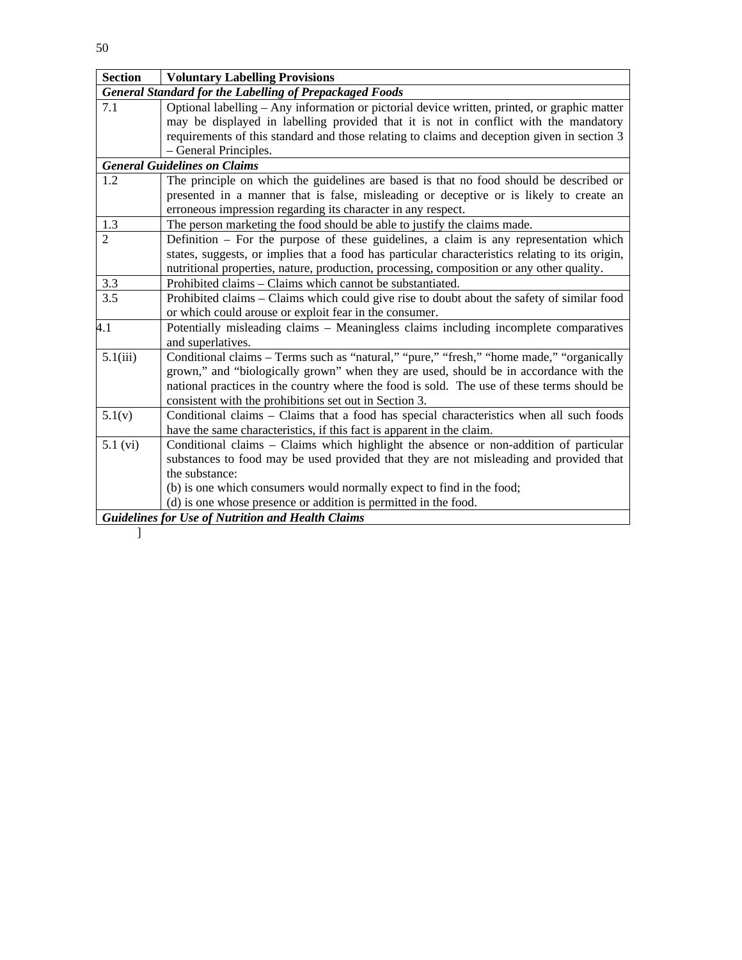| <b>Section</b>                                                                       | <b>Voluntary Labelling Provisions</b>                                                           |  |  |  |
|--------------------------------------------------------------------------------------|-------------------------------------------------------------------------------------------------|--|--|--|
| <b>General Standard for the Labelling of Prepackaged Foods</b>                       |                                                                                                 |  |  |  |
| 7.1                                                                                  | Optional labelling – Any information or pictorial device written, printed, or graphic matter    |  |  |  |
| may be displayed in labelling provided that it is not in conflict with the mandatory |                                                                                                 |  |  |  |
|                                                                                      | requirements of this standard and those relating to claims and deception given in section 3     |  |  |  |
|                                                                                      | - General Principles.                                                                           |  |  |  |
|                                                                                      | <b>General Guidelines on Claims</b>                                                             |  |  |  |
| 1.2                                                                                  | The principle on which the guidelines are based is that no food should be described or          |  |  |  |
|                                                                                      | presented in a manner that is false, misleading or deceptive or is likely to create an          |  |  |  |
|                                                                                      | erroneous impression regarding its character in any respect.                                    |  |  |  |
| 1.3                                                                                  | The person marketing the food should be able to justify the claims made.                        |  |  |  |
| $\mathfrak{D}$                                                                       | Definition – For the purpose of these guidelines, a claim is any representation which           |  |  |  |
|                                                                                      | states, suggests, or implies that a food has particular characteristics relating to its origin, |  |  |  |
|                                                                                      | nutritional properties, nature, production, processing, composition or any other quality.       |  |  |  |
| 3.3                                                                                  | Prohibited claims – Claims which cannot be substantiated.                                       |  |  |  |
| 3.5                                                                                  | Prohibited claims - Claims which could give rise to doubt about the safety of similar food      |  |  |  |
|                                                                                      | or which could arouse or exploit fear in the consumer.                                          |  |  |  |
| 4.1                                                                                  | Potentially misleading claims – Meaningless claims including incomplete comparatives            |  |  |  |
|                                                                                      | and superlatives.                                                                               |  |  |  |
| 5.1(iii)                                                                             | Conditional claims – Terms such as "natural," "pure," "fresh," "home made," "organically        |  |  |  |
|                                                                                      | grown," and "biologically grown" when they are used, should be in accordance with the           |  |  |  |
|                                                                                      | national practices in the country where the food is sold. The use of these terms should be      |  |  |  |
|                                                                                      | consistent with the prohibitions set out in Section 3.                                          |  |  |  |
| 5.1(v)                                                                               | Conditional claims - Claims that a food has special characteristics when all such foods         |  |  |  |
|                                                                                      | have the same characteristics, if this fact is apparent in the claim.                           |  |  |  |
| $5.1$ (vi)                                                                           | Conditional claims – Claims which highlight the absence or non-addition of particular           |  |  |  |
|                                                                                      | substances to food may be used provided that they are not misleading and provided that          |  |  |  |
|                                                                                      | the substance:                                                                                  |  |  |  |
|                                                                                      | (b) is one which consumers would normally expect to find in the food;                           |  |  |  |
|                                                                                      | (d) is one whose presence or addition is permitted in the food.                                 |  |  |  |
|                                                                                      | <b>Guidelines for Use of Nutrition and Health Claims</b>                                        |  |  |  |

 $\qquad \qquad$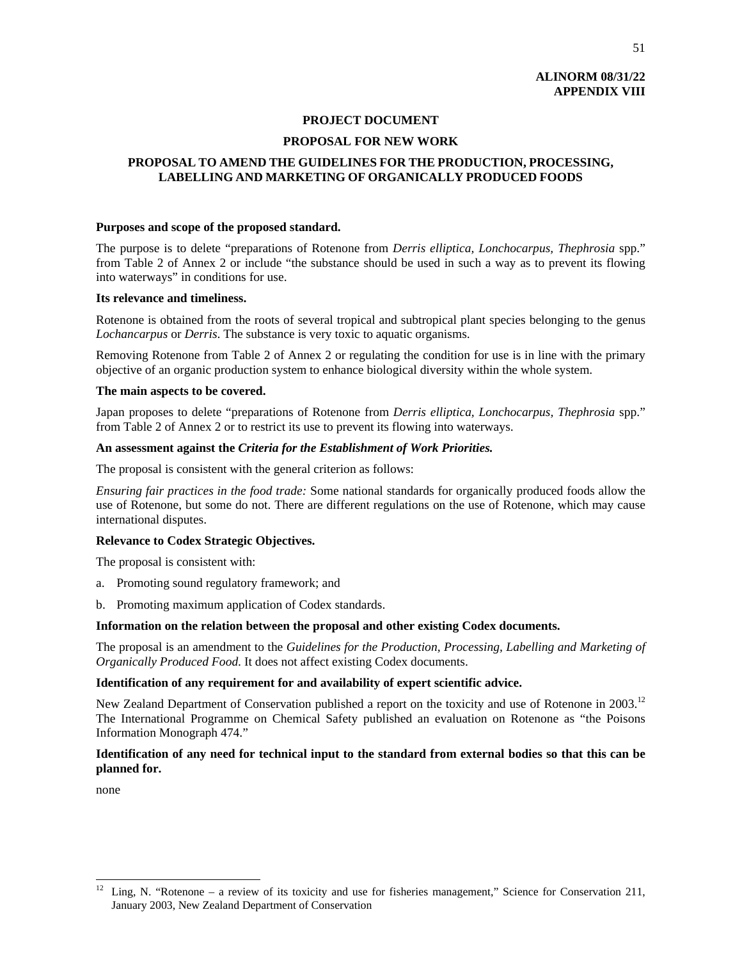# **ALINORM 08/31/22 APPENDIX VIII**

#### **PROJECT DOCUMENT**

# **PROPOSAL FOR NEW WORK**

# **PROPOSAL TO AMEND THE GUIDELINES FOR THE PRODUCTION, PROCESSING, LABELLING AND MARKETING OF ORGANICALLY PRODUCED FOODS**

#### **Purposes and scope of the proposed standard.**

The purpose is to delete "preparations of Rotenone from *Derris elliptica, Lonchocarpus, Thephrosia* spp." from Table 2 of Annex 2 or include "the substance should be used in such a way as to prevent its flowing into waterways" in conditions for use.

#### **Its relevance and timeliness.**

Rotenone is obtained from the roots of several tropical and subtropical plant species belonging to the genus *Lochancarpus* or *Derris*. The substance is very toxic to aquatic organisms.

Removing Rotenone from Table 2 of Annex 2 or regulating the condition for use is in line with the primary objective of an organic production system to enhance biological diversity within the whole system.

#### **The main aspects to be covered.**

Japan proposes to delete "preparations of Rotenone from *Derris elliptica, Lonchocarpus, Thephrosia* spp." from Table 2 of Annex 2 or to restrict its use to prevent its flowing into waterways.

#### **An assessment against the** *Criteria for the Establishment of Work Priorities.*

The proposal is consistent with the general criterion as follows:

*Ensuring fair practices in the food trade:* Some national standards for organically produced foods allow the use of Rotenone, but some do not. There are different regulations on the use of Rotenone, which may cause international disputes.

# **Relevance to Codex Strategic Objectives.**

The proposal is consistent with:

- a. Promoting sound regulatory framework; and
- b. Promoting maximum application of Codex standards.

# **Information on the relation between the proposal and other existing Codex documents.**

The proposal is an amendment to the *Guidelines for the Production, Processing, Labelling and Marketing of Organically Produced Food*. It does not affect existing Codex documents.

# **Identification of any requirement for and availability of expert scientific advice.**

New Zealand Department of Conservation published a report on the toxicity and use of Rotenone in 2003.<sup>12</sup> The International Programme on Chemical Safety published an evaluation on Rotenone as "the Poisons Information Monograph 474."

# **Identification of any need for technical input to the standard from external bodies so that this can be planned for.**

none

 $\overline{a}$ 

Ling, N. "Rotenone – a review of its toxicity and use for fisheries management," Science for Conservation 211, January 2003, New Zealand Department of Conservation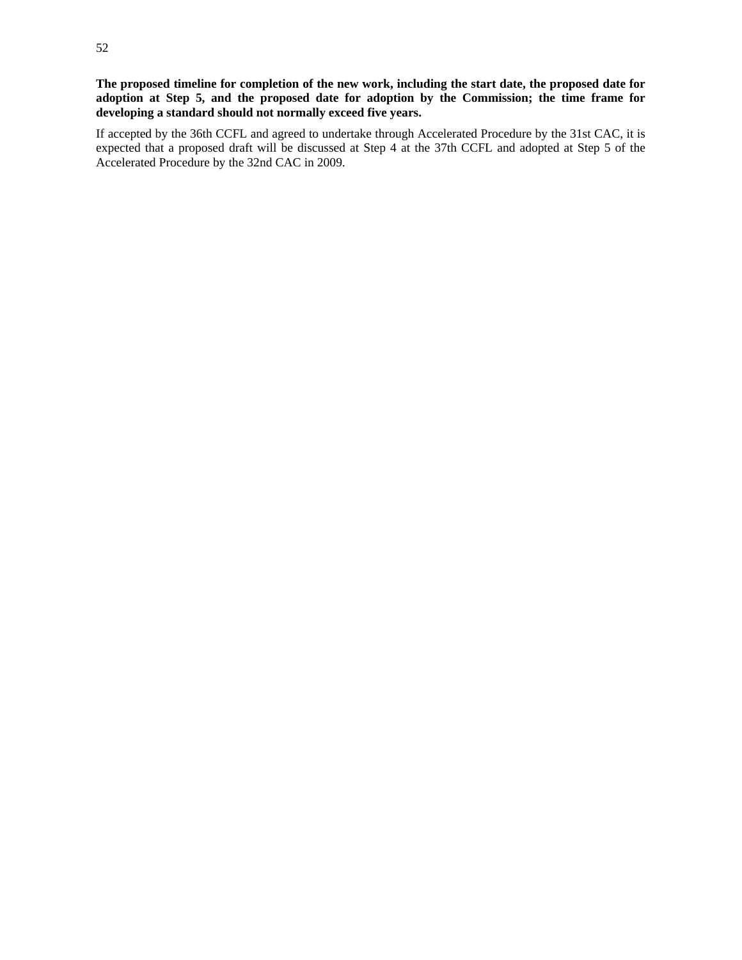**The proposed timeline for completion of the new work, including the start date, the proposed date for adoption at Step 5, and the proposed date for adoption by the Commission; the time frame for developing a standard should not normally exceed five years.** 

If accepted by the 36th CCFL and agreed to undertake through Accelerated Procedure by the 31st CAC, it is expected that a proposed draft will be discussed at Step 4 at the 37th CCFL and adopted at Step 5 of the Accelerated Procedure by the 32nd CAC in 2009.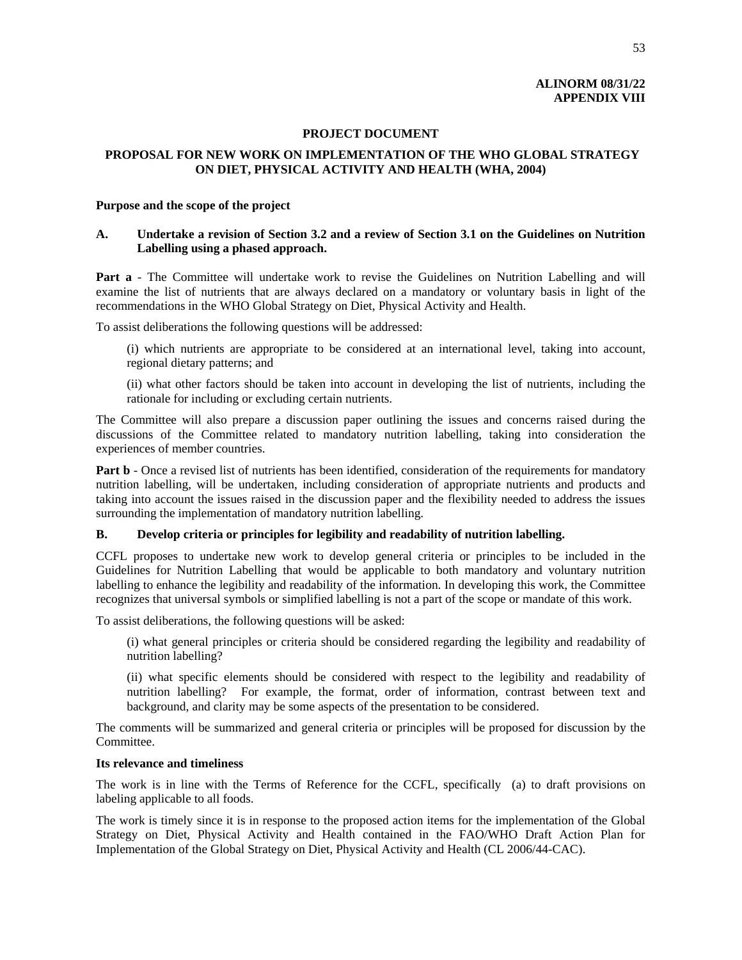# **ALINORM 08/31/22 APPENDIX VIII**

#### **PROJECT DOCUMENT**

# **PROPOSAL FOR NEW WORK ON IMPLEMENTATION OF THE WHO GLOBAL STRATEGY ON DIET, PHYSICAL ACTIVITY AND HEALTH (WHA, 2004)**

#### **Purpose and the scope of the project**

# **A. Undertake a revision of Section 3.2 and a review of Section 3.1 on the Guidelines on Nutrition Labelling using a phased approach.**

**Part a** - The Committee will undertake work to revise the Guidelines on Nutrition Labelling and will examine the list of nutrients that are always declared on a mandatory or voluntary basis in light of the recommendations in the WHO Global Strategy on Diet, Physical Activity and Health.

To assist deliberations the following questions will be addressed:

(i) which nutrients are appropriate to be considered at an international level, taking into account, regional dietary patterns; and

(ii) what other factors should be taken into account in developing the list of nutrients, including the rationale for including or excluding certain nutrients.

The Committee will also prepare a discussion paper outlining the issues and concerns raised during the discussions of the Committee related to mandatory nutrition labelling, taking into consideration the experiences of member countries.

**Part b** - Once a revised list of nutrients has been identified, consideration of the requirements for mandatory nutrition labelling, will be undertaken, including consideration of appropriate nutrients and products and taking into account the issues raised in the discussion paper and the flexibility needed to address the issues surrounding the implementation of mandatory nutrition labelling.

#### **B. Develop criteria or principles for legibility and readability of nutrition labelling.**

CCFL proposes to undertake new work to develop general criteria or principles to be included in the Guidelines for Nutrition Labelling that would be applicable to both mandatory and voluntary nutrition labelling to enhance the legibility and readability of the information. In developing this work, the Committee recognizes that universal symbols or simplified labelling is not a part of the scope or mandate of this work.

To assist deliberations, the following questions will be asked:

(i) what general principles or criteria should be considered regarding the legibility and readability of nutrition labelling?

(ii) what specific elements should be considered with respect to the legibility and readability of nutrition labelling? For example, the format, order of information, contrast between text and background, and clarity may be some aspects of the presentation to be considered.

The comments will be summarized and general criteria or principles will be proposed for discussion by the Committee.

#### **Its relevance and timeliness**

The work is in line with the Terms of Reference for the CCFL, specifically (a) to draft provisions on labeling applicable to all foods.

The work is timely since it is in response to the proposed action items for the implementation of the Global Strategy on Diet, Physical Activity and Health contained in the FAO/WHO Draft Action Plan for Implementation of the Global Strategy on Diet, Physical Activity and Health (CL 2006/44-CAC).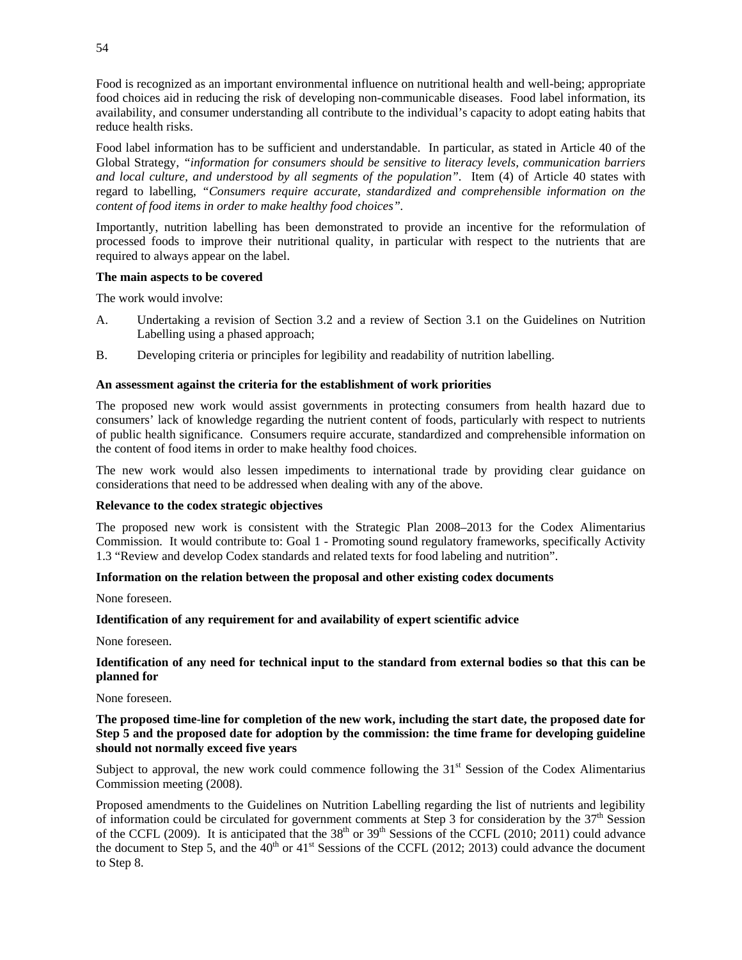Food is recognized as an important environmental influence on nutritional health and well-being; appropriate food choices aid in reducing the risk of developing non-communicable diseases. Food label information, its availability, and consumer understanding all contribute to the individual's capacity to adopt eating habits that reduce health risks.

Food label information has to be sufficient and understandable. In particular, as stated in Article 40 of the Global Strategy, *"information for consumers should be sensitive to literacy levels, communication barriers and local culture, and understood by all segments of the population".* Item (4) of Article 40 states with regard to labelling, *"Consumers require accurate, standardized and comprehensible information on the content of food items in order to make healthy food choices".*

Importantly, nutrition labelling has been demonstrated to provide an incentive for the reformulation of processed foods to improve their nutritional quality, in particular with respect to the nutrients that are required to always appear on the label.

#### **The main aspects to be covered**

The work would involve:

- A. Undertaking a revision of Section 3.2 and a review of Section 3.1 on the Guidelines on Nutrition Labelling using a phased approach;
- B. Developing criteria or principles for legibility and readability of nutrition labelling.

#### **An assessment against the criteria for the establishment of work priorities**

The proposed new work would assist governments in protecting consumers from health hazard due to consumers' lack of knowledge regarding the nutrient content of foods, particularly with respect to nutrients of public health significance. Consumers require accurate, standardized and comprehensible information on the content of food items in order to make healthy food choices.

The new work would also lessen impediments to international trade by providing clear guidance on considerations that need to be addressed when dealing with any of the above.

#### **Relevance to the codex strategic objectives**

The proposed new work is consistent with the Strategic Plan 2008–2013 for the Codex Alimentarius Commission. It would contribute to: Goal 1 - Promoting sound regulatory frameworks, specifically Activity 1.3 "Review and develop Codex standards and related texts for food labeling and nutrition".

### **Information on the relation between the proposal and other existing codex documents**

None foreseen.

# **Identification of any requirement for and availability of expert scientific advice**

None foreseen.

#### **Identification of any need for technical input to the standard from external bodies so that this can be planned for**

None foreseen.

# **The proposed time-line for completion of the new work, including the start date, the proposed date for Step 5 and the proposed date for adoption by the commission: the time frame for developing guideline should not normally exceed five years**

Subject to approval, the new work could commence following the  $31<sup>st</sup>$  Session of the Codex Alimentarius Commission meeting (2008).

Proposed amendments to the Guidelines on Nutrition Labelling regarding the list of nutrients and legibility of information could be circulated for government comments at Step 3 for consideration by the  $37<sup>th</sup>$  Session of the CCFL (2009). It is anticipated that the  $38<sup>th</sup>$  or  $39<sup>th</sup>$  Sessions of the CCFL (2010; 2011) could advance the document to Step 5, and the  $40<sup>th</sup>$  or  $41<sup>st</sup>$  Sessions of the CCFL (2012; 2013) could advance the document to Step 8.